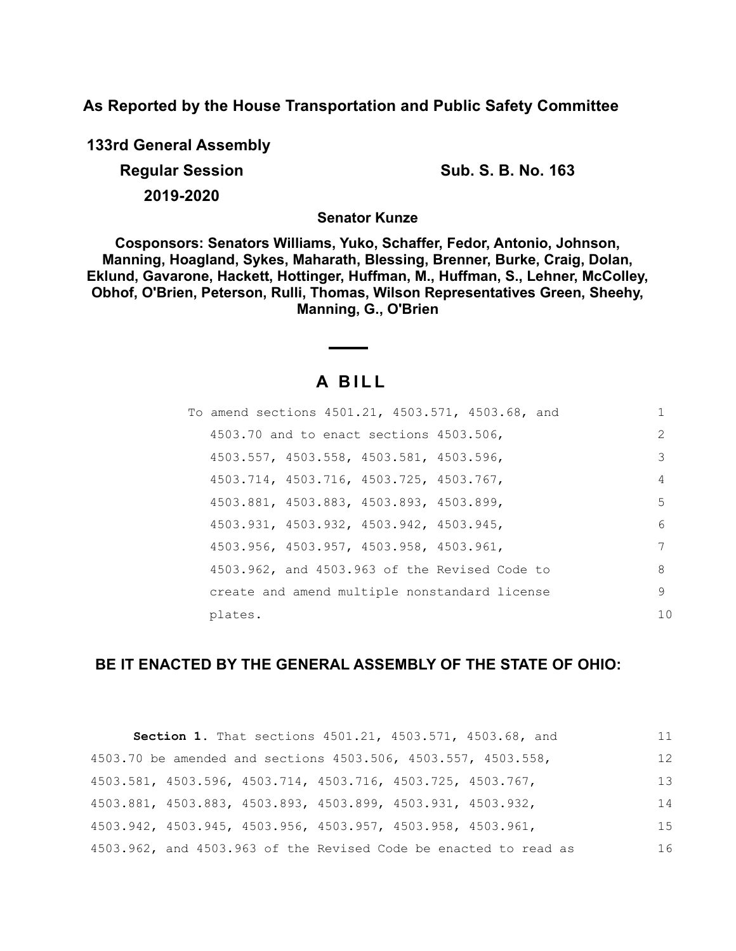**As Reported by the House Transportation and Public Safety Committee**

**133rd General Assembly Regular Session Sub. S. B. No. 163**

**2019-2020**

**Senator Kunze**

**Cosponsors: Senators Williams, Yuko, Schaffer, Fedor, Antonio, Johnson, Manning, Hoagland, Sykes, Maharath, Blessing, Brenner, Burke, Craig, Dolan, Eklund, Gavarone, Hackett, Hottinger, Huffman, M., Huffman, S., Lehner, McColley, Obhof, O'Brien, Peterson, Rulli, Thomas, Wilson Representatives Green, Sheehy, Manning, G., O'Brien**

# **A B I L L**

| To amend sections 4501.21, 4503.571, 4503.68, and | 1             |
|---------------------------------------------------|---------------|
| 4503.70 and to enact sections 4503.506,           | $\mathcal{L}$ |
| 4503.557, 4503.558, 4503.581, 4503.596,           | 3             |
| 4503.714, 4503.716, 4503.725, 4503.767,           | 4             |
| 4503.881, 4503.883, 4503.893, 4503.899,           | 5.            |
| 4503.931, 4503.932, 4503.942, 4503.945,           | 6             |
| 4503.956, 4503.957, 4503.958, 4503.961,           | 7             |
| 4503.962, and 4503.963 of the Revised Code to     | 8             |
| create and amend multiple nonstandard license     | 9             |
| plates.                                           | 10            |

# **BE IT ENACTED BY THE GENERAL ASSEMBLY OF THE STATE OF OHIO:**

|                                                             | Section 1. That sections 4501.21, 4503.571, 4503.68, and         | 11 |
|-------------------------------------------------------------|------------------------------------------------------------------|----|
|                                                             | 4503.70 be amended and sections 4503.506, 4503.557, 4503.558,    | 12 |
| 4503.581, 4503.596, 4503.714, 4503.716, 4503.725, 4503.767, |                                                                  | 13 |
| 4503.881, 4503.883, 4503.893, 4503.899, 4503.931, 4503.932, |                                                                  | 14 |
| 4503.942, 4503.945, 4503.956, 4503.957, 4503.958, 4503.961, |                                                                  | 15 |
|                                                             | 4503.962, and 4503.963 of the Revised Code be enacted to read as | 16 |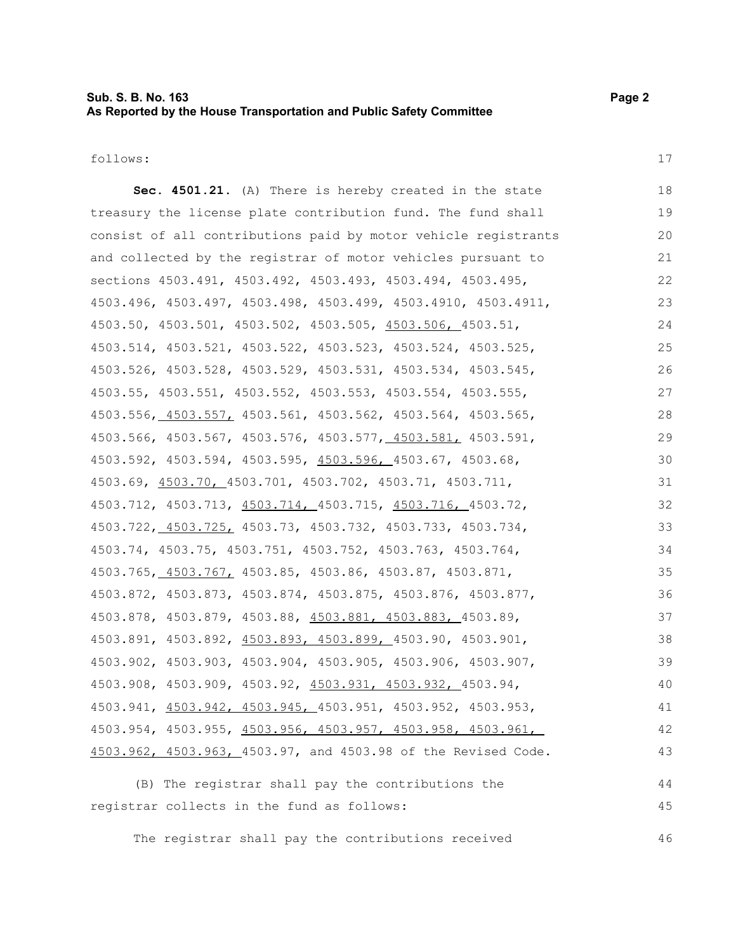## **Sub. S. B. No. 163 Page 2 As Reported by the House Transportation and Public Safety Committee**

follows:

17

**Sec. 4501.21.** (A) There is hereby created in the state treasury the license plate contribution fund. The fund shall consist of all contributions paid by motor vehicle registrants and collected by the registrar of motor vehicles pursuant to sections 4503.491, 4503.492, 4503.493, 4503.494, 4503.495, 4503.496, 4503.497, 4503.498, 4503.499, 4503.4910, 4503.4911, 4503.50, 4503.501, 4503.502, 4503.505, 4503.506, 4503.51, 4503.514, 4503.521, 4503.522, 4503.523, 4503.524, 4503.525, 4503.526, 4503.528, 4503.529, 4503.531, 4503.534, 4503.545, 4503.55, 4503.551, 4503.552, 4503.553, 4503.554, 4503.555, 4503.556, 4503.557, 4503.561, 4503.562, 4503.564, 4503.565, 4503.566, 4503.567, 4503.576, 4503.577, 4503.581, 4503.591, 4503.592, 4503.594, 4503.595, 4503.596, 4503.67, 4503.68, 4503.69, 4503.70, 4503.701, 4503.702, 4503.71, 4503.711, 4503.712, 4503.713, 4503.714, 4503.715, 4503.716, 4503.72, 4503.722, 4503.725, 4503.73, 4503.732, 4503.733, 4503.734, 4503.74, 4503.75, 4503.751, 4503.752, 4503.763, 4503.764, 4503.765, 4503.767, 4503.85, 4503.86, 4503.87, 4503.871, 4503.872, 4503.873, 4503.874, 4503.875, 4503.876, 4503.877, 4503.878, 4503.879, 4503.88, 4503.881, 4503.883, 4503.89, 4503.891, 4503.892, 4503.893, 4503.899, 4503.90, 4503.901, 4503.902, 4503.903, 4503.904, 4503.905, 4503.906, 4503.907, 4503.908, 4503.909, 4503.92, 4503.931, 4503.932, 4503.94, 4503.941, 4503.942, 4503.945, 4503.951, 4503.952, 4503.953, 4503.954, 4503.955, 4503.956, 4503.957, 4503.958, 4503.961, 4503.962, 4503.963, 4503.97, and 4503.98 of the Revised Code. (B) The registrar shall pay the contributions the 18 19 20 21 22 23 24 25 26 27 28 29 30 31 32 33 34 35 36 37 38 39 40 41 42 43 44

The registrar shall pay the contributions received

registrar collects in the fund as follows:

46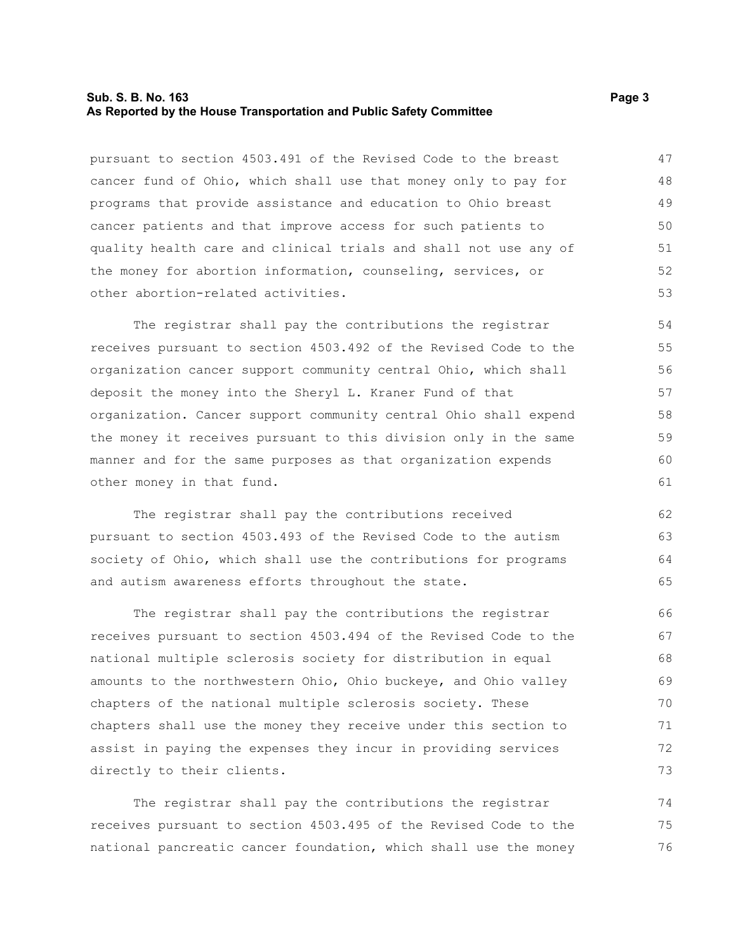#### **Sub. S. B. No. 163 Page 3 As Reported by the House Transportation and Public Safety Committee**

pursuant to section 4503.491 of the Revised Code to the breast cancer fund of Ohio, which shall use that money only to pay for programs that provide assistance and education to Ohio breast cancer patients and that improve access for such patients to quality health care and clinical trials and shall not use any of the money for abortion information, counseling, services, or other abortion-related activities. 47 48 49 50 51 52 53

The registrar shall pay the contributions the registrar receives pursuant to section 4503.492 of the Revised Code to the organization cancer support community central Ohio, which shall deposit the money into the Sheryl L. Kraner Fund of that organization. Cancer support community central Ohio shall expend the money it receives pursuant to this division only in the same manner and for the same purposes as that organization expends other money in that fund.

The registrar shall pay the contributions received pursuant to section 4503.493 of the Revised Code to the autism society of Ohio, which shall use the contributions for programs and autism awareness efforts throughout the state.

The registrar shall pay the contributions the registrar receives pursuant to section 4503.494 of the Revised Code to the national multiple sclerosis society for distribution in equal amounts to the northwestern Ohio, Ohio buckeye, and Ohio valley chapters of the national multiple sclerosis society. These chapters shall use the money they receive under this section to assist in paying the expenses they incur in providing services directly to their clients. 66 67 68 69 70 71 72 73

The registrar shall pay the contributions the registrar receives pursuant to section 4503.495 of the Revised Code to the national pancreatic cancer foundation, which shall use the money 74 75 76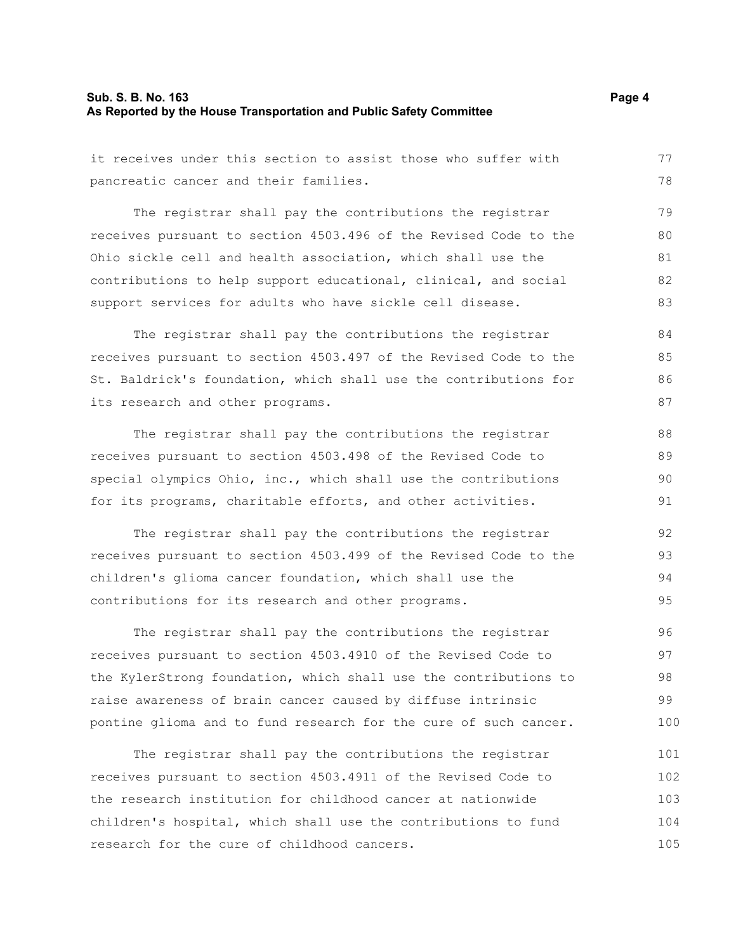#### **Sub. S. B. No. 163 Page 4 As Reported by the House Transportation and Public Safety Committee**

it receives under this section to assist those who suffer with

pancreatic cancer and their families. The registrar shall pay the contributions the registrar receives pursuant to section 4503.496 of the Revised Code to the Ohio sickle cell and health association, which shall use the contributions to help support educational, clinical, and social support services for adults who have sickle cell disease. The registrar shall pay the contributions the registrar receives pursuant to section 4503.497 of the Revised Code to the St. Baldrick's foundation, which shall use the contributions for its research and other programs. The registrar shall pay the contributions the registrar receives pursuant to section 4503.498 of the Revised Code to special olympics Ohio, inc., which shall use the contributions for its programs, charitable efforts, and other activities. The registrar shall pay the contributions the registrar receives pursuant to section 4503.499 of the Revised Code to the children's glioma cancer foundation, which shall use the contributions for its research and other programs. The registrar shall pay the contributions the registrar receives pursuant to section 4503.4910 of the Revised Code to the KylerStrong foundation, which shall use the contributions to raise awareness of brain cancer caused by diffuse intrinsic pontine glioma and to fund research for the cure of such cancer. The registrar shall pay the contributions the registrar receives pursuant to section 4503.4911 of the Revised Code to the research institution for childhood cancer at nationwide 78 79 80 81 82 83 84 85 86 87 88 89 90 91 92 93 94 95 96 97 98 99 100 101 102 103

children's hospital, which shall use the contributions to fund research for the cure of childhood cancers. 104 105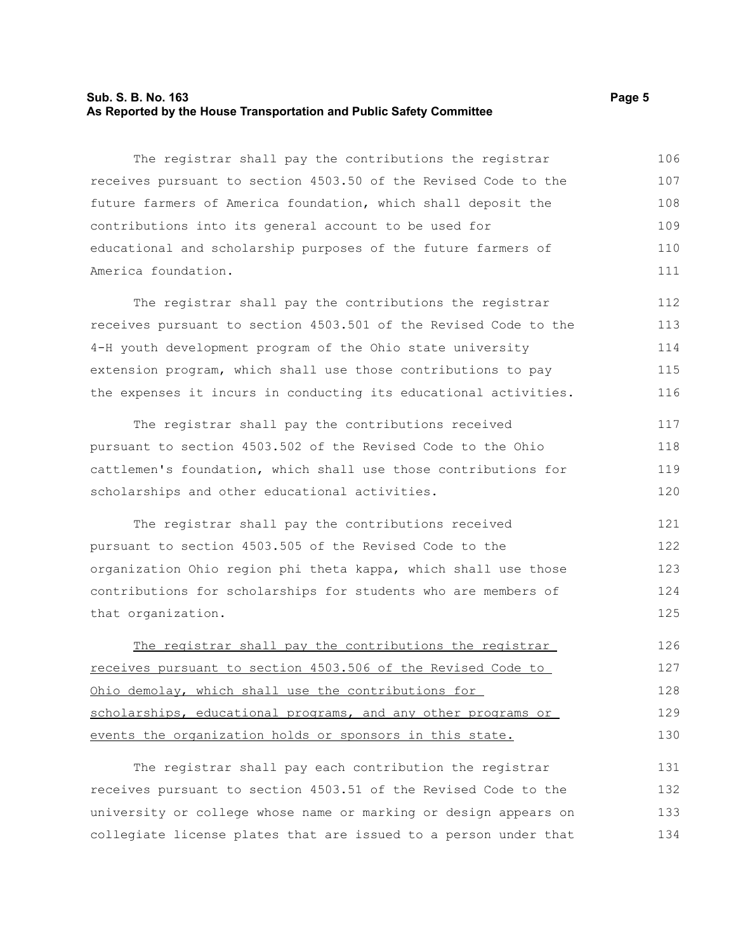#### **Sub. S. B. No. 163 Page 5 As Reported by the House Transportation and Public Safety Committee**

The registrar shall pay the contributions the registrar receives pursuant to section 4503.50 of the Revised Code to the future farmers of America foundation, which shall deposit the contributions into its general account to be used for educational and scholarship purposes of the future farmers of America foundation. 106 107 108 109 110 111

The registrar shall pay the contributions the registrar receives pursuant to section 4503.501 of the Revised Code to the 4-H youth development program of the Ohio state university extension program, which shall use those contributions to pay the expenses it incurs in conducting its educational activities. 112 113 114 115 116

The registrar shall pay the contributions received pursuant to section 4503.502 of the Revised Code to the Ohio cattlemen's foundation, which shall use those contributions for scholarships and other educational activities. 117 118 119 120

The registrar shall pay the contributions received pursuant to section 4503.505 of the Revised Code to the organization Ohio region phi theta kappa, which shall use those contributions for scholarships for students who are members of that organization. 121 122 123 124 125

The registrar shall pay the contributions the registrar receives pursuant to section 4503.506 of the Revised Code to Ohio demolay, which shall use the contributions for scholarships, educational programs, and any other programs or events the organization holds or sponsors in this state. 126 127 128 129 130

The registrar shall pay each contribution the registrar receives pursuant to section 4503.51 of the Revised Code to the university or college whose name or marking or design appears on collegiate license plates that are issued to a person under that 131 132 133 134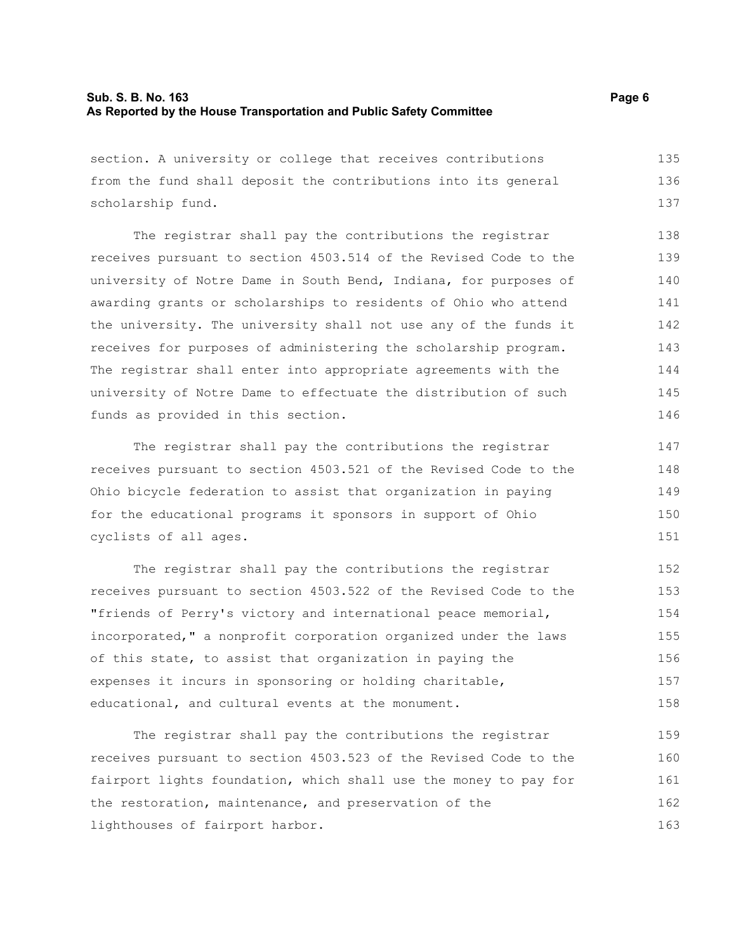#### **Sub. S. B. No. 163 Page 6 As Reported by the House Transportation and Public Safety Committee**

section. A university or college that receives contributions from the fund shall deposit the contributions into its general scholarship fund. 135 136 137

The registrar shall pay the contributions the registrar receives pursuant to section 4503.514 of the Revised Code to the university of Notre Dame in South Bend, Indiana, for purposes of awarding grants or scholarships to residents of Ohio who attend the university. The university shall not use any of the funds it receives for purposes of administering the scholarship program. The registrar shall enter into appropriate agreements with the university of Notre Dame to effectuate the distribution of such funds as provided in this section. 138 139 140 141 142 143 144 145 146

The registrar shall pay the contributions the registrar receives pursuant to section 4503.521 of the Revised Code to the Ohio bicycle federation to assist that organization in paying for the educational programs it sponsors in support of Ohio cyclists of all ages.

The registrar shall pay the contributions the registrar receives pursuant to section 4503.522 of the Revised Code to the "friends of Perry's victory and international peace memorial, incorporated," a nonprofit corporation organized under the laws of this state, to assist that organization in paying the expenses it incurs in sponsoring or holding charitable, educational, and cultural events at the monument. 152 153 154 155 156 157 158

The registrar shall pay the contributions the registrar receives pursuant to section 4503.523 of the Revised Code to the fairport lights foundation, which shall use the money to pay for the restoration, maintenance, and preservation of the lighthouses of fairport harbor. 159 160 161 162 163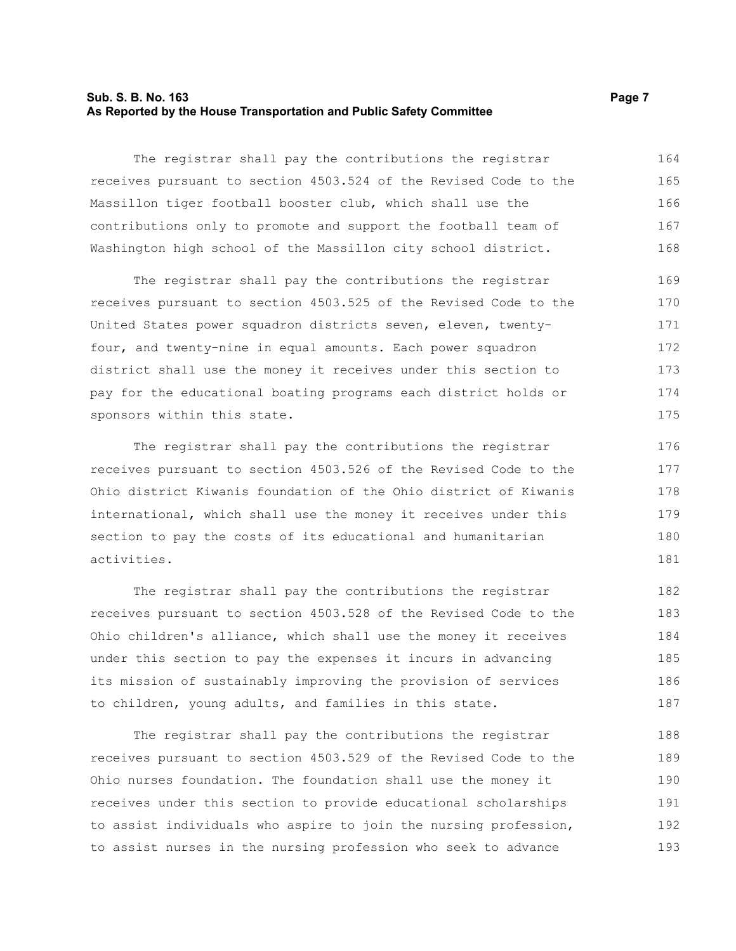#### **Sub. S. B. No. 163 Page 7 As Reported by the House Transportation and Public Safety Committee**

The registrar shall pay the contributions the registrar receives pursuant to section 4503.524 of the Revised Code to the Massillon tiger football booster club, which shall use the contributions only to promote and support the football team of Washington high school of the Massillon city school district. 164 165 166 167 168

The registrar shall pay the contributions the registrar receives pursuant to section 4503.525 of the Revised Code to the United States power squadron districts seven, eleven, twentyfour, and twenty-nine in equal amounts. Each power squadron district shall use the money it receives under this section to pay for the educational boating programs each district holds or sponsors within this state. 169 170 171 172 173 174 175

The registrar shall pay the contributions the registrar receives pursuant to section 4503.526 of the Revised Code to the Ohio district Kiwanis foundation of the Ohio district of Kiwanis international, which shall use the money it receives under this section to pay the costs of its educational and humanitarian activities.

The registrar shall pay the contributions the registrar receives pursuant to section 4503.528 of the Revised Code to the Ohio children's alliance, which shall use the money it receives under this section to pay the expenses it incurs in advancing its mission of sustainably improving the provision of services to children, young adults, and families in this state. 182 183 184 185 186 187

The registrar shall pay the contributions the registrar receives pursuant to section 4503.529 of the Revised Code to the Ohio nurses foundation. The foundation shall use the money it receives under this section to provide educational scholarships to assist individuals who aspire to join the nursing profession, to assist nurses in the nursing profession who seek to advance 188 189 190 191 192 193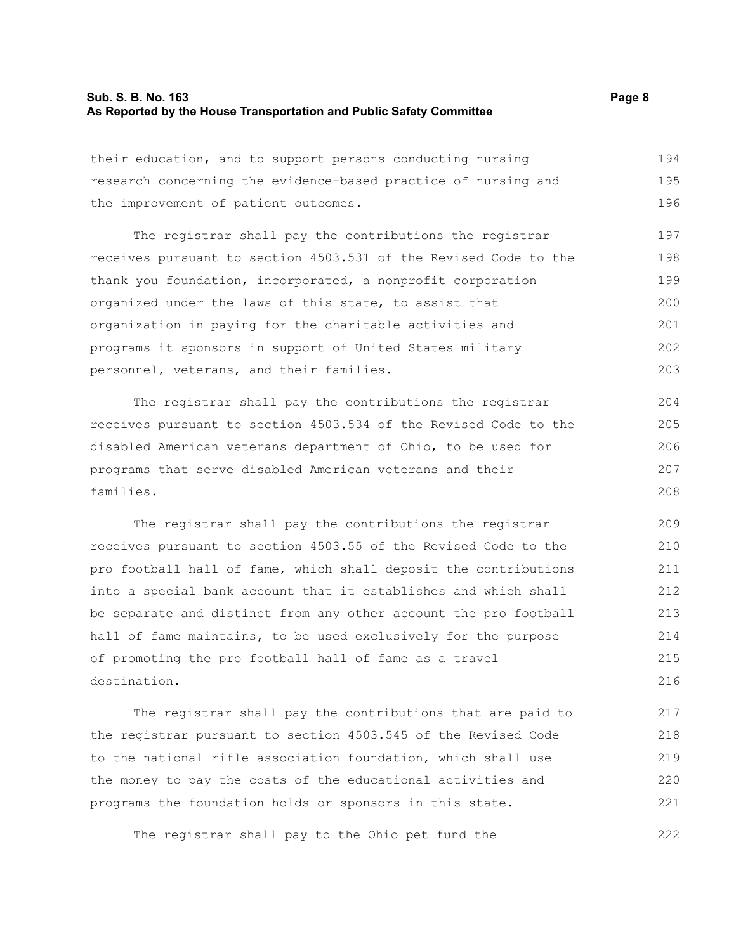#### **Sub. S. B. No. 163 Page 8 As Reported by the House Transportation and Public Safety Committee**

their education, and to support persons conducting nursing research concerning the evidence-based practice of nursing and the improvement of patient outcomes. 194 195 196

The registrar shall pay the contributions the registrar receives pursuant to section 4503.531 of the Revised Code to the thank you foundation, incorporated, a nonprofit corporation organized under the laws of this state, to assist that organization in paying for the charitable activities and programs it sponsors in support of United States military personnel, veterans, and their families. 197 198 199 200 201 202 203

The registrar shall pay the contributions the registrar receives pursuant to section 4503.534 of the Revised Code to the disabled American veterans department of Ohio, to be used for programs that serve disabled American veterans and their families. 204 205 206 207 208

The registrar shall pay the contributions the registrar receives pursuant to section 4503.55 of the Revised Code to the pro football hall of fame, which shall deposit the contributions into a special bank account that it establishes and which shall be separate and distinct from any other account the pro football hall of fame maintains, to be used exclusively for the purpose of promoting the pro football hall of fame as a travel destination. 209 210 211 212 213 214 215 216

The registrar shall pay the contributions that are paid to the registrar pursuant to section 4503.545 of the Revised Code to the national rifle association foundation, which shall use the money to pay the costs of the educational activities and programs the foundation holds or sponsors in this state. 217 218 219 220 221

The registrar shall pay to the Ohio pet fund the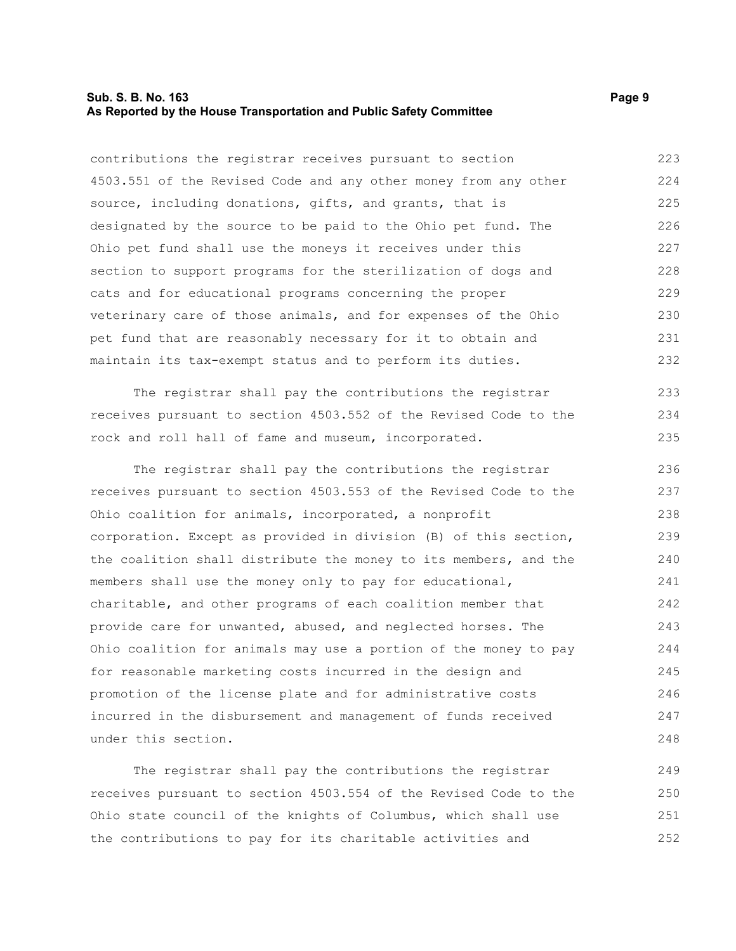#### **Sub. S. B. No. 163 Page 9 As Reported by the House Transportation and Public Safety Committee**

contributions the registrar receives pursuant to section 4503.551 of the Revised Code and any other money from any other source, including donations, gifts, and grants, that is designated by the source to be paid to the Ohio pet fund. The Ohio pet fund shall use the moneys it receives under this section to support programs for the sterilization of dogs and cats and for educational programs concerning the proper veterinary care of those animals, and for expenses of the Ohio pet fund that are reasonably necessary for it to obtain and maintain its tax-exempt status and to perform its duties. 223 224 225 226 227 228 229 230 231 232

The registrar shall pay the contributions the registrar receives pursuant to section 4503.552 of the Revised Code to the rock and roll hall of fame and museum, incorporated. 233 234 235

The registrar shall pay the contributions the registrar receives pursuant to section 4503.553 of the Revised Code to the Ohio coalition for animals, incorporated, a nonprofit corporation. Except as provided in division (B) of this section, the coalition shall distribute the money to its members, and the members shall use the money only to pay for educational, charitable, and other programs of each coalition member that provide care for unwanted, abused, and neglected horses. The Ohio coalition for animals may use a portion of the money to pay for reasonable marketing costs incurred in the design and promotion of the license plate and for administrative costs incurred in the disbursement and management of funds received under this section. 236 237 238 239 240 241 242 243 244 245 246 247 248

The registrar shall pay the contributions the registrar receives pursuant to section 4503.554 of the Revised Code to the Ohio state council of the knights of Columbus, which shall use the contributions to pay for its charitable activities and 249 250 251 252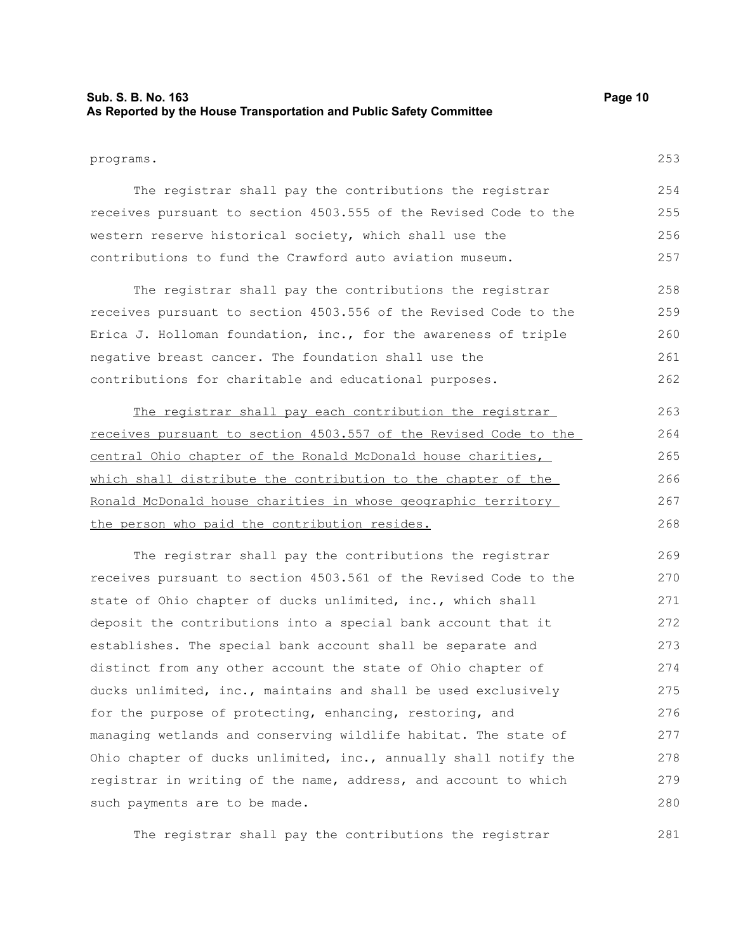#### **Sub. S. B. No. 163 Page 10 As Reported by the House Transportation and Public Safety Committee**

programs.

253

| The registrar shall pay the contributions the registrar          | 254  |
|------------------------------------------------------------------|------|
| receives pursuant to section 4503.555 of the Revised Code to the | 255  |
| western reserve historical society, which shall use the          | 256  |
| contributions to fund the Crawford auto aviation museum.         | 2.57 |

The registrar shall pay the contributions the registrar receives pursuant to section 4503.556 of the Revised Code to the Erica J. Holloman foundation, inc., for the awareness of triple negative breast cancer. The foundation shall use the contributions for charitable and educational purposes. 258 259 260 261 262

The registrar shall pay each contribution the registrar receives pursuant to section 4503.557 of the Revised Code to the central Ohio chapter of the Ronald McDonald house charities, which shall distribute the contribution to the chapter of the Ronald McDonald house charities in whose geographic territory the person who paid the contribution resides. 263 264 265 266 267 268

The registrar shall pay the contributions the registrar receives pursuant to section 4503.561 of the Revised Code to the state of Ohio chapter of ducks unlimited, inc., which shall deposit the contributions into a special bank account that it establishes. The special bank account shall be separate and distinct from any other account the state of Ohio chapter of ducks unlimited, inc., maintains and shall be used exclusively for the purpose of protecting, enhancing, restoring, and managing wetlands and conserving wildlife habitat. The state of Ohio chapter of ducks unlimited, inc., annually shall notify the registrar in writing of the name, address, and account to which such payments are to be made. 269 270 271 272 273 274 275 276 277 278 279 280

The registrar shall pay the contributions the registrar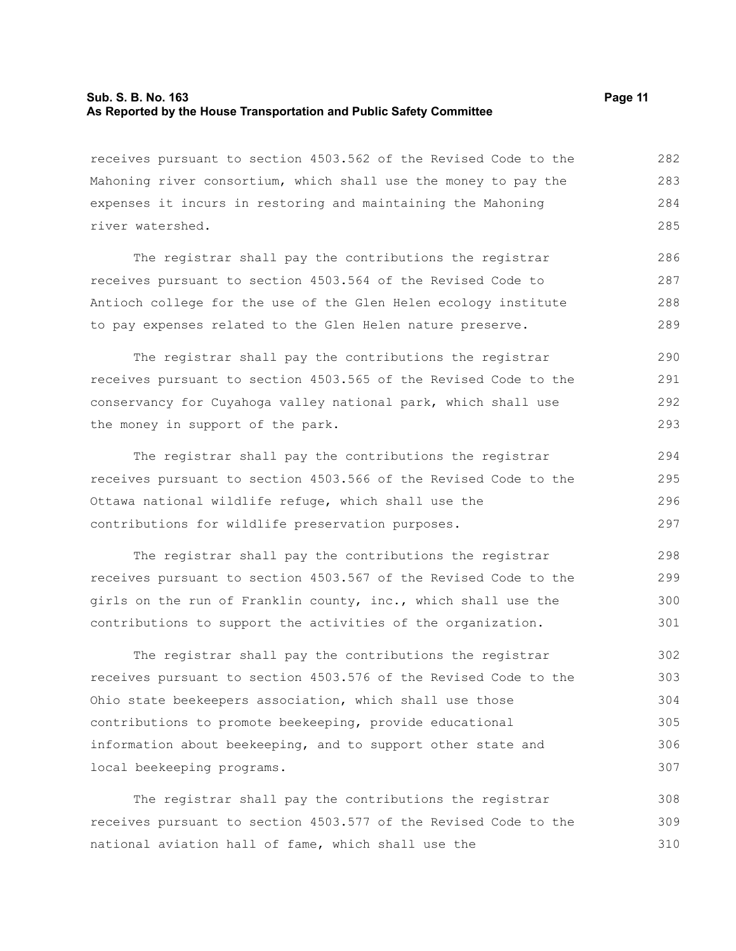#### **Sub. S. B. No. 163 Page 11 As Reported by the House Transportation and Public Safety Committee**

receives pursuant to section 4503.562 of the Revised Code to the Mahoning river consortium, which shall use the money to pay the expenses it incurs in restoring and maintaining the Mahoning river watershed. 282 283 284 285

The registrar shall pay the contributions the registrar receives pursuant to section 4503.564 of the Revised Code to Antioch college for the use of the Glen Helen ecology institute to pay expenses related to the Glen Helen nature preserve. 286 287 288 289

The registrar shall pay the contributions the registrar receives pursuant to section 4503.565 of the Revised Code to the conservancy for Cuyahoga valley national park, which shall use the money in support of the park.

The registrar shall pay the contributions the registrar receives pursuant to section 4503.566 of the Revised Code to the Ottawa national wildlife refuge, which shall use the contributions for wildlife preservation purposes. 294 295 296 297

The registrar shall pay the contributions the registrar receives pursuant to section 4503.567 of the Revised Code to the girls on the run of Franklin county, inc., which shall use the contributions to support the activities of the organization. 298 299 300 301

The registrar shall pay the contributions the registrar receives pursuant to section 4503.576 of the Revised Code to the Ohio state beekeepers association, which shall use those contributions to promote beekeeping, provide educational information about beekeeping, and to support other state and local beekeeping programs. 302 303 304 305 306 307

The registrar shall pay the contributions the registrar receives pursuant to section 4503.577 of the Revised Code to the national aviation hall of fame, which shall use the 308 309 310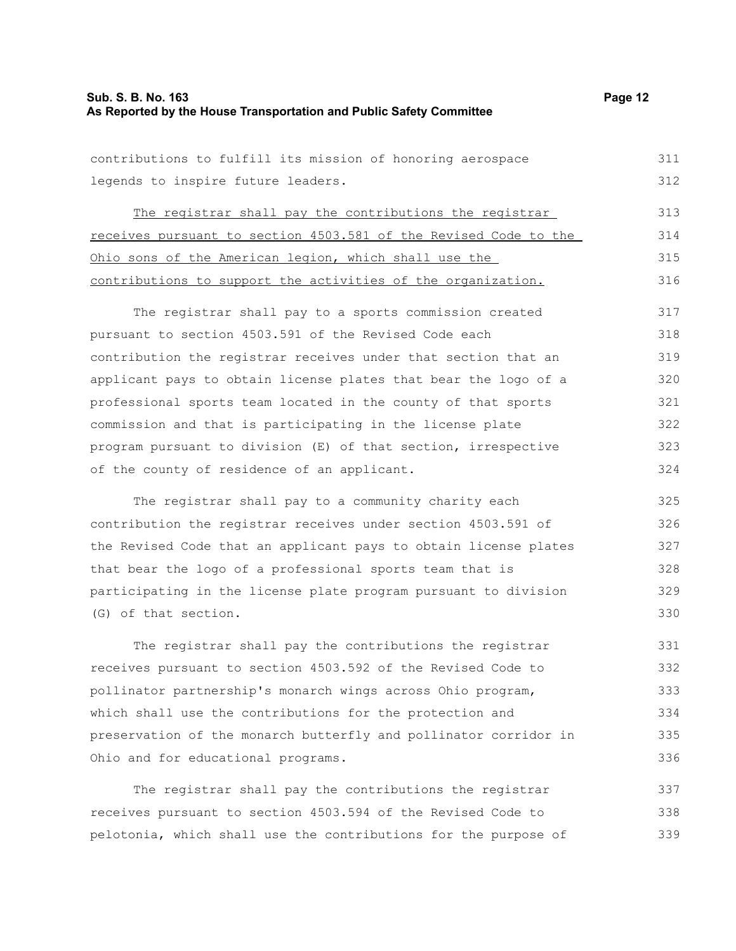| contributions to fulfill its mission of honoring aerospace       | 311 |
|------------------------------------------------------------------|-----|
| legends to inspire future leaders.                               | 312 |
| The registrar shall pay the contributions the registrar          | 313 |
| receives pursuant to section 4503.581 of the Revised Code to the | 314 |
| Ohio sons of the American legion, which shall use the            | 315 |
| contributions to support the activities of the organization.     | 316 |
| The registrar shall pay to a sports commission created           | 317 |
| pursuant to section 4503.591 of the Revised Code each            | 318 |
| contribution the registrar receives under that section that an   | 319 |
| applicant pays to obtain license plates that bear the logo of a  | 320 |
| professional sports team located in the county of that sports    | 321 |
| commission and that is participating in the license plate        | 322 |
| program pursuant to division (E) of that section, irrespective   | 323 |
| of the county of residence of an applicant.                      | 324 |
| The registrar shall pay to a community charity each              | 325 |
| contribution the registrar receives under section 4503.591 of    | 326 |
| the Revised Code that an applicant pays to obtain license plates | 327 |
| that bear the logo of a professional sports team that is         | 328 |
| participating in the license plate program pursuant to division  | 329 |
| (G) of that section.                                             | 330 |
| The registrar shall pay the contributions the registrar          | 331 |
| receives pursuant to section 4503.592 of the Revised Code to     | 332 |
| pollinator partnership's monarch wings across Ohio program,      | 333 |
| which shall use the contributions for the protection and         | 334 |
| preservation of the monarch butterfly and pollinator corridor in | 335 |
| Ohio and for educational programs.                               | 336 |
| The registrar shall pay the contributions the registrar          | 337 |
| receives pursuant to section 4503.594 of the Revised Code to     | 338 |
| pelotonia, which shall use the contributions for the purpose of  | 339 |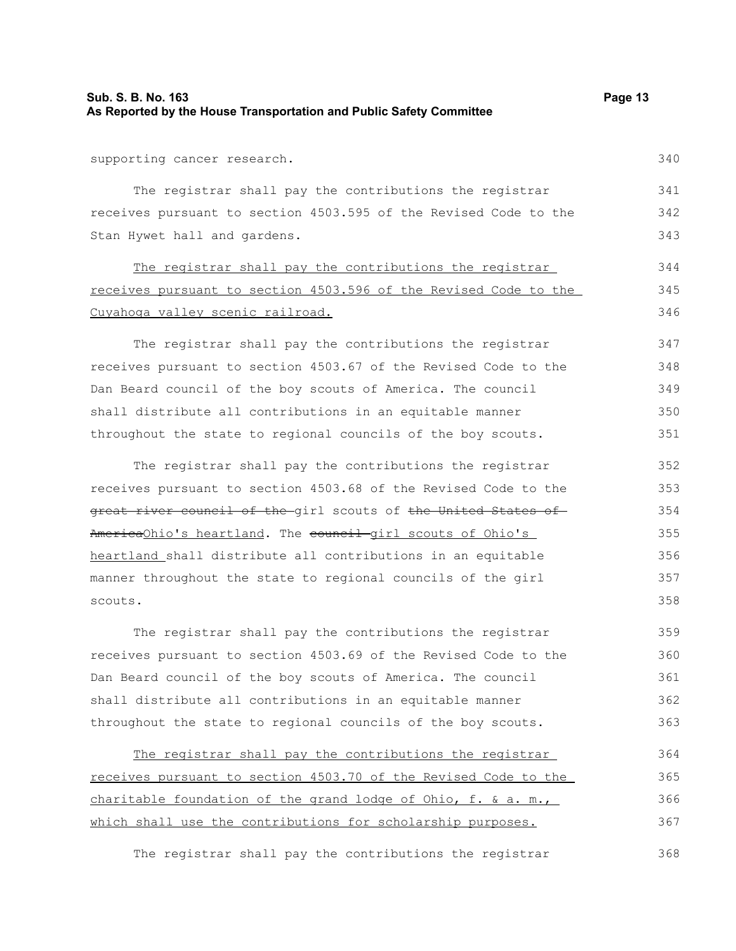#### **Sub. S. B. No. 163 Page 13 As Reported by the House Transportation and Public Safety Committee**

supporting cancer research.

The registrar shall pay the contributions the registrar receives pursuant to section 4503.595 of the Revised Code to the Stan Hywet hall and gardens. 342 343

The registrar shall pay the contributions the registrar receives pursuant to section 4503.596 of the Revised Code to the Cuyahoga valley scenic railroad.

The registrar shall pay the contributions the registrar receives pursuant to section 4503.67 of the Revised Code to the Dan Beard council of the boy scouts of America. The council shall distribute all contributions in an equitable manner throughout the state to regional councils of the boy scouts. 347 348

The registrar shall pay the contributions the registrar receives pursuant to section 4503.68 of the Revised Code to the great river council of the girl scouts of the United States of AmericaOhio's heartland. The council girl scouts of Ohio's heartland shall distribute all contributions in an equitable manner throughout the state to regional councils of the girl scouts. 352 353 354 355 356 357 358

The registrar shall pay the contributions the registrar receives pursuant to section 4503.69 of the Revised Code to the Dan Beard council of the boy scouts of America. The council shall distribute all contributions in an equitable manner throughout the state to regional councils of the boy scouts. 359 360 361 362 363

The registrar shall pay the contributions the registrar receives pursuant to section 4503.70 of the Revised Code to the charitable foundation of the grand lodge of Ohio, f. & a. m., which shall use the contributions for scholarship purposes. 364 365 366 367

The registrar shall pay the contributions the registrar 368

341

344 345 346

340

349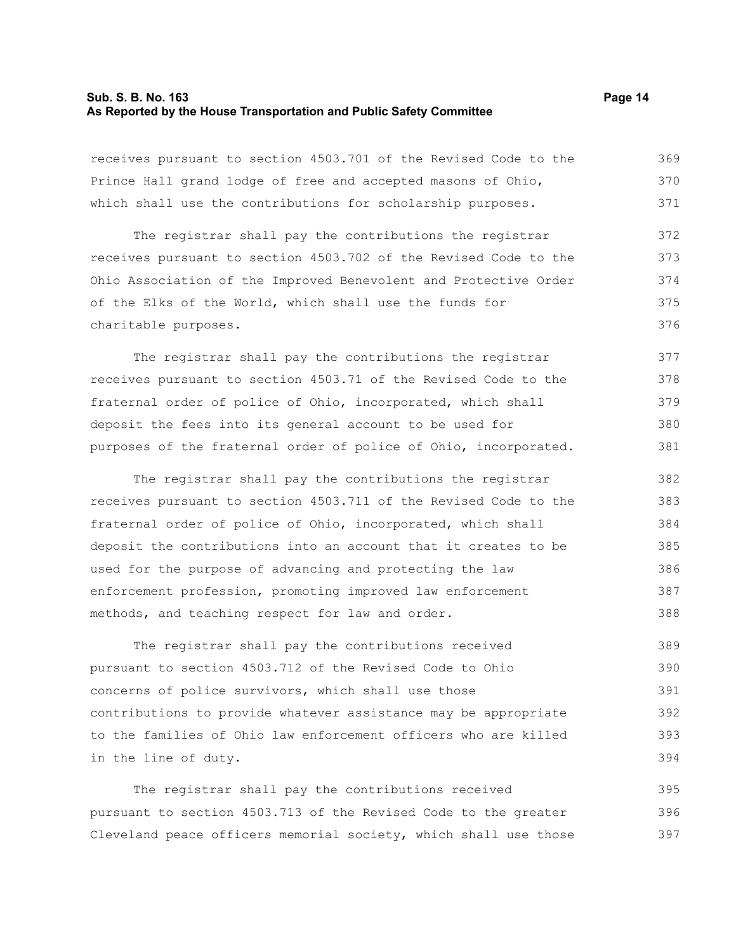#### **Sub. S. B. No. 163 Page 14 As Reported by the House Transportation and Public Safety Committee**

receives pursuant to section 4503.701 of the Revised Code to the Prince Hall grand lodge of free and accepted masons of Ohio, which shall use the contributions for scholarship purposes. 369 370 371

The registrar shall pay the contributions the registrar receives pursuant to section 4503.702 of the Revised Code to the Ohio Association of the Improved Benevolent and Protective Order of the Elks of the World, which shall use the funds for charitable purposes. 372 373 374 375 376

The registrar shall pay the contributions the registrar receives pursuant to section 4503.71 of the Revised Code to the fraternal order of police of Ohio, incorporated, which shall deposit the fees into its general account to be used for purposes of the fraternal order of police of Ohio, incorporated. 377 378 379 380 381

The registrar shall pay the contributions the registrar receives pursuant to section 4503.711 of the Revised Code to the fraternal order of police of Ohio, incorporated, which shall deposit the contributions into an account that it creates to be used for the purpose of advancing and protecting the law enforcement profession, promoting improved law enforcement methods, and teaching respect for law and order. 382 383 384 385 386 387 388

The registrar shall pay the contributions received pursuant to section 4503.712 of the Revised Code to Ohio concerns of police survivors, which shall use those contributions to provide whatever assistance may be appropriate to the families of Ohio law enforcement officers who are killed in the line of duty. 389 390 391 392 393 394

The registrar shall pay the contributions received pursuant to section 4503.713 of the Revised Code to the greater Cleveland peace officers memorial society, which shall use those 395 396 397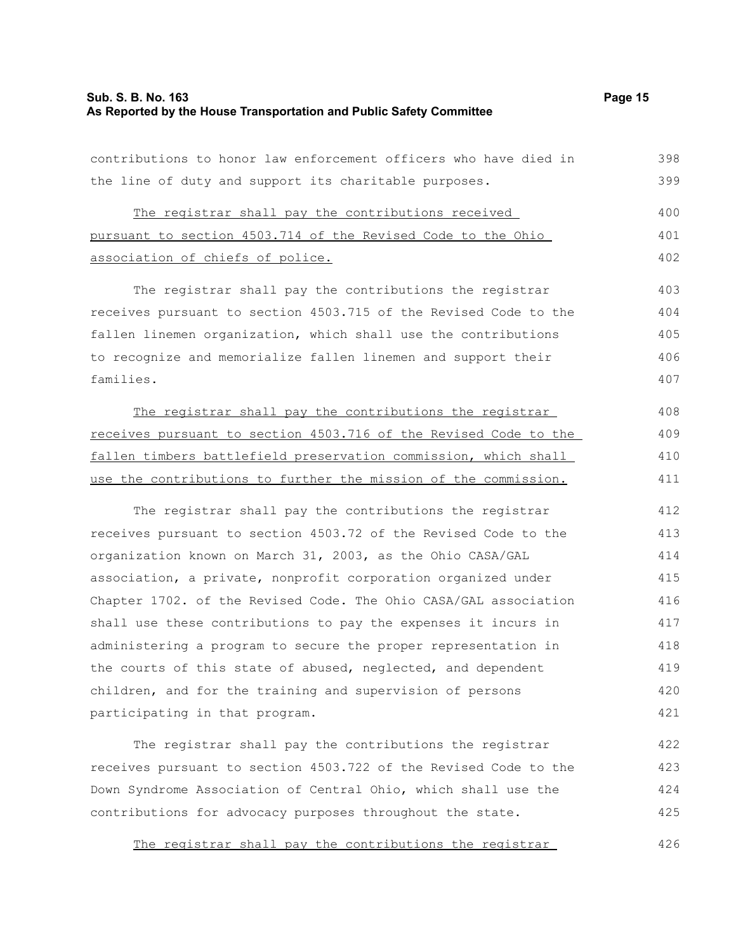#### **Sub. S. B. No. 163 Page 15 As Reported by the House Transportation and Public Safety Committee**

contributions to honor law enforcement officers who have died in the line of duty and support its charitable purposes. 398 399

The registrar shall pay the contributions received pursuant to section 4503.714 of the Revised Code to the Ohio association of chiefs of police. 400 401 402

The registrar shall pay the contributions the registrar receives pursuant to section 4503.715 of the Revised Code to the fallen linemen organization, which shall use the contributions to recognize and memorialize fallen linemen and support their families. 403 404 405 406 407

The registrar shall pay the contributions the registrar receives pursuant to section 4503.716 of the Revised Code to the fallen timbers battlefield preservation commission, which shall use the contributions to further the mission of the commission.

The registrar shall pay the contributions the registrar receives pursuant to section 4503.72 of the Revised Code to the organization known on March 31, 2003, as the Ohio CASA/GAL association, a private, nonprofit corporation organized under Chapter 1702. of the Revised Code. The Ohio CASA/GAL association shall use these contributions to pay the expenses it incurs in administering a program to secure the proper representation in the courts of this state of abused, neglected, and dependent children, and for the training and supervision of persons participating in that program. 412 413 414 415 416 417 418 419 420 421

The registrar shall pay the contributions the registrar receives pursuant to section 4503.722 of the Revised Code to the Down Syndrome Association of Central Ohio, which shall use the contributions for advocacy purposes throughout the state. 422 423 424 425

The registrar shall pay the contributions the registrar 426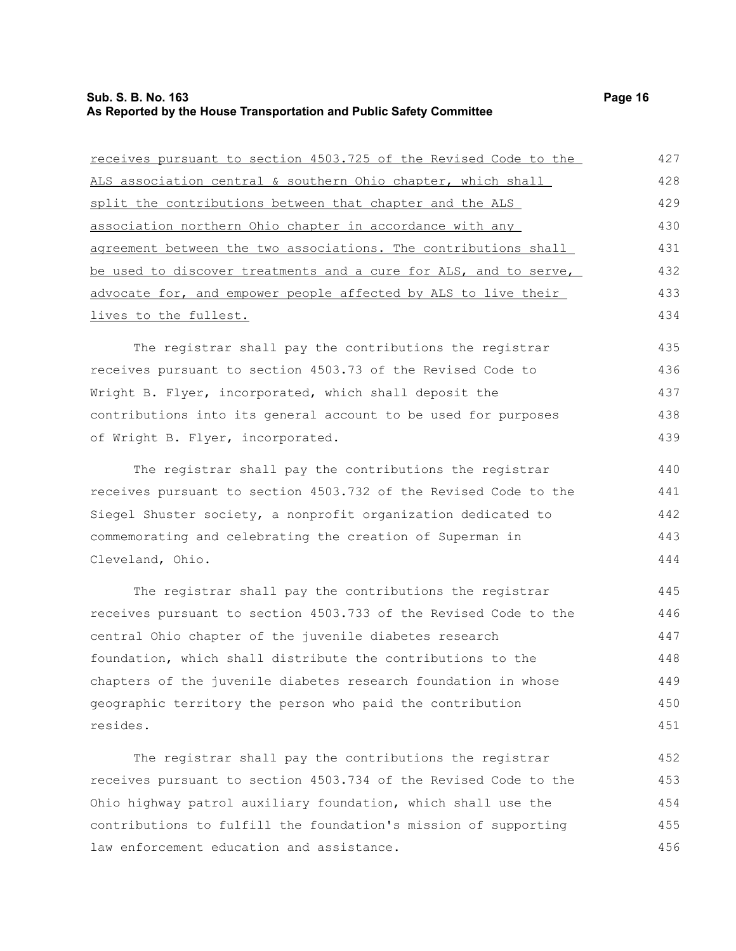## **Sub. S. B. No. 163 Page 16 As Reported by the House Transportation and Public Safety Committee**

| receives pursuant to section 4503.725 of the Revised Code to the | 427 |
|------------------------------------------------------------------|-----|
| ALS association central & southern Ohio chapter, which shall     | 428 |
| split the contributions between that chapter and the ALS         | 429 |
| association northern Ohio chapter in accordance with any         | 430 |
| agreement between the two associations. The contributions shall  | 431 |
| be used to discover treatments and a cure for ALS, and to serve, | 432 |
| advocate for, and empower people affected by ALS to live their   | 433 |
| lives to the fullest.                                            | 434 |
| The registrar shall pay the contributions the registrar          | 435 |
| receives pursuant to section 4503.73 of the Revised Code to      | 436 |
| Wright B. Flyer, incorporated, which shall deposit the           | 437 |
| contributions into its general account to be used for purposes   | 438 |
| of Wright B. Flyer, incorporated.                                | 439 |
| The registrar shall pay the contributions the registrar          | 440 |
| receives pursuant to section 4503.732 of the Revised Code to the | 441 |
| Siegel Shuster society, a nonprofit organization dedicated to    | 442 |
| commemorating and celebrating the creation of Superman in        | 443 |
| Cleveland, Ohio.                                                 | 444 |
| The registrar shall pay the contributions the registrar          | 445 |
| receives pursuant to section 4503.733 of the Revised Code to the | 446 |
| central Ohio chapter of the juvenile diabetes research           | 447 |
| foundation, which shall distribute the contributions to the      | 448 |
| chapters of the juvenile diabetes research foundation in whose   | 449 |
| geographic territory the person who paid the contribution        | 450 |
| resides.                                                         | 451 |
| The registrar shall pay the contributions the registrar          | 452 |
| receives pursuant to section 4503.734 of the Revised Code to the | 453 |

Ohio highway patrol auxiliary foundation, which shall use the contributions to fulfill the foundation's mission of supporting law enforcement education and assistance. 454 455 456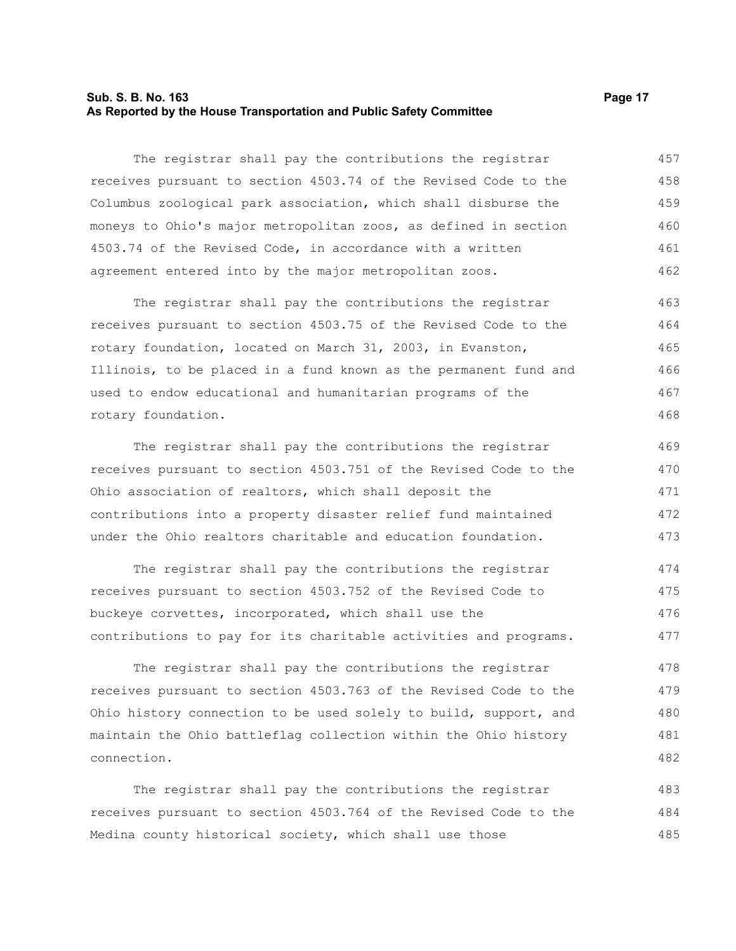#### **Sub. S. B. No. 163 Page 17 As Reported by the House Transportation and Public Safety Committee**

The registrar shall pay the contributions the registrar receives pursuant to section 4503.74 of the Revised Code to the Columbus zoological park association, which shall disburse the moneys to Ohio's major metropolitan zoos, as defined in section 4503.74 of the Revised Code, in accordance with a written agreement entered into by the major metropolitan zoos. 457 458 459 460 461 462

The registrar shall pay the contributions the registrar receives pursuant to section 4503.75 of the Revised Code to the rotary foundation, located on March 31, 2003, in Evanston, Illinois, to be placed in a fund known as the permanent fund and used to endow educational and humanitarian programs of the rotary foundation. 463 464 465 466 467 468

The registrar shall pay the contributions the registrar receives pursuant to section 4503.751 of the Revised Code to the Ohio association of realtors, which shall deposit the contributions into a property disaster relief fund maintained under the Ohio realtors charitable and education foundation. 469 470 471 472 473

The registrar shall pay the contributions the registrar receives pursuant to section 4503.752 of the Revised Code to buckeye corvettes, incorporated, which shall use the contributions to pay for its charitable activities and programs. 474 475 476 477

The registrar shall pay the contributions the registrar receives pursuant to section 4503.763 of the Revised Code to the Ohio history connection to be used solely to build, support, and maintain the Ohio battleflag collection within the Ohio history connection. 478 479 480 481 482

The registrar shall pay the contributions the registrar receives pursuant to section 4503.764 of the Revised Code to the Medina county historical society, which shall use those 483 484 485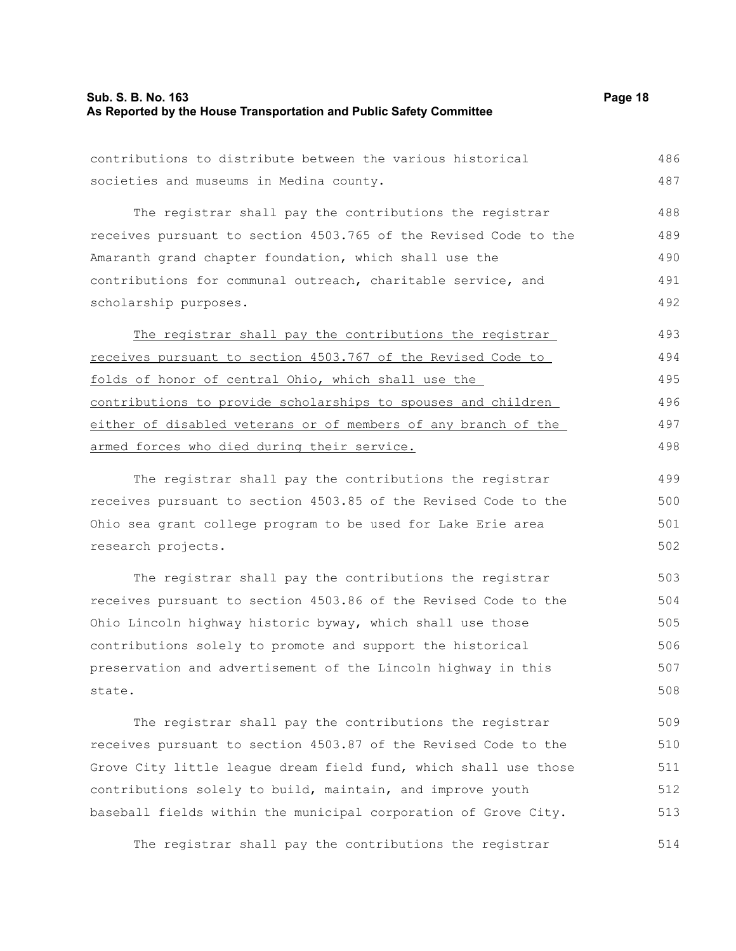#### **Sub. S. B. No. 163 Page 18 As Reported by the House Transportation and Public Safety Committee**

contributions to distribute between the various historical societies and museums in Medina county. 486 487

The registrar shall pay the contributions the registrar receives pursuant to section 4503.765 of the Revised Code to the Amaranth grand chapter foundation, which shall use the contributions for communal outreach, charitable service, and scholarship purposes. 488 489 490 491 492

The registrar shall pay the contributions the registrar receives pursuant to section 4503.767 of the Revised Code to folds of honor of central Ohio, which shall use the contributions to provide scholarships to spouses and children either of disabled veterans or of members of any branch of the armed forces who died during their service. 493 494 495 496 497 498

The registrar shall pay the contributions the registrar receives pursuant to section 4503.85 of the Revised Code to the Ohio sea grant college program to be used for Lake Erie area research projects.

The registrar shall pay the contributions the registrar receives pursuant to section 4503.86 of the Revised Code to the Ohio Lincoln highway historic byway, which shall use those contributions solely to promote and support the historical preservation and advertisement of the Lincoln highway in this state. 503 504 505 506 507 508

The registrar shall pay the contributions the registrar receives pursuant to section 4503.87 of the Revised Code to the Grove City little league dream field fund, which shall use those contributions solely to build, maintain, and improve youth baseball fields within the municipal corporation of Grove City. 509 510 511 512 513

The registrar shall pay the contributions the registrar 514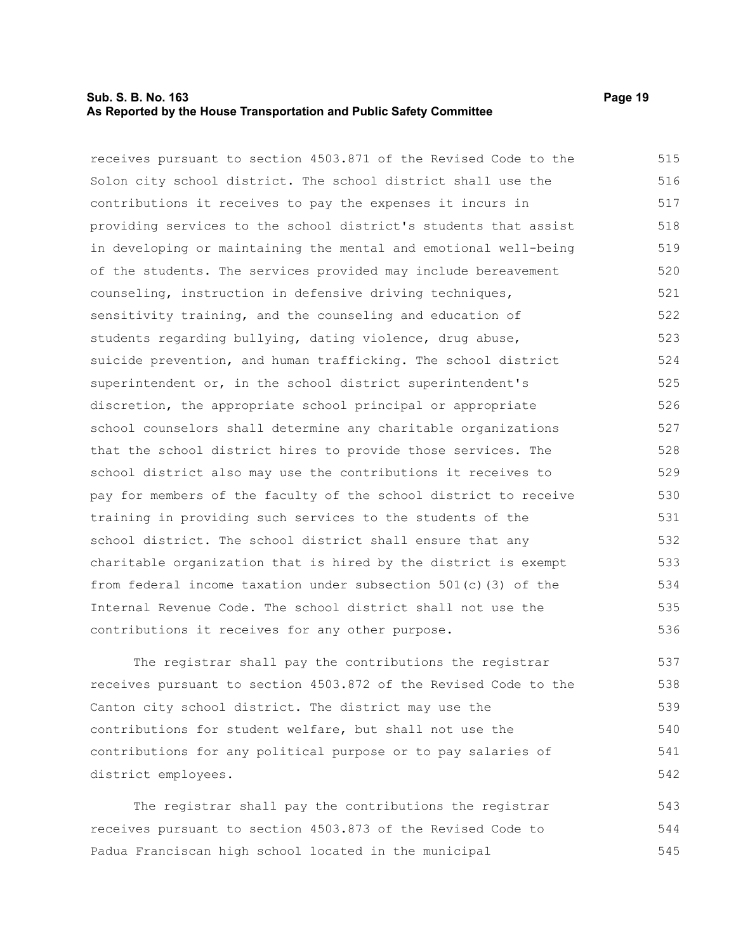#### **Sub. S. B. No. 163 Page 19 As Reported by the House Transportation and Public Safety Committee**

receives pursuant to section 4503.871 of the Revised Code to the Solon city school district. The school district shall use the contributions it receives to pay the expenses it incurs in providing services to the school district's students that assist in developing or maintaining the mental and emotional well-being of the students. The services provided may include bereavement counseling, instruction in defensive driving techniques, sensitivity training, and the counseling and education of students regarding bullying, dating violence, drug abuse, suicide prevention, and human trafficking. The school district superintendent or, in the school district superintendent's discretion, the appropriate school principal or appropriate school counselors shall determine any charitable organizations that the school district hires to provide those services. The school district also may use the contributions it receives to pay for members of the faculty of the school district to receive training in providing such services to the students of the school district. The school district shall ensure that any charitable organization that is hired by the district is exempt from federal income taxation under subsection 501(c)(3) of the Internal Revenue Code. The school district shall not use the contributions it receives for any other purpose. 515 516 517 518 519 520 521 522 523 524 525 526 527 528 529 530 531 532 533 534 535 536

The registrar shall pay the contributions the registrar receives pursuant to section 4503.872 of the Revised Code to the Canton city school district. The district may use the contributions for student welfare, but shall not use the contributions for any political purpose or to pay salaries of district employees. 537 538 539 540 541 542

The registrar shall pay the contributions the registrar receives pursuant to section 4503.873 of the Revised Code to Padua Franciscan high school located in the municipal 543 544 545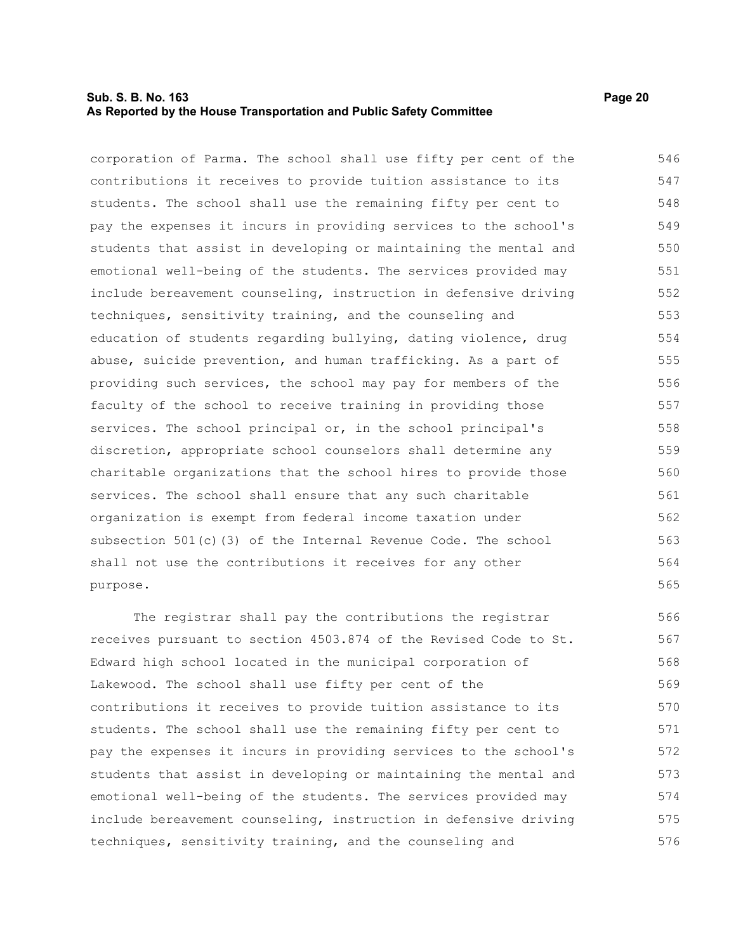#### **Sub. S. B. No. 163 Page 20 As Reported by the House Transportation and Public Safety Committee**

corporation of Parma. The school shall use fifty per cent of the contributions it receives to provide tuition assistance to its students. The school shall use the remaining fifty per cent to pay the expenses it incurs in providing services to the school's students that assist in developing or maintaining the mental and emotional well-being of the students. The services provided may include bereavement counseling, instruction in defensive driving techniques, sensitivity training, and the counseling and education of students regarding bullying, dating violence, drug abuse, suicide prevention, and human trafficking. As a part of providing such services, the school may pay for members of the faculty of the school to receive training in providing those services. The school principal or, in the school principal's discretion, appropriate school counselors shall determine any charitable organizations that the school hires to provide those services. The school shall ensure that any such charitable organization is exempt from federal income taxation under subsection 501(c)(3) of the Internal Revenue Code. The school shall not use the contributions it receives for any other purpose. 546 547 548 549 550 551 552 553 554 555 556 557 558 559 560 561 562 563 564 565

The registrar shall pay the contributions the registrar receives pursuant to section 4503.874 of the Revised Code to St. Edward high school located in the municipal corporation of Lakewood. The school shall use fifty per cent of the contributions it receives to provide tuition assistance to its students. The school shall use the remaining fifty per cent to pay the expenses it incurs in providing services to the school's students that assist in developing or maintaining the mental and emotional well-being of the students. The services provided may include bereavement counseling, instruction in defensive driving techniques, sensitivity training, and the counseling and 566 567 568 569 570 571 572 573 574 575 576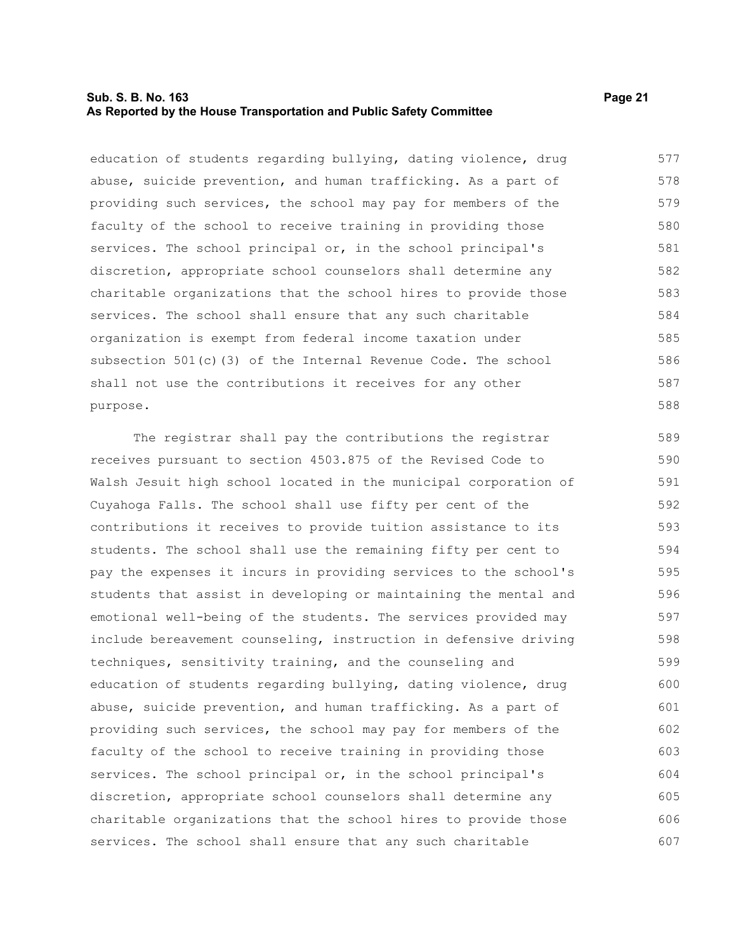#### **Sub. S. B. No. 163 Page 21 As Reported by the House Transportation and Public Safety Committee**

education of students regarding bullying, dating violence, drug abuse, suicide prevention, and human trafficking. As a part of providing such services, the school may pay for members of the faculty of the school to receive training in providing those services. The school principal or, in the school principal's discretion, appropriate school counselors shall determine any charitable organizations that the school hires to provide those services. The school shall ensure that any such charitable organization is exempt from federal income taxation under subsection 501(c)(3) of the Internal Revenue Code. The school shall not use the contributions it receives for any other purpose. 577 578 579 580 581 582 583 584 585 586 587 588

The registrar shall pay the contributions the registrar receives pursuant to section 4503.875 of the Revised Code to Walsh Jesuit high school located in the municipal corporation of Cuyahoga Falls. The school shall use fifty per cent of the contributions it receives to provide tuition assistance to its students. The school shall use the remaining fifty per cent to pay the expenses it incurs in providing services to the school's students that assist in developing or maintaining the mental and emotional well-being of the students. The services provided may include bereavement counseling, instruction in defensive driving techniques, sensitivity training, and the counseling and education of students regarding bullying, dating violence, drug abuse, suicide prevention, and human trafficking. As a part of providing such services, the school may pay for members of the faculty of the school to receive training in providing those services. The school principal or, in the school principal's discretion, appropriate school counselors shall determine any charitable organizations that the school hires to provide those services. The school shall ensure that any such charitable 589 590 591 592 593 594 595 596 597 598 599 600 601 602 603 604 605 606 607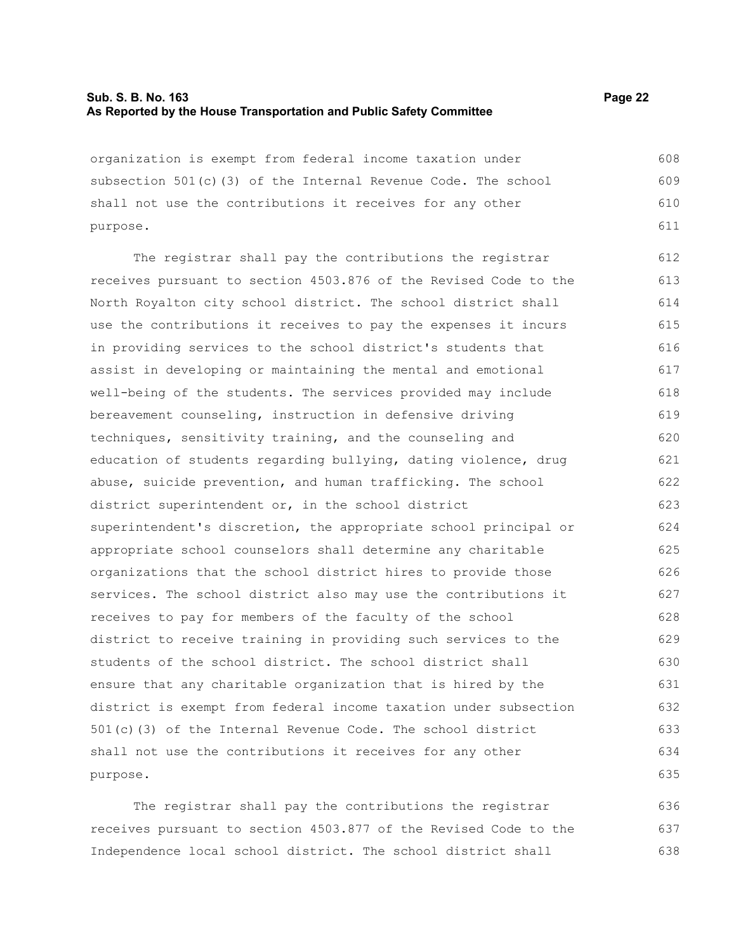#### **Sub. S. B. No. 163 Page 22 As Reported by the House Transportation and Public Safety Committee**

organization is exempt from federal income taxation under subsection 501(c)(3) of the Internal Revenue Code. The school shall not use the contributions it receives for any other purpose. 608 609 610 611

The registrar shall pay the contributions the registrar receives pursuant to section 4503.876 of the Revised Code to the North Royalton city school district. The school district shall use the contributions it receives to pay the expenses it incurs in providing services to the school district's students that assist in developing or maintaining the mental and emotional well-being of the students. The services provided may include bereavement counseling, instruction in defensive driving techniques, sensitivity training, and the counseling and education of students regarding bullying, dating violence, drug abuse, suicide prevention, and human trafficking. The school district superintendent or, in the school district superintendent's discretion, the appropriate school principal or appropriate school counselors shall determine any charitable organizations that the school district hires to provide those services. The school district also may use the contributions it receives to pay for members of the faculty of the school district to receive training in providing such services to the students of the school district. The school district shall ensure that any charitable organization that is hired by the district is exempt from federal income taxation under subsection 501(c)(3) of the Internal Revenue Code. The school district shall not use the contributions it receives for any other purpose. 612 613 614 615 616 617 618 619 620 621 622 623 624 625 626 627 628 629 630 631 632 633 634 635

The registrar shall pay the contributions the registrar receives pursuant to section 4503.877 of the Revised Code to the Independence local school district. The school district shall 636 637 638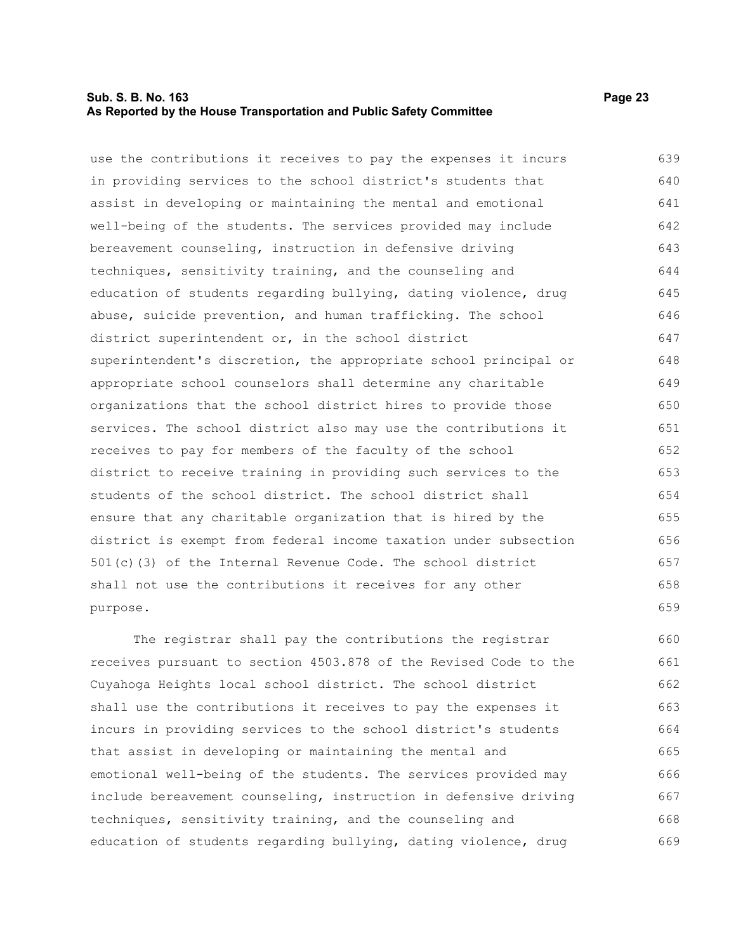#### **Sub. S. B. No. 163 Page 23 As Reported by the House Transportation and Public Safety Committee**

use the contributions it receives to pay the expenses it incurs in providing services to the school district's students that assist in developing or maintaining the mental and emotional well-being of the students. The services provided may include bereavement counseling, instruction in defensive driving techniques, sensitivity training, and the counseling and education of students regarding bullying, dating violence, drug abuse, suicide prevention, and human trafficking. The school district superintendent or, in the school district superintendent's discretion, the appropriate school principal or appropriate school counselors shall determine any charitable organizations that the school district hires to provide those services. The school district also may use the contributions it receives to pay for members of the faculty of the school district to receive training in providing such services to the students of the school district. The school district shall ensure that any charitable organization that is hired by the district is exempt from federal income taxation under subsection 501(c)(3) of the Internal Revenue Code. The school district shall not use the contributions it receives for any other purpose. 639 640 641 642 643 644 645 646 647 648 649 650 651 652 653 654 655 656 657 658 659

The registrar shall pay the contributions the registrar receives pursuant to section 4503.878 of the Revised Code to the Cuyahoga Heights local school district. The school district shall use the contributions it receives to pay the expenses it incurs in providing services to the school district's students that assist in developing or maintaining the mental and emotional well-being of the students. The services provided may include bereavement counseling, instruction in defensive driving techniques, sensitivity training, and the counseling and education of students regarding bullying, dating violence, drug 660 661 662 663 664 665 666 667 668 669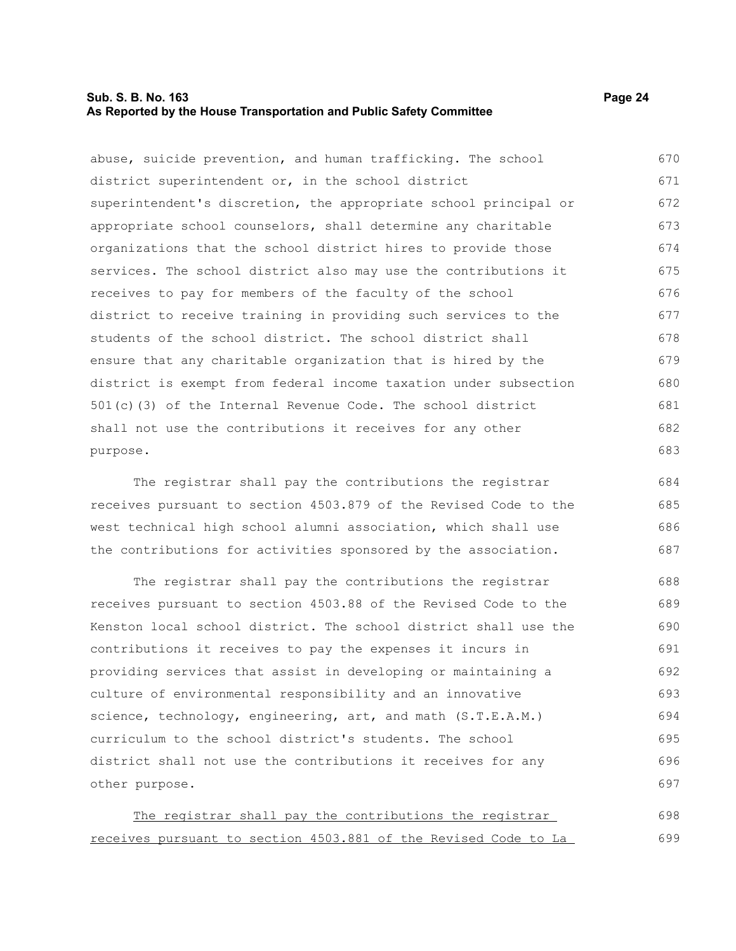#### **Sub. S. B. No. 163 Page 24 As Reported by the House Transportation and Public Safety Committee**

abuse, suicide prevention, and human trafficking. The school district superintendent or, in the school district superintendent's discretion, the appropriate school principal or appropriate school counselors, shall determine any charitable organizations that the school district hires to provide those services. The school district also may use the contributions it receives to pay for members of the faculty of the school district to receive training in providing such services to the students of the school district. The school district shall ensure that any charitable organization that is hired by the district is exempt from federal income taxation under subsection 501(c)(3) of the Internal Revenue Code. The school district shall not use the contributions it receives for any other purpose. 670 671 672 673 674 675 676 677 678 679 680 681 682 683

The registrar shall pay the contributions the registrar receives pursuant to section 4503.879 of the Revised Code to the west technical high school alumni association, which shall use the contributions for activities sponsored by the association. 684 685 686 687

The registrar shall pay the contributions the registrar receives pursuant to section 4503.88 of the Revised Code to the Kenston local school district. The school district shall use the contributions it receives to pay the expenses it incurs in providing services that assist in developing or maintaining a culture of environmental responsibility and an innovative science, technology, engineering, art, and math (S.T.E.A.M.) curriculum to the school district's students. The school district shall not use the contributions it receives for any other purpose. 688 689 690 691 692 693 694 695 696 697

The registrar shall pay the contributions the registrar receives pursuant to section 4503.881 of the Revised Code to La 698 699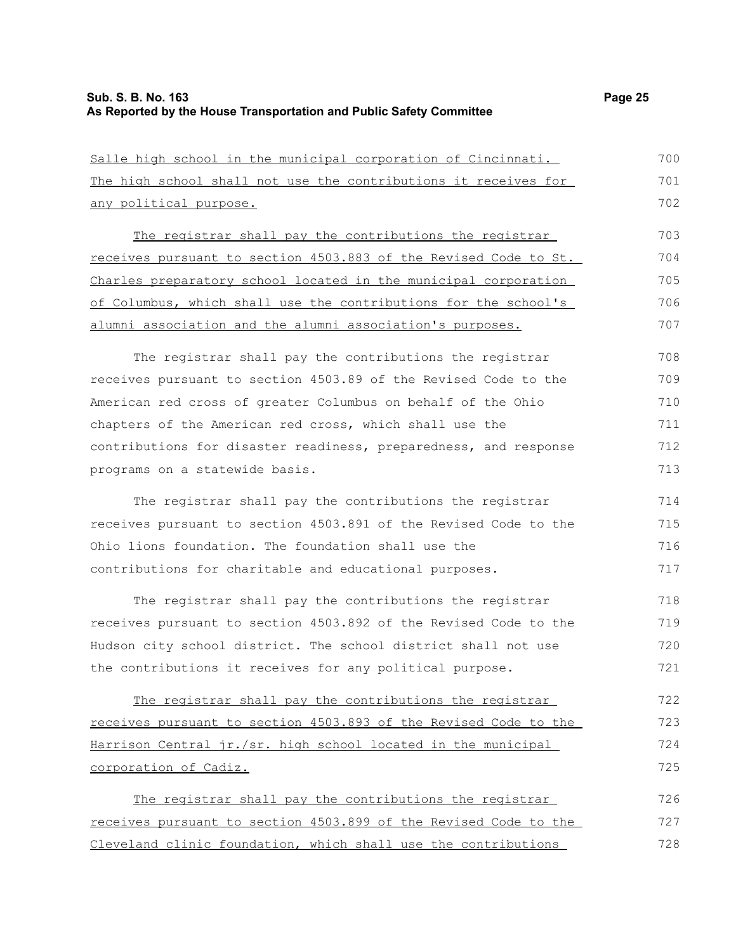#### **Sub. S. B. No. 163 Page 25 As Reported by the House Transportation and Public Safety Committee**

Salle high school in the municipal corporation of Cincinnati.

The high school shall not use the contributions it receives for any political purpose. The registrar shall pay the contributions the registrar receives pursuant to section 4503.883 of the Revised Code to St. Charles preparatory school located in the municipal corporation of Columbus, which shall use the contributions for the school's alumni association and the alumni association's purposes. The registrar shall pay the contributions the registrar receives pursuant to section 4503.89 of the Revised Code to the American red cross of greater Columbus on behalf of the Ohio chapters of the American red cross, which shall use the contributions for disaster readiness, preparedness, and response programs on a statewide basis. The registrar shall pay the contributions the registrar 702 703 704 705 706 707 708 709 710 711 712 713 714

receives pursuant to section 4503.891 of the Revised Code to the Ohio lions foundation. The foundation shall use the contributions for charitable and educational purposes. 715 716 717

The registrar shall pay the contributions the registrar receives pursuant to section 4503.892 of the Revised Code to the Hudson city school district. The school district shall not use the contributions it receives for any political purpose. 718 719 720 721

The registrar shall pay the contributions the registrar receives pursuant to section 4503.893 of the Revised Code to the Harrison Central jr./sr. high school located in the municipal corporation of Cadiz. 722 723 724 725

The registrar shall pay the contributions the registrar receives pursuant to section 4503.899 of the Revised Code to the Cleveland clinic foundation, which shall use the contributions 726 727 728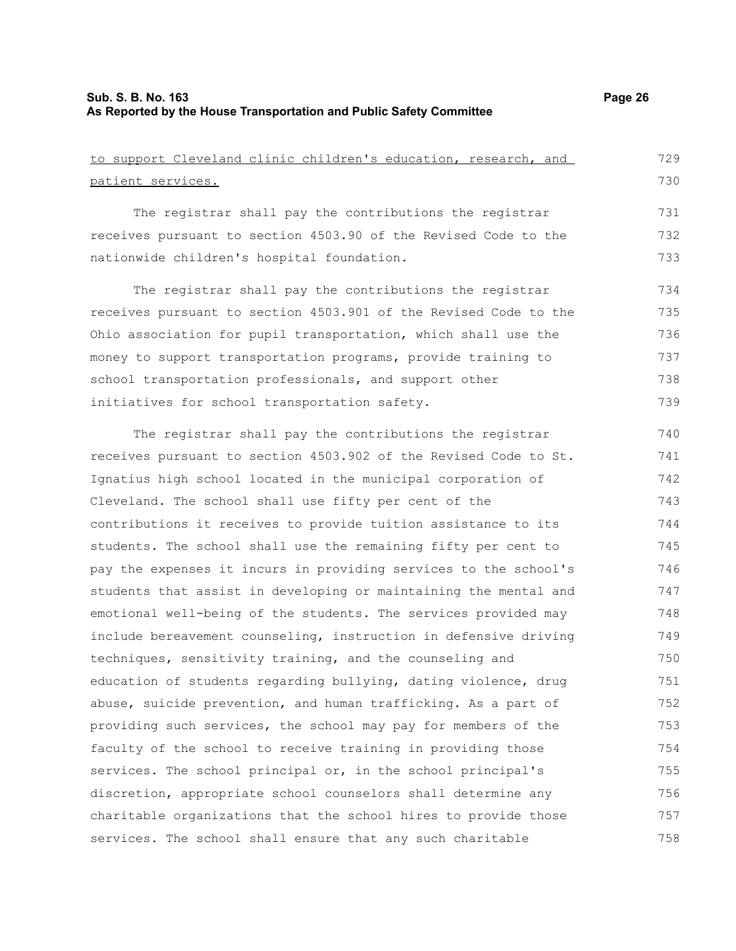| to support Cleveland clinic children's education, research, and  | 729 |
|------------------------------------------------------------------|-----|
| patient services.                                                | 730 |
| The registrar shall pay the contributions the registrar          | 731 |
| receives pursuant to section 4503.90 of the Revised Code to the  | 732 |
| nationwide children's hospital foundation.                       | 733 |
| The registrar shall pay the contributions the registrar          | 734 |
| receives pursuant to section 4503.901 of the Revised Code to the | 735 |
| Ohio association for pupil transportation, which shall use the   | 736 |
| money to support transportation programs, provide training to    | 737 |
| school transportation professionals, and support other           | 738 |
| initiatives for school transportation safety.                    | 739 |
| The registrar shall pay the contributions the registrar          | 740 |
| receives pursuant to section 4503.902 of the Revised Code to St. | 741 |
| Ignatius high school located in the municipal corporation of     | 742 |
| Cleveland. The school shall use fifty per cent of the            | 743 |
| contributions it receives to provide tuition assistance to its   | 744 |
| students. The school shall use the remaining fifty per cent to   | 745 |
| pay the expenses it incurs in providing services to the school's | 746 |
| students that assist in developing or maintaining the mental and | 747 |
| emotional well-being of the students. The services provided may  | 748 |
| include bereavement counseling, instruction in defensive driving | 749 |
| techniques, sensitivity training, and the counseling and         | 750 |
| education of students regarding bullying, dating violence, drug  | 751 |
| abuse, suicide prevention, and human trafficking. As a part of   | 752 |
| providing such services, the school may pay for members of the   | 753 |
| faculty of the school to receive training in providing those     | 754 |
| services. The school principal or, in the school principal's     | 755 |
| discretion, appropriate school counselors shall determine any    | 756 |
| charitable organizations that the school hires to provide those  | 757 |
| services. The school shall ensure that any such charitable       | 758 |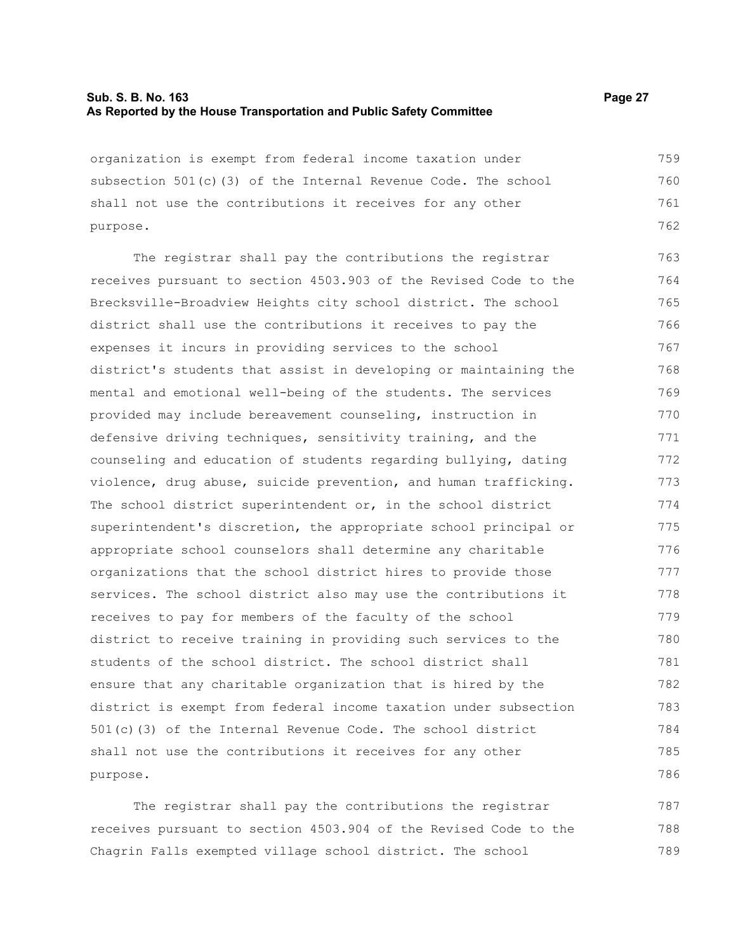#### **Sub. S. B. No. 163 Page 27 As Reported by the House Transportation and Public Safety Committee**

organization is exempt from federal income taxation under subsection 501(c)(3) of the Internal Revenue Code. The school shall not use the contributions it receives for any other purpose. 759 760 761 762

The registrar shall pay the contributions the registrar receives pursuant to section 4503.903 of the Revised Code to the Brecksville-Broadview Heights city school district. The school district shall use the contributions it receives to pay the expenses it incurs in providing services to the school district's students that assist in developing or maintaining the mental and emotional well-being of the students. The services provided may include bereavement counseling, instruction in defensive driving techniques, sensitivity training, and the counseling and education of students regarding bullying, dating violence, drug abuse, suicide prevention, and human trafficking. The school district superintendent or, in the school district superintendent's discretion, the appropriate school principal or appropriate school counselors shall determine any charitable organizations that the school district hires to provide those services. The school district also may use the contributions it receives to pay for members of the faculty of the school district to receive training in providing such services to the students of the school district. The school district shall ensure that any charitable organization that is hired by the district is exempt from federal income taxation under subsection 501(c)(3) of the Internal Revenue Code. The school district shall not use the contributions it receives for any other purpose. 763 764 765 766 767 768 769 770 771 772 773 774 775 776 777 778 779 780 781 782 783 784 785 786

The registrar shall pay the contributions the registrar receives pursuant to section 4503.904 of the Revised Code to the Chagrin Falls exempted village school district. The school 787 788 789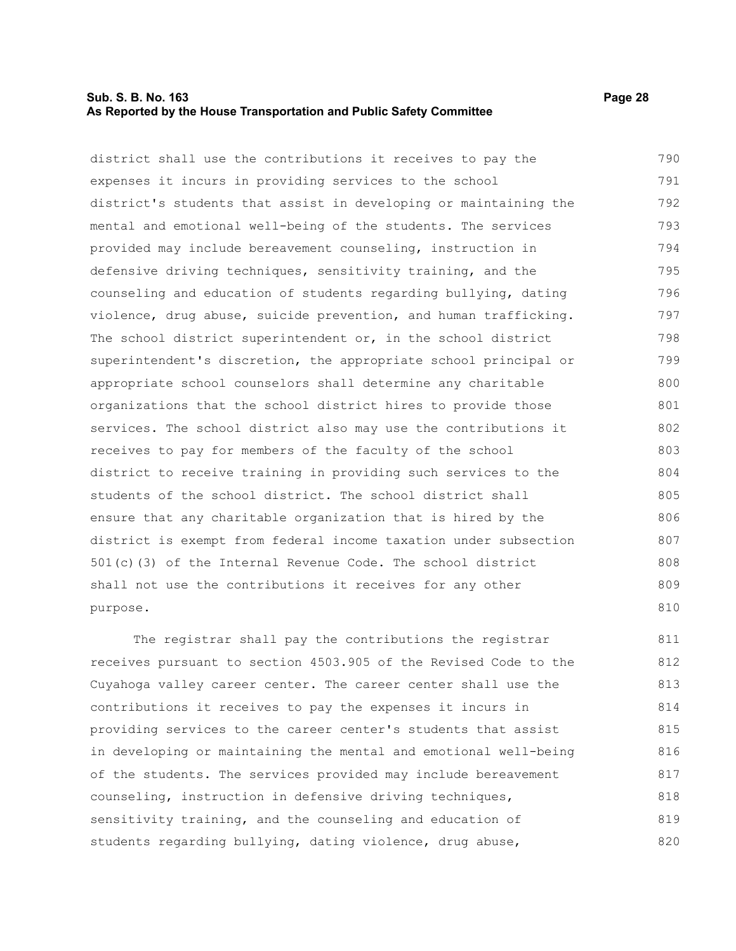#### **Sub. S. B. No. 163 Page 28 As Reported by the House Transportation and Public Safety Committee**

district shall use the contributions it receives to pay the expenses it incurs in providing services to the school district's students that assist in developing or maintaining the mental and emotional well-being of the students. The services provided may include bereavement counseling, instruction in defensive driving techniques, sensitivity training, and the counseling and education of students regarding bullying, dating violence, drug abuse, suicide prevention, and human trafficking. The school district superintendent or, in the school district superintendent's discretion, the appropriate school principal or appropriate school counselors shall determine any charitable organizations that the school district hires to provide those services. The school district also may use the contributions it receives to pay for members of the faculty of the school district to receive training in providing such services to the students of the school district. The school district shall ensure that any charitable organization that is hired by the district is exempt from federal income taxation under subsection 501(c)(3) of the Internal Revenue Code. The school district shall not use the contributions it receives for any other purpose. 790 791 792 793 794 795 796 797 798 799 800 801 802 803 804 805 806 807 808 809 810

The registrar shall pay the contributions the registrar receives pursuant to section 4503.905 of the Revised Code to the Cuyahoga valley career center. The career center shall use the contributions it receives to pay the expenses it incurs in providing services to the career center's students that assist in developing or maintaining the mental and emotional well-being of the students. The services provided may include bereavement counseling, instruction in defensive driving techniques, sensitivity training, and the counseling and education of students regarding bullying, dating violence, drug abuse, 811 812 813 814 815 816 817 818 819 820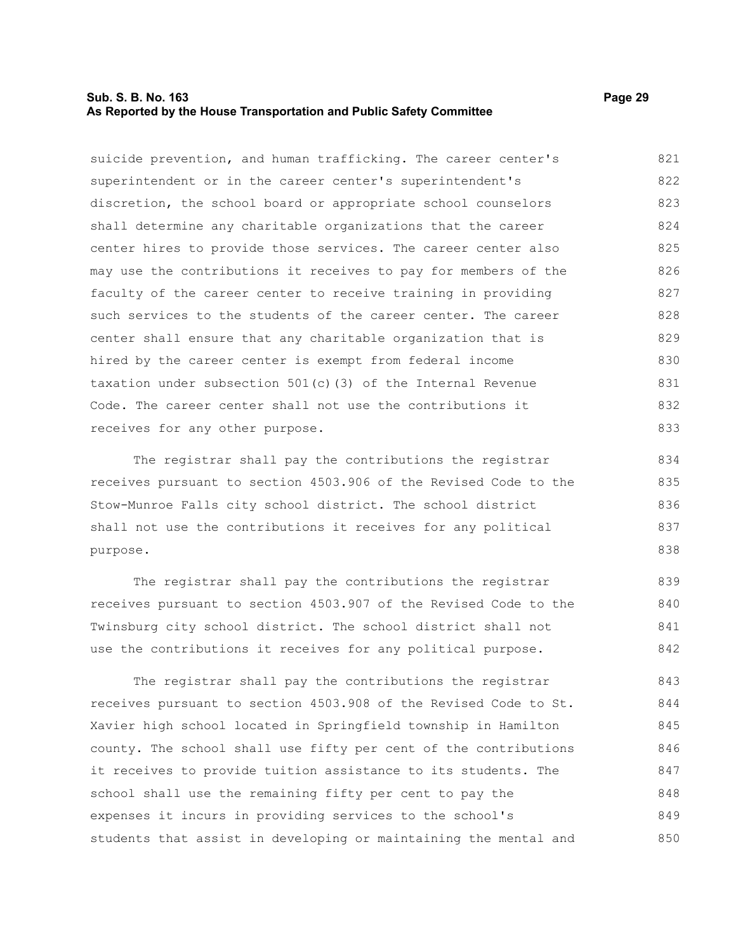#### **Sub. S. B. No. 163 Page 29 As Reported by the House Transportation and Public Safety Committee**

suicide prevention, and human trafficking. The career center's superintendent or in the career center's superintendent's discretion, the school board or appropriate school counselors shall determine any charitable organizations that the career center hires to provide those services. The career center also may use the contributions it receives to pay for members of the faculty of the career center to receive training in providing such services to the students of the career center. The career center shall ensure that any charitable organization that is hired by the career center is exempt from federal income taxation under subsection 501(c)(3) of the Internal Revenue Code. The career center shall not use the contributions it receives for any other purpose. 821 822 823 824 825 826 827 828 829 830 831 832 833

The registrar shall pay the contributions the registrar receives pursuant to section 4503.906 of the Revised Code to the Stow-Munroe Falls city school district. The school district shall not use the contributions it receives for any political purpose.

The registrar shall pay the contributions the registrar receives pursuant to section 4503.907 of the Revised Code to the Twinsburg city school district. The school district shall not use the contributions it receives for any political purpose. 839 840 841 842

The registrar shall pay the contributions the registrar receives pursuant to section 4503.908 of the Revised Code to St. Xavier high school located in Springfield township in Hamilton county. The school shall use fifty per cent of the contributions it receives to provide tuition assistance to its students. The school shall use the remaining fifty per cent to pay the expenses it incurs in providing services to the school's students that assist in developing or maintaining the mental and 843 844 845 846 847 848 849 850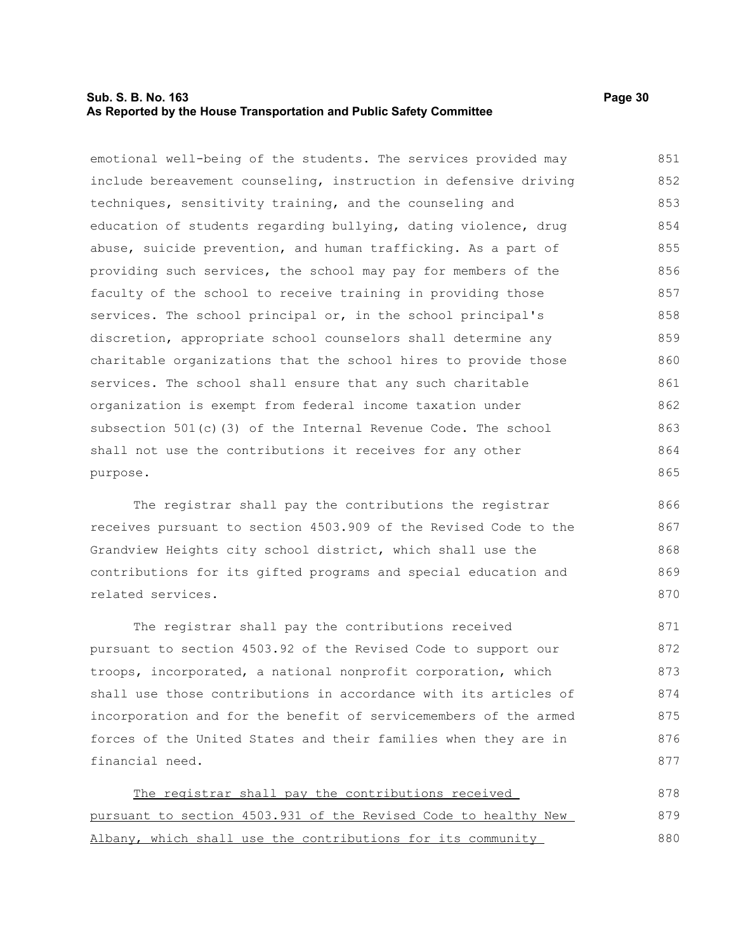#### **Sub. S. B. No. 163 Page 30 As Reported by the House Transportation and Public Safety Committee**

emotional well-being of the students. The services provided may include bereavement counseling, instruction in defensive driving techniques, sensitivity training, and the counseling and education of students regarding bullying, dating violence, drug abuse, suicide prevention, and human trafficking. As a part of providing such services, the school may pay for members of the faculty of the school to receive training in providing those services. The school principal or, in the school principal's discretion, appropriate school counselors shall determine any charitable organizations that the school hires to provide those services. The school shall ensure that any such charitable organization is exempt from federal income taxation under subsection 501(c)(3) of the Internal Revenue Code. The school shall not use the contributions it receives for any other purpose. 851 852 853 854 855 856 857 858 859 860 861 862 863 864 865

The registrar shall pay the contributions the registrar receives pursuant to section 4503.909 of the Revised Code to the Grandview Heights city school district, which shall use the contributions for its gifted programs and special education and related services.

The registrar shall pay the contributions received pursuant to section 4503.92 of the Revised Code to support our troops, incorporated, a national nonprofit corporation, which shall use those contributions in accordance with its articles of incorporation and for the benefit of servicemembers of the armed forces of the United States and their families when they are in financial need. 871 872 873 874 875 876 877

The registrar shall pay the contributions received pursuant to section 4503.931 of the Revised Code to healthy New Albany, which shall use the contributions for its community 878 879 880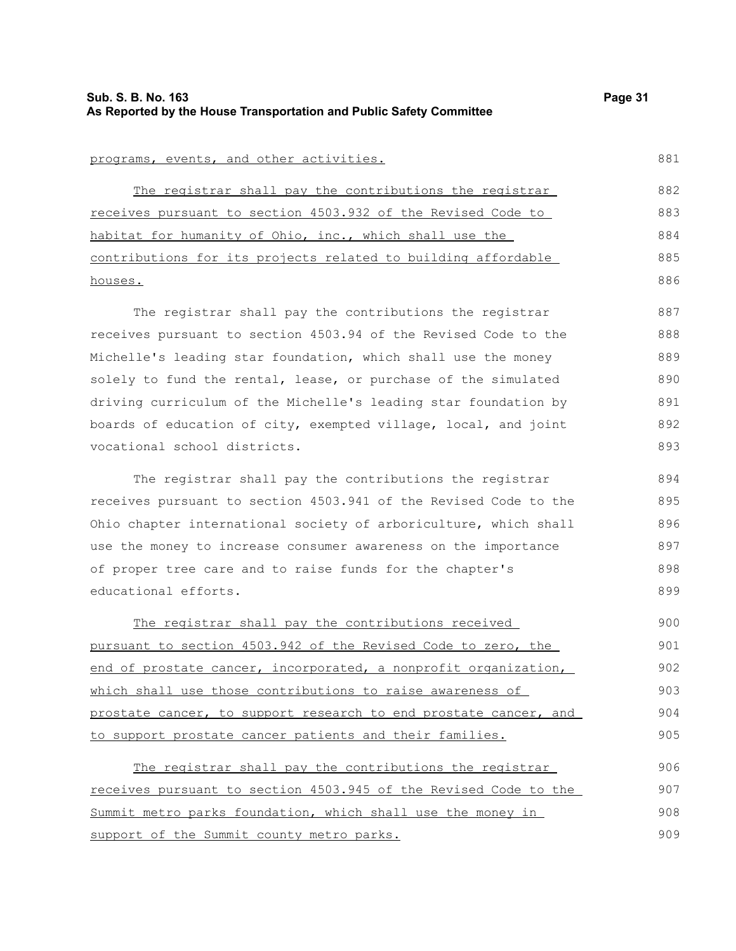881

893

#### programs, events, and other activities.

The registrar shall pay the contributions the registrar receives pursuant to section 4503.932 of the Revised Code to habitat for humanity of Ohio, inc., which shall use the contributions for its projects related to building affordable houses. 882 883 884 885 886

The registrar shall pay the contributions the registrar receives pursuant to section 4503.94 of the Revised Code to the Michelle's leading star foundation, which shall use the money solely to fund the rental, lease, or purchase of the simulated driving curriculum of the Michelle's leading star foundation by boards of education of city, exempted village, local, and joint vocational school districts. 887 888 889 890 891 892

The registrar shall pay the contributions the registrar receives pursuant to section 4503.941 of the Revised Code to the Ohio chapter international society of arboriculture, which shall use the money to increase consumer awareness on the importance of proper tree care and to raise funds for the chapter's educational efforts.

The registrar shall pay the contributions received pursuant to section 4503.942 of the Revised Code to zero, the end of prostate cancer, incorporated, a nonprofit organization, which shall use those contributions to raise awareness of prostate cancer, to support research to end prostate cancer, and to support prostate cancer patients and their families. 900 901 902 903 904 905

The registrar shall pay the contributions the registrar receives pursuant to section 4503.945 of the Revised Code to the Summit metro parks foundation, which shall use the money in support of the Summit county metro parks. 906 907 908 909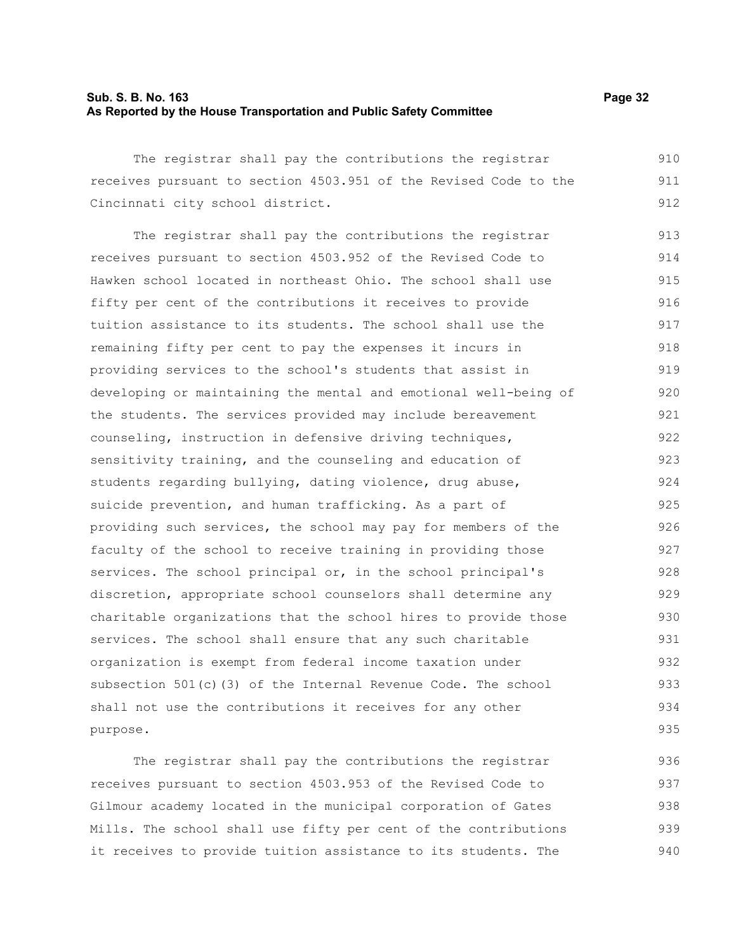#### **Sub. S. B. No. 163 Page 32 As Reported by the House Transportation and Public Safety Committee**

The registrar shall pay the contributions the registrar receives pursuant to section 4503.951 of the Revised Code to the Cincinnati city school district. 910 911 912

The registrar shall pay the contributions the registrar receives pursuant to section 4503.952 of the Revised Code to Hawken school located in northeast Ohio. The school shall use fifty per cent of the contributions it receives to provide tuition assistance to its students. The school shall use the remaining fifty per cent to pay the expenses it incurs in providing services to the school's students that assist in developing or maintaining the mental and emotional well-being of the students. The services provided may include bereavement counseling, instruction in defensive driving techniques, sensitivity training, and the counseling and education of students regarding bullying, dating violence, drug abuse, suicide prevention, and human trafficking. As a part of providing such services, the school may pay for members of the faculty of the school to receive training in providing those services. The school principal or, in the school principal's discretion, appropriate school counselors shall determine any charitable organizations that the school hires to provide those services. The school shall ensure that any such charitable organization is exempt from federal income taxation under subsection 501(c)(3) of the Internal Revenue Code. The school shall not use the contributions it receives for any other purpose. 913 914 915 916 917 918 919 920 921 922 923 924 925 926 927 928 929 930 931 932 933 934 935

The registrar shall pay the contributions the registrar receives pursuant to section 4503.953 of the Revised Code to Gilmour academy located in the municipal corporation of Gates Mills. The school shall use fifty per cent of the contributions it receives to provide tuition assistance to its students. The 936 937 938 939 940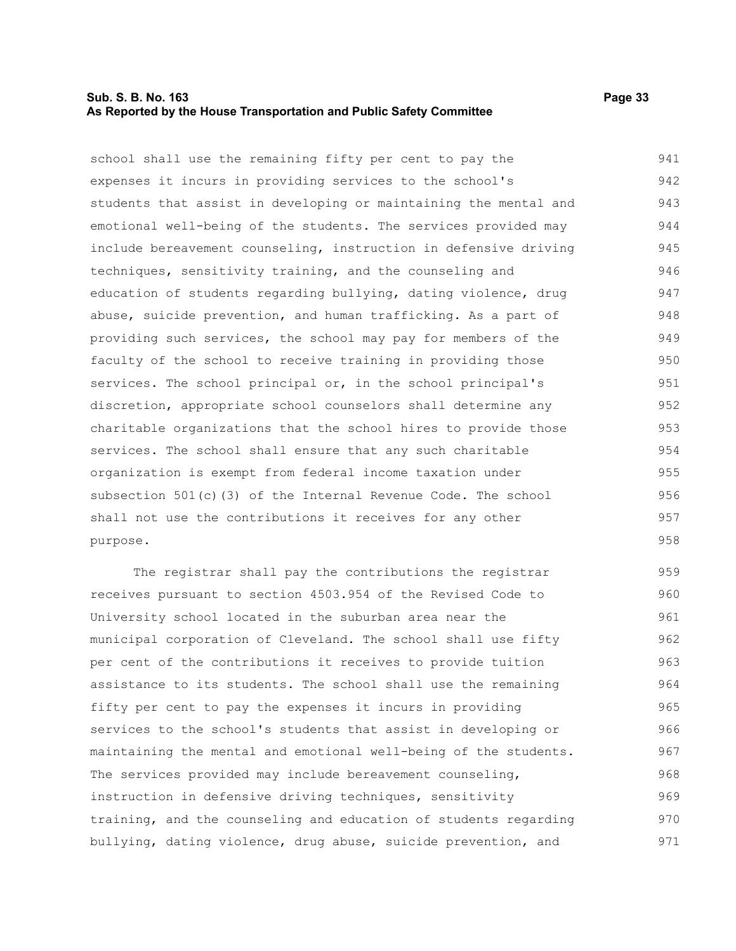#### **Sub. S. B. No. 163 Page 33 As Reported by the House Transportation and Public Safety Committee**

purpose.

school shall use the remaining fifty per cent to pay the expenses it incurs in providing services to the school's students that assist in developing or maintaining the mental and emotional well-being of the students. The services provided may include bereavement counseling, instruction in defensive driving techniques, sensitivity training, and the counseling and education of students regarding bullying, dating violence, drug abuse, suicide prevention, and human trafficking. As a part of providing such services, the school may pay for members of the faculty of the school to receive training in providing those services. The school principal or, in the school principal's discretion, appropriate school counselors shall determine any charitable organizations that the school hires to provide those services. The school shall ensure that any such charitable organization is exempt from federal income taxation under subsection 501(c)(3) of the Internal Revenue Code. The school shall not use the contributions it receives for any other 941 942 943 944 945 946 947 948 949 950 951 952 953 954 955 956 957

The registrar shall pay the contributions the registrar receives pursuant to section 4503.954 of the Revised Code to University school located in the suburban area near the municipal corporation of Cleveland. The school shall use fifty per cent of the contributions it receives to provide tuition assistance to its students. The school shall use the remaining fifty per cent to pay the expenses it incurs in providing services to the school's students that assist in developing or maintaining the mental and emotional well-being of the students. The services provided may include bereavement counseling, instruction in defensive driving techniques, sensitivity training, and the counseling and education of students regarding bullying, dating violence, drug abuse, suicide prevention, and 959 960 961 962 963 964 965 966 967 968 969 970 971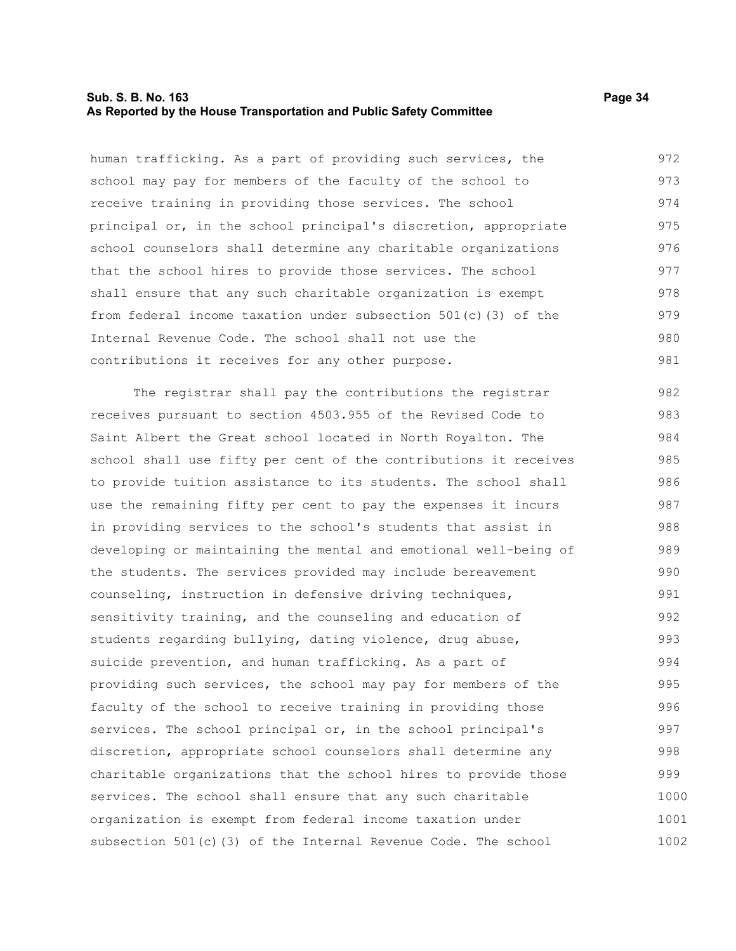#### **Sub. S. B. No. 163 Page 34 As Reported by the House Transportation and Public Safety Committee**

human trafficking. As a part of providing such services, the school may pay for members of the faculty of the school to receive training in providing those services. The school principal or, in the school principal's discretion, appropriate school counselors shall determine any charitable organizations that the school hires to provide those services. The school shall ensure that any such charitable organization is exempt from federal income taxation under subsection 501(c)(3) of the Internal Revenue Code. The school shall not use the contributions it receives for any other purpose. 972 973 974 975 976 977 978 979 980 981

The registrar shall pay the contributions the registrar receives pursuant to section 4503.955 of the Revised Code to Saint Albert the Great school located in North Royalton. The school shall use fifty per cent of the contributions it receives to provide tuition assistance to its students. The school shall use the remaining fifty per cent to pay the expenses it incurs in providing services to the school's students that assist in developing or maintaining the mental and emotional well-being of the students. The services provided may include bereavement counseling, instruction in defensive driving techniques, sensitivity training, and the counseling and education of students regarding bullying, dating violence, drug abuse, suicide prevention, and human trafficking. As a part of providing such services, the school may pay for members of the faculty of the school to receive training in providing those services. The school principal or, in the school principal's discretion, appropriate school counselors shall determine any charitable organizations that the school hires to provide those services. The school shall ensure that any such charitable organization is exempt from federal income taxation under subsection 501(c)(3) of the Internal Revenue Code. The school 982 983 984 985 986 987 988 989 990 991 992 993 994 995 996 997 998 999 1000 1001 1002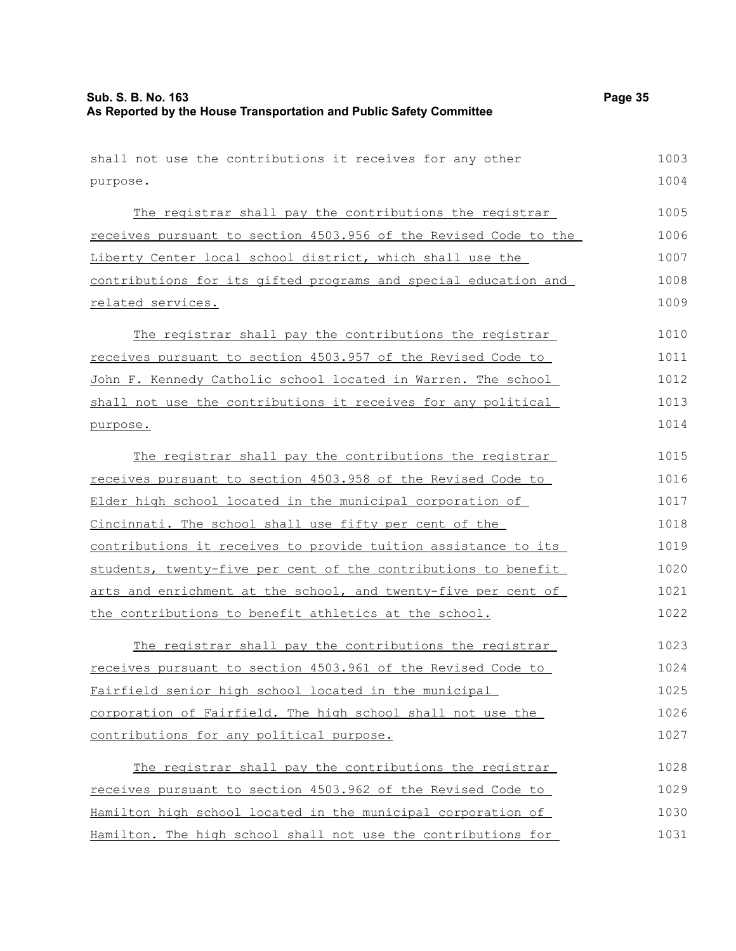| shall not use the contributions it receives for any other        | 1003 |
|------------------------------------------------------------------|------|
| purpose.                                                         | 1004 |
| The registrar shall pay the contributions the registrar          | 1005 |
| receives pursuant to section 4503.956 of the Revised Code to the | 1006 |
| Liberty Center local school district, which shall use the        | 1007 |
| contributions for its gifted programs and special education and  | 1008 |
| related services.                                                | 1009 |
| The registrar shall pay the contributions the registrar          | 1010 |
| receives pursuant to section 4503.957 of the Revised Code to     | 1011 |
| John F. Kennedy Catholic school located in Warren. The school    | 1012 |
| shall not use the contributions it receives for any political    | 1013 |
| purpose.                                                         | 1014 |
| The registrar shall pay the contributions the registrar          | 1015 |
| receives pursuant to section 4503.958 of the Revised Code to     | 1016 |
| Elder high school located in the municipal corporation of        | 1017 |
| Cincinnati. The school shall use fifty per cent of the           | 1018 |
| contributions it receives to provide tuition assistance to its   | 1019 |
| students, twenty-five per cent of the contributions to benefit   | 1020 |
| arts and enrichment at the school, and twenty-five per cent of   | 1021 |
| the contributions to benefit athletics at the school.            | 1022 |
| The registrar shall pay the contributions the registrar          | 1023 |
| receives pursuant to section 4503.961 of the Revised Code to     | 1024 |
| Fairfield senior high school located in the municipal            | 1025 |
| corporation of Fairfield. The high school shall not use the      | 1026 |
| contributions for any political purpose.                         | 1027 |
| The registrar shall pay the contributions the registrar          | 1028 |
| receives pursuant to section 4503.962 of the Revised Code to     | 1029 |
| Hamilton high school located in the municipal corporation of     | 1030 |
| Hamilton. The high school shall not use the contributions for    | 1031 |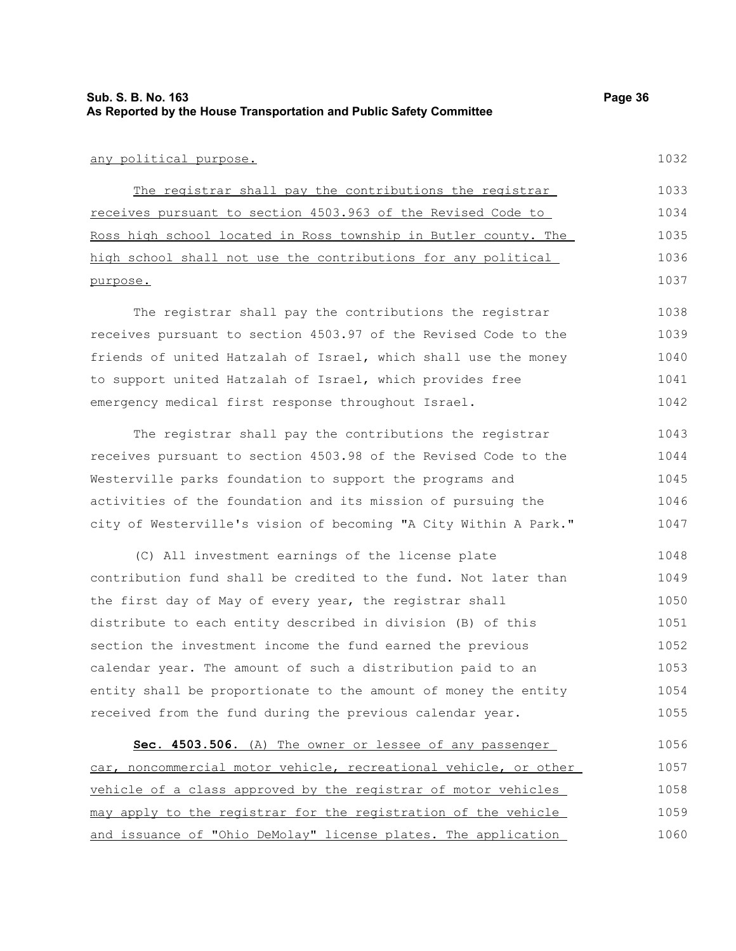#### any political purpose.

The registrar shall pay the contributions the registrar receives pursuant to section 4503.963 of the Revised Code to Ross high school located in Ross township in Butler county. The high school shall not use the contributions for any political purpose. 1033 1034 1035 1036 1037

The registrar shall pay the contributions the registrar receives pursuant to section 4503.97 of the Revised Code to the friends of united Hatzalah of Israel, which shall use the money to support united Hatzalah of Israel, which provides free emergency medical first response throughout Israel. 1038 1039 1040 1041 1042

The registrar shall pay the contributions the registrar receives pursuant to section 4503.98 of the Revised Code to the Westerville parks foundation to support the programs and activities of the foundation and its mission of pursuing the city of Westerville's vision of becoming "A City Within A Park." 1043 1044 1045 1046 1047

(C) All investment earnings of the license plate contribution fund shall be credited to the fund. Not later than the first day of May of every year, the registrar shall distribute to each entity described in division (B) of this section the investment income the fund earned the previous calendar year. The amount of such a distribution paid to an entity shall be proportionate to the amount of money the entity received from the fund during the previous calendar year. 1048 1049 1050 1051 1052 1053 1054 1055

 **Sec. 4503.506.** (A) The owner or lessee of any passenger car, noncommercial motor vehicle, recreational vehicle, or other vehicle of a class approved by the registrar of motor vehicles may apply to the registrar for the registration of the vehicle and issuance of "Ohio DeMolay" license plates. The application 1056 1057 1058 1059 1060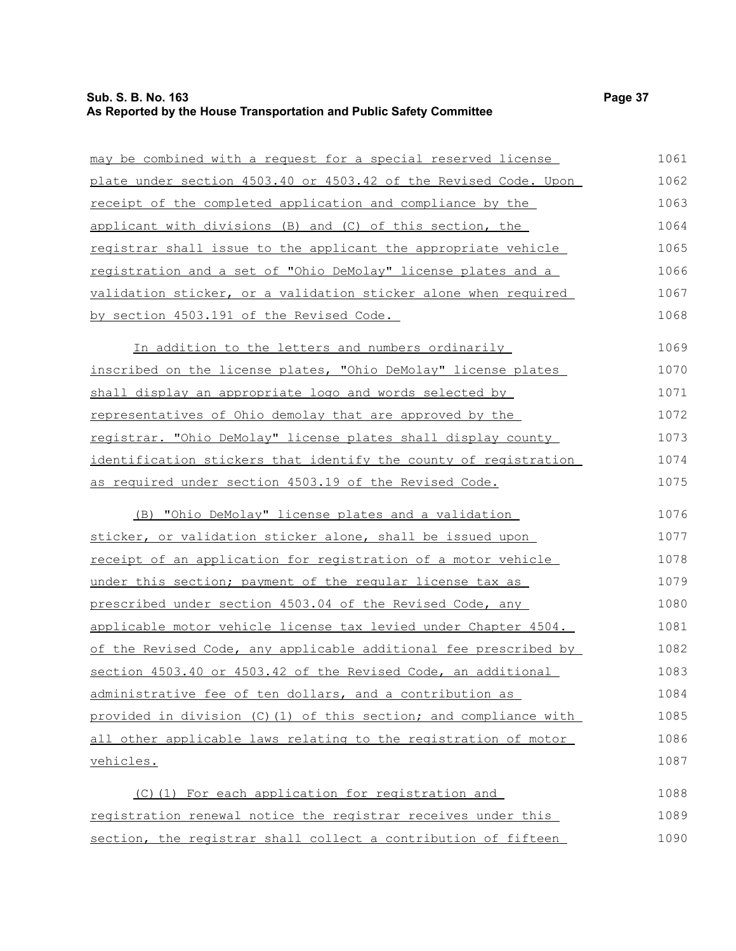# **Sub. S. B. No. 163 Page 37 As Reported by the House Transportation and Public Safety Committee**

| may be combined with a request for a special reserved license     | 1061 |
|-------------------------------------------------------------------|------|
| plate under section 4503.40 or 4503.42 of the Revised Code. Upon  | 1062 |
| receipt of the completed application and compliance by the        | 1063 |
| applicant with divisions (B) and (C) of this section, the         | 1064 |
| registrar shall issue to the applicant the appropriate vehicle    | 1065 |
| registration and a set of "Ohio DeMolay" license plates and a     | 1066 |
| validation sticker, or a validation sticker alone when required   | 1067 |
| by section 4503.191 of the Revised Code.                          | 1068 |
| In addition to the letters and numbers ordinarily                 | 1069 |
| inscribed on the license plates, "Ohio DeMolay" license plates    | 1070 |
| shall display an appropriate logo and words selected by           | 1071 |
| representatives of Ohio demolay that are approved by the          | 1072 |
| registrar. "Ohio DeMolay" license plates shall display county     | 1073 |
| identification stickers that identify the county of registration  | 1074 |
| as required under section 4503.19 of the Revised Code.            | 1075 |
| (B) "Ohio DeMolay" license plates and a validation                | 1076 |
| sticker, or validation sticker alone, shall be issued upon        | 1077 |
| receipt of an application for registration of a motor vehicle     | 1078 |
| under this section; payment of the regular license tax as         | 1079 |
| prescribed under section 4503.04 of the Revised Code, any         | 1080 |
| applicable motor vehicle license tax levied under Chapter 4504.   | 1081 |
| of the Revised Code, any applicable additional fee prescribed by  | 1082 |
| section 4503.40 or 4503.42 of the Revised Code, an additional     | 1083 |
| administrative fee of ten dollars, and a contribution as          | 1084 |
| provided in division (C) (1) of this section; and compliance with | 1085 |
| all other applicable laws relating to the registration of motor   | 1086 |
| <u>vehicles.</u>                                                  | 1087 |
| (C)(1) For each application for registration and                  | 1088 |
| registration renewal notice the registrar receives under this     | 1089 |
| section, the registrar shall collect a contribution of fifteen    | 1090 |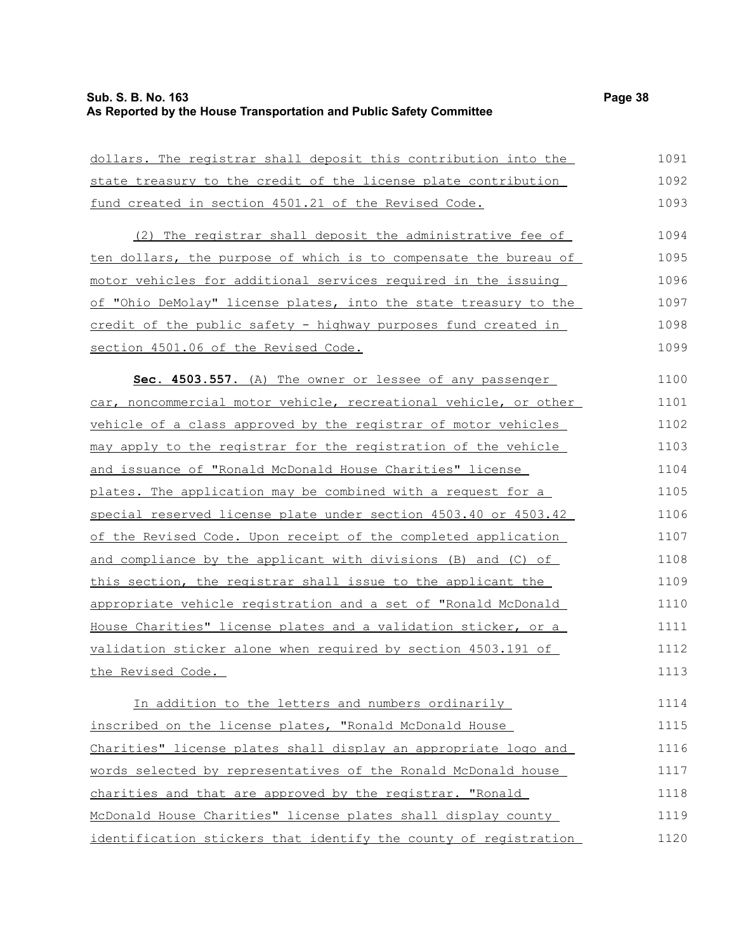# **Sub. S. B. No. 163 Page 38 As Reported by the House Transportation and Public Safety Committee**

| dollars. The registrar shall deposit this contribution into the  | 1091 |
|------------------------------------------------------------------|------|
| state treasury to the credit of the license plate contribution   | 1092 |
| fund created in section 4501.21 of the Revised Code.             | 1093 |
| (2) The registrar shall deposit the administrative fee of        | 1094 |
| ten dollars, the purpose of which is to compensate the bureau of | 1095 |
| motor vehicles for additional services required in the issuing   | 1096 |
| of "Ohio DeMolay" license plates, into the state treasury to the | 1097 |
| credit of the public safety - highway purposes fund created in   | 1098 |
| section 4501.06 of the Revised Code.                             | 1099 |
| Sec. 4503.557. (A) The owner or lessee of any passenger          | 1100 |
| car, noncommercial motor vehicle, recreational vehicle, or other | 1101 |
| vehicle of a class approved by the registrar of motor vehicles   | 1102 |
| may apply to the registrar for the registration of the vehicle   | 1103 |
| and issuance of "Ronald McDonald House Charities" license        | 1104 |
| plates. The application may be combined with a request for a     | 1105 |
| special reserved license plate under section 4503.40 or 4503.42  | 1106 |
| of the Revised Code. Upon receipt of the completed application   | 1107 |
| and compliance by the applicant with divisions (B) and (C) of    | 1108 |
| this section, the registrar shall issue to the applicant the     | 1109 |
| appropriate vehicle registration and a set of "Ronald McDonald   | 1110 |
| House Charities" license plates and a validation sticker, or a   | 1111 |
| validation sticker alone when required by section 4503.191 of    | 1112 |
| the Revised Code.                                                | 1113 |
| In addition to the letters and numbers ordinarily                | 1114 |
| inscribed on the license plates, "Ronald McDonald House          | 1115 |
| Charities" license plates shall display an appropriate logo and  | 1116 |
| words selected by representatives of the Ronald McDonald house   | 1117 |
| charities and that are approved by the registrar. "Ronald        | 1118 |
| McDonald House Charities" license plates shall display county    | 1119 |
| identification stickers that identify the county of registration | 1120 |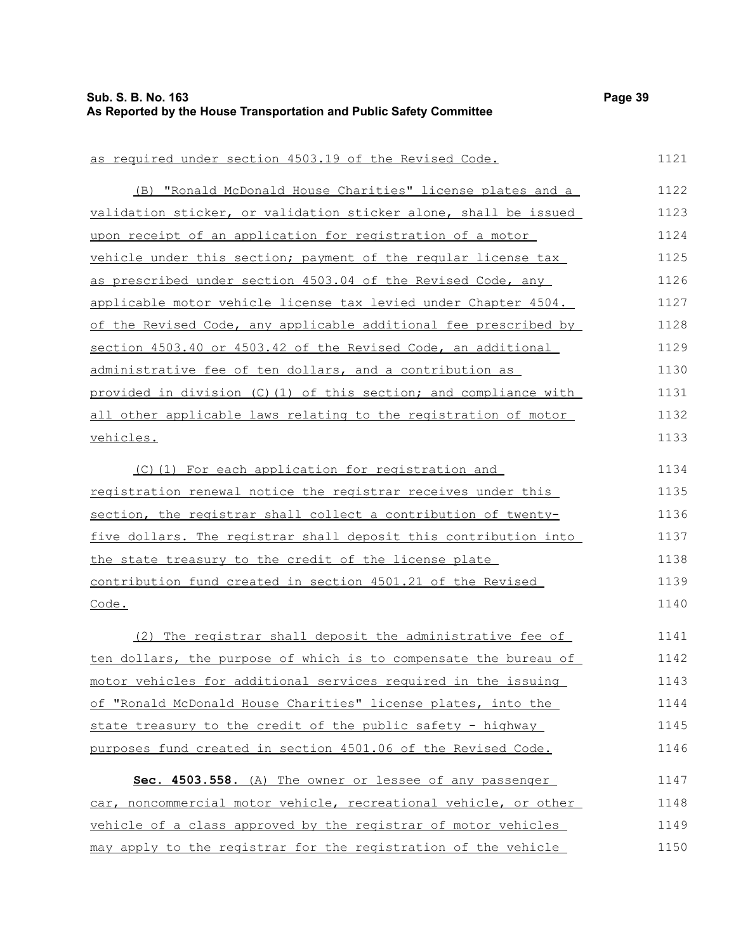| as required under section 4503.19 of the Revised Code.           | 1121 |
|------------------------------------------------------------------|------|
| (B) "Ronald McDonald House Charities" license plates and a       | 1122 |
| validation sticker, or validation sticker alone, shall be issued | 1123 |
| upon receipt of an application for registration of a motor       | 1124 |
| vehicle under this section; payment of the regular license tax   | 1125 |
| as prescribed under section 4503.04 of the Revised Code, any     | 1126 |
| applicable motor vehicle license tax levied under Chapter 4504.  | 1127 |
| of the Revised Code, any applicable additional fee prescribed by | 1128 |
| section 4503.40 or 4503.42 of the Revised Code, an additional    | 1129 |
| administrative fee of ten dollars, and a contribution as         | 1130 |
| provided in division (C)(1) of this section; and compliance with | 1131 |
| all other applicable laws relating to the registration of motor  | 1132 |
| vehicles.                                                        | 1133 |
| (C)(1) For each application for registration and                 | 1134 |
| registration renewal notice the registrar receives under this    | 1135 |
| section, the registrar shall collect a contribution of twenty-   | 1136 |
| five dollars. The registrar shall deposit this contribution into | 1137 |
| the state treasury to the credit of the license plate            | 1138 |
| contribution fund created in section 4501.21 of the Revised      | 1139 |
| Code.                                                            | 1140 |
| (2) The registrar shall deposit the administrative fee of        | 1141 |
| ten dollars, the purpose of which is to compensate the bureau of | 1142 |
| motor vehicles for additional services required in the issuing   | 1143 |
| of "Ronald McDonald House Charities" license plates, into the    | 1144 |
| state treasury to the credit of the public safety - highway      | 1145 |
| purposes fund created in section 4501.06 of the Revised Code.    | 1146 |
| Sec. 4503.558. (A) The owner or lessee of any passenger          | 1147 |
| car, noncommercial motor vehicle, recreational vehicle, or other | 1148 |
| vehicle of a class approved by the registrar of motor vehicles   | 1149 |
|                                                                  |      |

may apply to the registrar for the registration of the vehicle 1150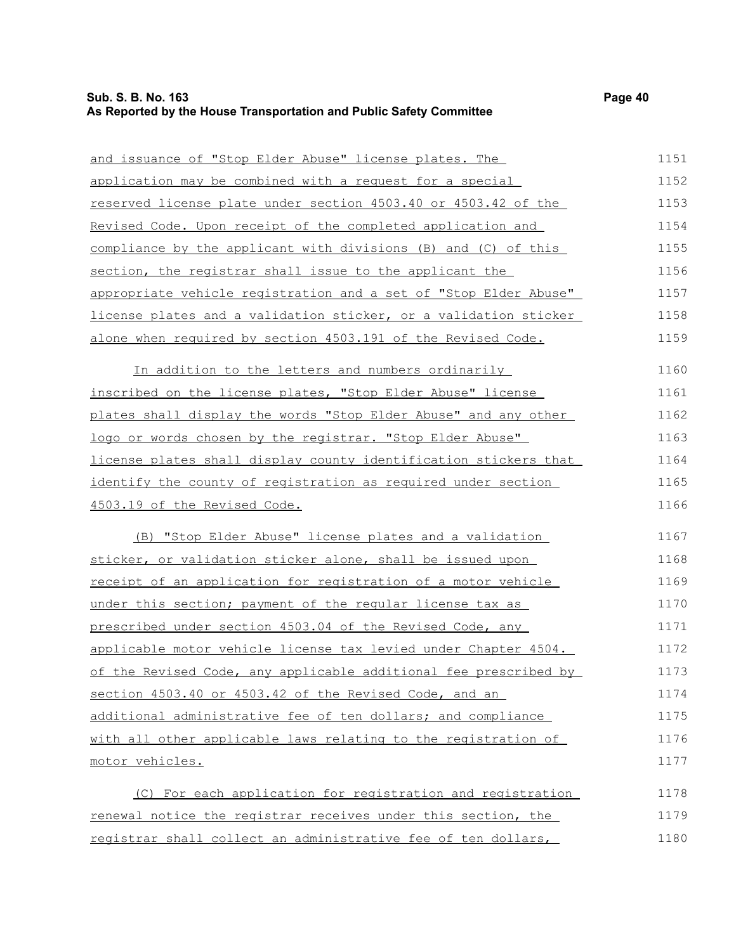| and issuance of "Stop Elder Abuse" license plates. The               | 1151 |
|----------------------------------------------------------------------|------|
| application may be combined with a request for a special             | 1152 |
| reserved license plate under section 4503.40 or 4503.42 of the       | 1153 |
| Revised Code. Upon receipt of the completed application and          | 1154 |
| compliance by the applicant with divisions (B) and (C) of this       | 1155 |
| section, the registrar shall issue to the applicant the              | 1156 |
| appropriate vehicle registration and a set of "Stop Elder Abuse"     | 1157 |
| license plates and a validation sticker, or a validation sticker     | 1158 |
| alone when required by section 4503.191 of the Revised Code.         | 1159 |
| In addition to the letters and numbers ordinarily                    | 1160 |
| inscribed on the license plates, "Stop Elder Abuse" license          | 1161 |
| plates shall display the words "Stop Elder Abuse" and any other      | 1162 |
| logo or words chosen by the registrar. "Stop Elder Abuse"            | 1163 |
| license plates shall display county identification stickers that     | 1164 |
| identify the county of registration as required under section        | 1165 |
| 4503.19 of the Revised Code.                                         | 1166 |
| (B) "Stop Elder Abuse" license plates and a validation               | 1167 |
| sticker, or validation sticker alone, shall be issued upon           | 1168 |
| <u>receipt of an application for registration of a motor vehicle</u> | 1169 |
| under this section; payment of the regular license tax as            | 1170 |
| prescribed under section 4503.04 of the Revised Code, any            | 1171 |
| applicable motor vehicle license tax levied under Chapter 4504.      | 1172 |
| of the Revised Code, any applicable additional fee prescribed by     | 1173 |
| section 4503.40 or 4503.42 of the Revised Code, and an               | 1174 |
| additional administrative fee of ten dollars; and compliance         | 1175 |
| with all other applicable laws relating to the registration of       | 1176 |
| motor vehicles.                                                      | 1177 |
| (C) For each application for registration and registration           | 1178 |
| renewal notice the registrar receives under this section, the        | 1179 |
| registrar shall collect an administrative fee of ten dollars,        | 1180 |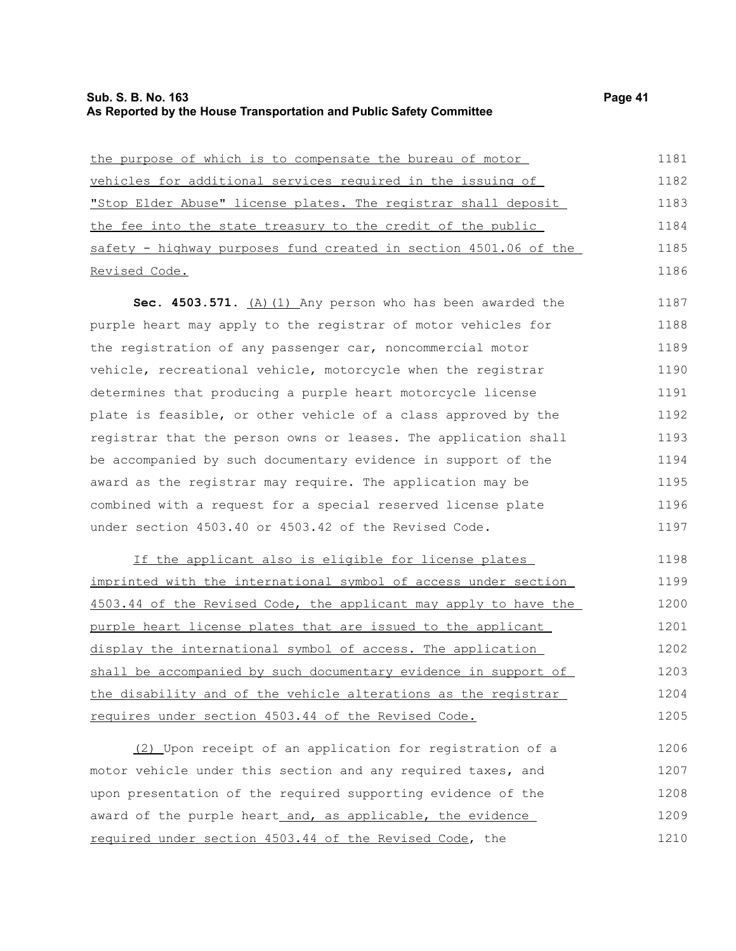### **Sub. S. B. No. 163 Page 41 As Reported by the House Transportation and Public Safety Committee**

| the purpose of which is to compensate the bureau of motor        | 1181 |
|------------------------------------------------------------------|------|
| vehicles for additional services required in the issuing of      | 1182 |
| "Stop Elder Abuse" license plates. The registrar shall deposit   | 1183 |
| the fee into the state treasury to the credit of the public      | 1184 |
| safety - highway purposes fund created in section 4501.06 of the | 1185 |
| Revised Code.                                                    | 1186 |
|                                                                  |      |

**Sec. 4503.571.** (A)(1) Any person who has been awarded the purple heart may apply to the registrar of motor vehicles for the registration of any passenger car, noncommercial motor vehicle, recreational vehicle, motorcycle when the registrar determines that producing a purple heart motorcycle license plate is feasible, or other vehicle of a class approved by the registrar that the person owns or leases. The application shall be accompanied by such documentary evidence in support of the award as the registrar may require. The application may be combined with a request for a special reserved license plate under section 4503.40 or 4503.42 of the Revised Code. 1187 1188 1189 1190 1191 1192 1193 1194 1195 1196 1197

If the applicant also is eligible for license plates imprinted with the international symbol of access under section 4503.44 of the Revised Code, the applicant may apply to have the purple heart license plates that are issued to the applicant display the international symbol of access. The application shall be accompanied by such documentary evidence in support of the disability and of the vehicle alterations as the registrar requires under section 4503.44 of the Revised Code. 1198 1199 1200 1201 1202 1203 1204 1205

(2) Upon receipt of an application for registration of a motor vehicle under this section and any required taxes, and upon presentation of the required supporting evidence of the award of the purple heart\_and, as applicable, the evidence required under section 4503.44 of the Revised Code, the 1206 1207 1208 1209 1210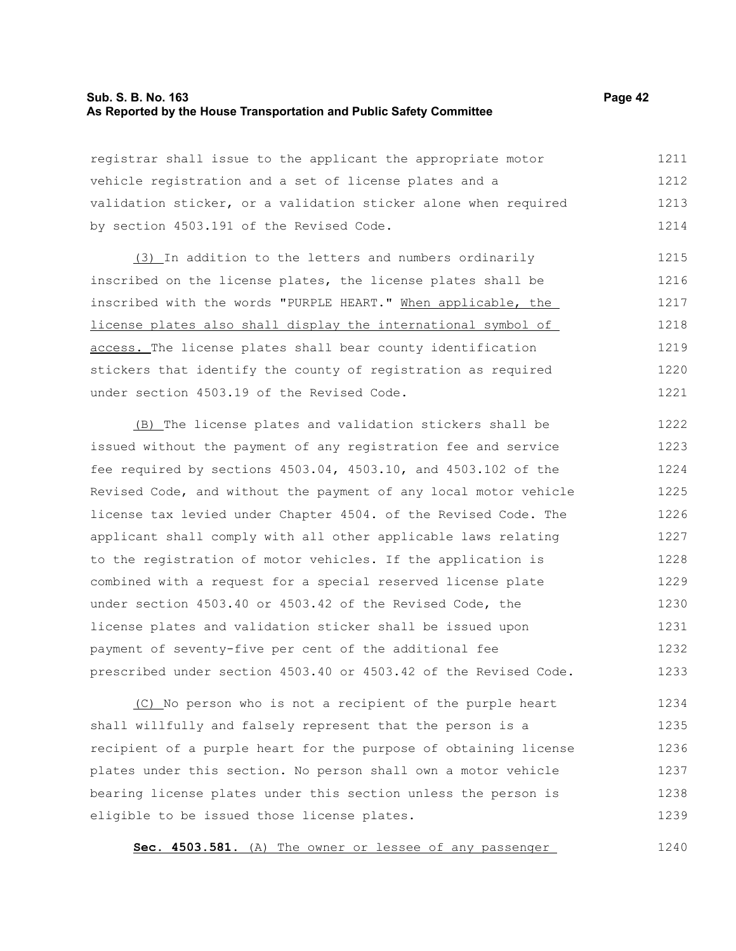### **Sub. S. B. No. 163 Page 42 As Reported by the House Transportation and Public Safety Committee**

registrar shall issue to the applicant the appropriate motor vehicle registration and a set of license plates and a validation sticker, or a validation sticker alone when required by section 4503.191 of the Revised Code. 1211 1212 1213 1214

(3) In addition to the letters and numbers ordinarily inscribed on the license plates, the license plates shall be inscribed with the words "PURPLE HEART." When applicable, the license plates also shall display the international symbol of access. The license plates shall bear county identification stickers that identify the county of registration as required under section 4503.19 of the Revised Code. 1215 1216 1217 1218 1219 1220 1221

(B) The license plates and validation stickers shall be issued without the payment of any registration fee and service fee required by sections 4503.04, 4503.10, and 4503.102 of the Revised Code, and without the payment of any local motor vehicle license tax levied under Chapter 4504. of the Revised Code. The applicant shall comply with all other applicable laws relating to the registration of motor vehicles. If the application is combined with a request for a special reserved license plate under section 4503.40 or 4503.42 of the Revised Code, the license plates and validation sticker shall be issued upon payment of seventy-five per cent of the additional fee prescribed under section 4503.40 or 4503.42 of the Revised Code. 1222 1223 1224 1225 1226 1227 1228 1229 1230 1231 1232 1233

(C) No person who is not a recipient of the purple heart shall willfully and falsely represent that the person is a recipient of a purple heart for the purpose of obtaining license plates under this section. No person shall own a motor vehicle bearing license plates under this section unless the person is eligible to be issued those license plates. 1234 1235 1236 1237 1238 1239

**Sec. 4503.581.** (A) The owner or lessee of any passenger

1240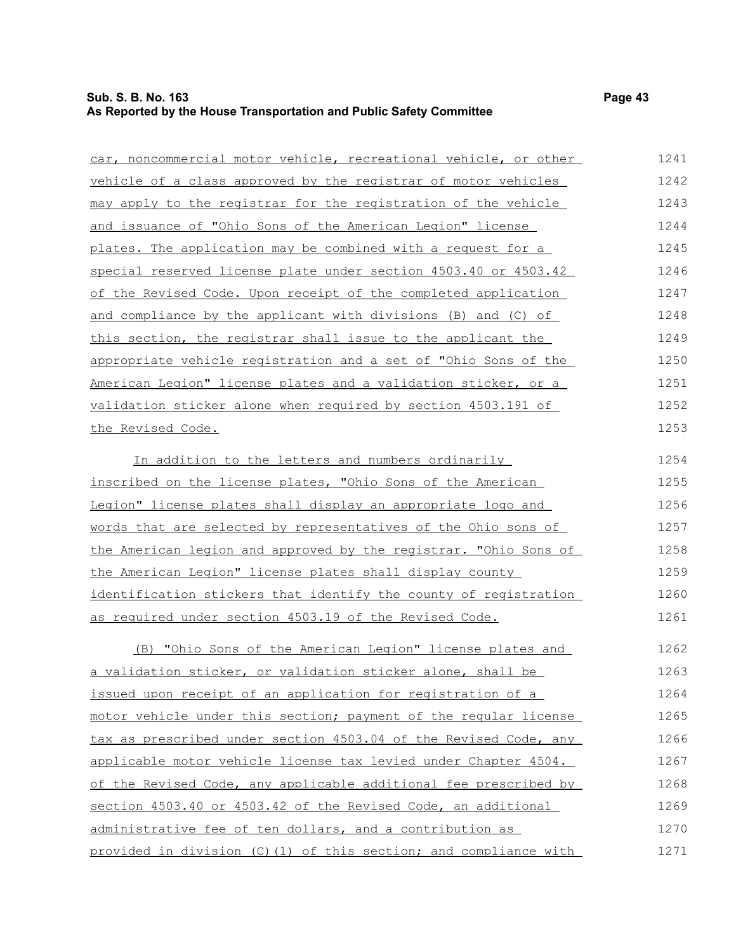# **Sub. S. B. No. 163 Page 43 As Reported by the House Transportation and Public Safety Committee**

| car, noncommercial motor vehicle, recreational vehicle, or other | 1241 |
|------------------------------------------------------------------|------|
| vehicle of a class approved by the registrar of motor vehicles   | 1242 |
| may apply to the registrar for the registration of the vehicle   | 1243 |
| and issuance of "Ohio Sons of the American Legion" license       | 1244 |
| plates. The application may be combined with a request for a     | 1245 |
| special reserved license plate under section 4503.40 or 4503.42  | 1246 |
| of the Revised Code. Upon receipt of the completed application   | 1247 |
| and compliance by the applicant with divisions (B) and (C) of    | 1248 |
| this section, the registrar shall issue to the applicant the     | 1249 |
| appropriate vehicle registration and a set of "Ohio Sons of the  | 1250 |
| American Legion" license plates and a validation sticker, or a   | 1251 |
| validation sticker alone when required by section 4503.191 of    | 1252 |
| the Revised Code.                                                | 1253 |
| In addition to the letters and numbers ordinarily                | 1254 |
| inscribed on the license plates, "Ohio Sons of the American      | 1255 |
| Legion" license plates shall display an appropriate logo and     | 1256 |
| words that are selected by representatives of the Ohio sons of   | 1257 |
| the American legion and approved by the registrar. "Ohio Sons of | 1258 |
| the American Legion" license plates shall display county         | 1259 |
| identification stickers that identify the county of registration | 1260 |
| as required under section 4503.19 of the Revised Code.           | 1261 |
| (B) "Ohio Sons of the American Legion" license plates and        | 1262 |
| a validation sticker, or validation sticker alone, shall be      | 1263 |
| issued upon receipt of an application for registration of a      | 1264 |
| motor vehicle under this section; payment of the reqular license | 1265 |
| tax as prescribed under section 4503.04 of the Revised Code, any | 1266 |
| applicable motor vehicle license tax levied under Chapter 4504.  | 1267 |
| of the Revised Code, any applicable additional fee prescribed by | 1268 |
| section 4503.40 or 4503.42 of the Revised Code, an additional    | 1269 |
| administrative fee of ten dollars, and a contribution as         | 1270 |

provided in division (C)(1) of this section; and compliance with 1271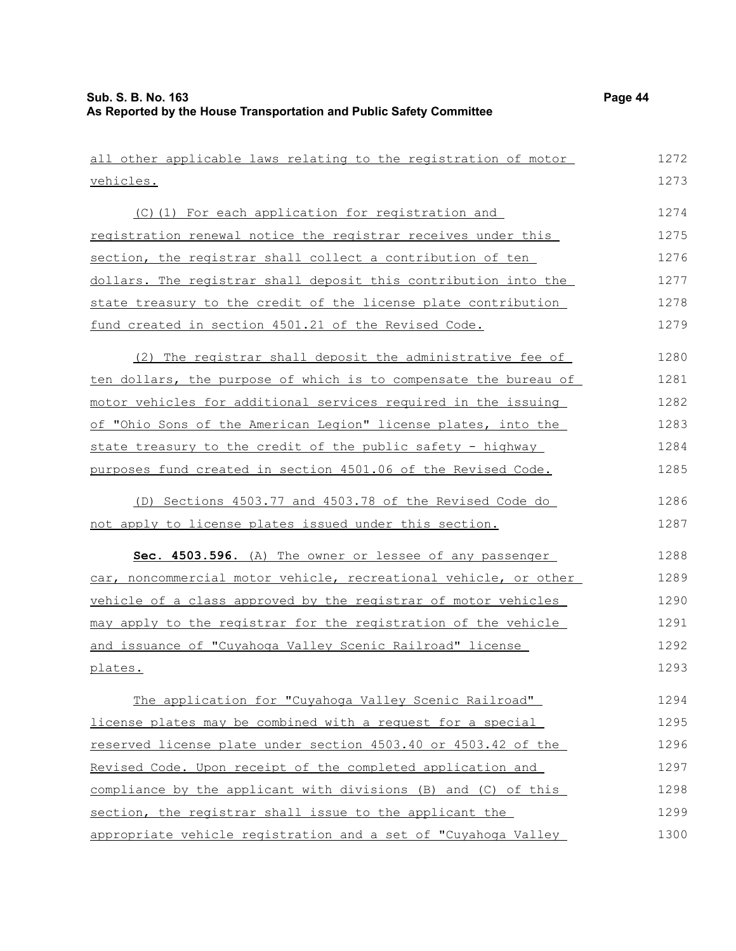| all other applicable laws relating to the registration of motor  | 1272 |
|------------------------------------------------------------------|------|
| vehicles.                                                        | 1273 |
| (C)(1) For each application for registration and                 | 1274 |
| registration renewal notice the registrar receives under this    | 1275 |
| section, the registrar shall collect a contribution of ten       | 1276 |
| dollars. The registrar shall deposit this contribution into the  | 1277 |
| state treasury to the credit of the license plate contribution   | 1278 |
| fund created in section 4501.21 of the Revised Code.             | 1279 |
| (2) The registrar shall deposit the administrative fee of        | 1280 |
| ten dollars, the purpose of which is to compensate the bureau of | 1281 |
| motor vehicles for additional services required in the issuing   | 1282 |
| of "Ohio Sons of the American Legion" license plates, into the   | 1283 |
| state treasury to the credit of the public safety - highway      | 1284 |
| purposes fund created in section 4501.06 of the Revised Code.    | 1285 |
| (D) Sections 4503.77 and 4503.78 of the Revised Code do          | 1286 |
| not apply to license plates issued under this section.           | 1287 |
| Sec. 4503.596. (A) The owner or lessee of any passenger          | 1288 |
| car, noncommercial motor vehicle, recreational vehicle, or other | 1289 |
| vehicle of a class approved by the registrar of motor vehicles   | 1290 |
| may apply to the registrar for the registration of the vehicle   | 1291 |
| and issuance of "Cuyahoga Valley Scenic Railroad" license        | 1292 |
| plates.                                                          | 1293 |
| The application for "Cuyahoga Valley Scenic Railroad"            | 1294 |
| license plates may be combined with a request for a special      | 1295 |
| reserved license plate under section 4503.40 or 4503.42 of the   | 1296 |
| Revised Code. Upon receipt of the completed application and      | 1297 |
| compliance by the applicant with divisions (B) and (C) of this   | 1298 |
| section, the registrar shall issue to the applicant the          | 1299 |
| appropriate vehicle registration and a set of "Cuyahoga Valley   | 1300 |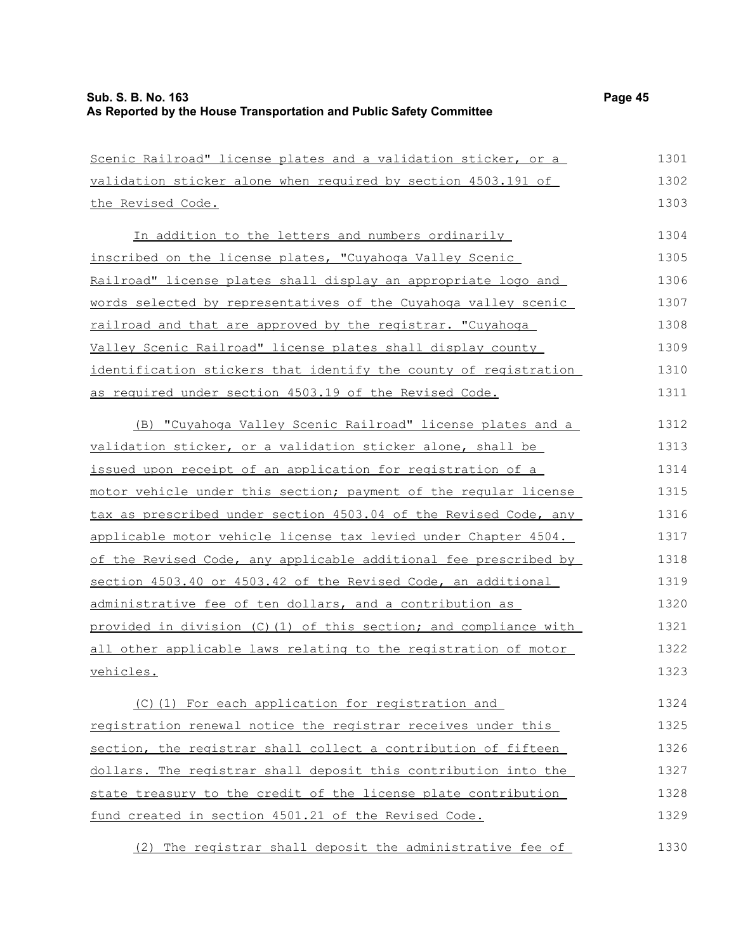| Scenic Railroad" license plates and a validation sticker, or a    | 1301 |
|-------------------------------------------------------------------|------|
| validation sticker alone when required by section 4503.191 of     | 1302 |
| the Revised Code.                                                 | 1303 |
| In addition to the letters and numbers ordinarily                 | 1304 |
| inscribed on the license plates, "Cuyahoga Valley Scenic          | 1305 |
| Railroad" license plates shall display an appropriate logo and    | 1306 |
| words selected by representatives of the Cuyahoga valley scenic   | 1307 |
| railroad and that are approved by the registrar. "Cuyahoga        | 1308 |
| Valley Scenic Railroad" license plates shall display county       | 1309 |
| identification stickers that identify the county of registration  | 1310 |
| as required under section 4503.19 of the Revised Code.            | 1311 |
| (B) "Cuyahoga Valley Scenic Railroad" license plates and a        | 1312 |
| validation sticker, or a validation sticker alone, shall be       | 1313 |
| issued upon receipt of an application for registration of a       | 1314 |
| motor vehicle under this section; payment of the reqular license  | 1315 |
| tax as prescribed under section 4503.04 of the Revised Code, any  | 1316 |
| applicable motor vehicle license tax levied under Chapter 4504.   | 1317 |
| of the Revised Code, any applicable additional fee prescribed by  | 1318 |
| section 4503.40 or 4503.42 of the Revised Code, an additional     | 1319 |
| administrative fee of ten dollars, and a contribution as          | 1320 |
| provided in division (C) (1) of this section; and compliance with | 1321 |
| all other applicable laws relating to the registration of motor   | 1322 |
| vehicles.                                                         | 1323 |
| (C)(1) For each application for registration and                  | 1324 |
| registration renewal notice the registrar receives under this     | 1325 |
| section, the registrar shall collect a contribution of fifteen    | 1326 |
| dollars. The registrar shall deposit this contribution into the   | 1327 |
| state treasury to the credit of the license plate contribution    | 1328 |
| fund created in section 4501.21 of the Revised Code.              | 1329 |
|                                                                   |      |
|                                                                   |      |

(2) The registrar shall deposit the administrative fee of 1330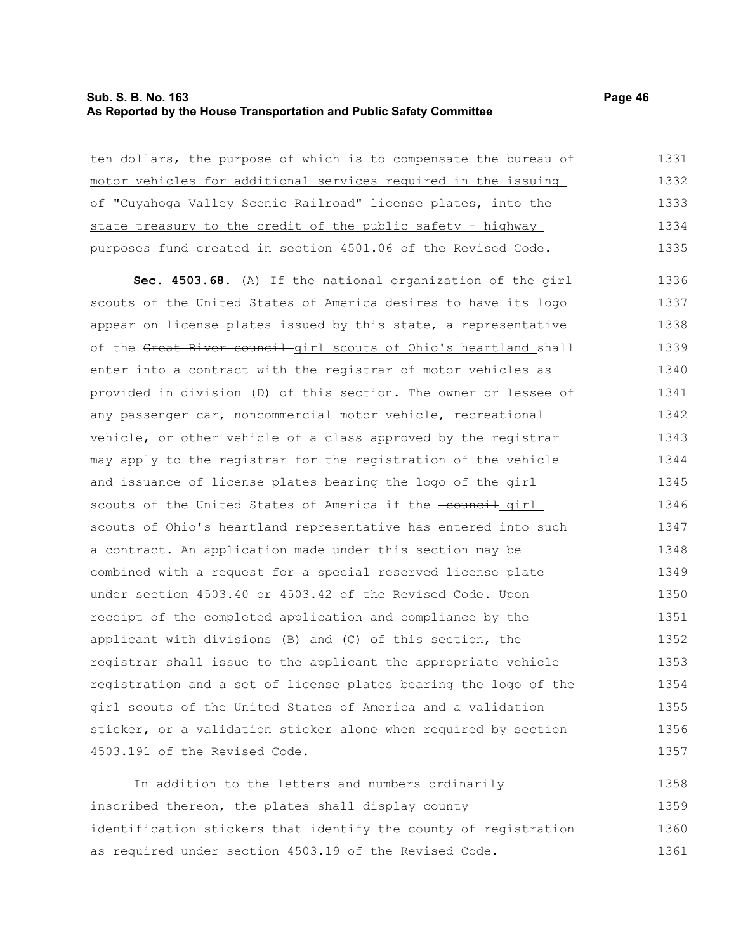## **Sub. S. B. No. 163 Page 46 As Reported by the House Transportation and Public Safety Committee**

| ten dollars, the purpose of which is to compensate the bureau of | 1331 |
|------------------------------------------------------------------|------|
| motor vehicles for additional services required in the issuing   | 1332 |
| of "Cuyahoga Valley Scenic Railroad" license plates, into the    | 1333 |
| state treasury to the credit of the public safety - highway      | 1334 |
| purposes fund created in section 4501.06 of the Revised Code.    | 1335 |
| Sec. 4503.68. (A) If the national organization of the girl       | 1336 |
| scouts of the United States of America desires to have its logo  | 1337 |
| appear on license plates issued by this state, a representative  | 1338 |
| of the Great River council girl scouts of Ohio's heartland shall | 1339 |
| enter into a contract with the registrar of motor vehicles as    | 1340 |
| provided in division (D) of this section. The owner or lessee of | 1341 |
| any passenger car, noncommercial motor vehicle, recreational     | 1342 |
| vehicle, or other vehicle of a class approved by the registrar   | 1343 |
| may apply to the registrar for the registration of the vehicle   | 1344 |
| and issuance of license plates bearing the logo of the girl      | 1345 |
| scouts of the United States of America if the -council girl      | 1346 |
| scouts of Ohio's heartland representative has entered into such  | 1347 |
| a contract. An application made under this section may be        | 1348 |
| combined with a request for a special reserved license plate     | 1349 |
| under section 4503.40 or 4503.42 of the Revised Code. Upon       | 1350 |
| receipt of the completed application and compliance by the       | 1351 |
| applicant with divisions (B) and (C) of this section, the        | 1352 |
| registrar shall issue to the applicant the appropriate vehicle   | 1353 |
| registration and a set of license plates bearing the logo of the | 1354 |
| girl scouts of the United States of America and a validation     | 1355 |
| sticker, or a validation sticker alone when required by section  | 1356 |
| 4503.191 of the Revised Code.                                    | 1357 |

In addition to the letters and numbers ordinarily inscribed thereon, the plates shall display county identification stickers that identify the county of registration as required under section 4503.19 of the Revised Code. 1358 1359 1360 1361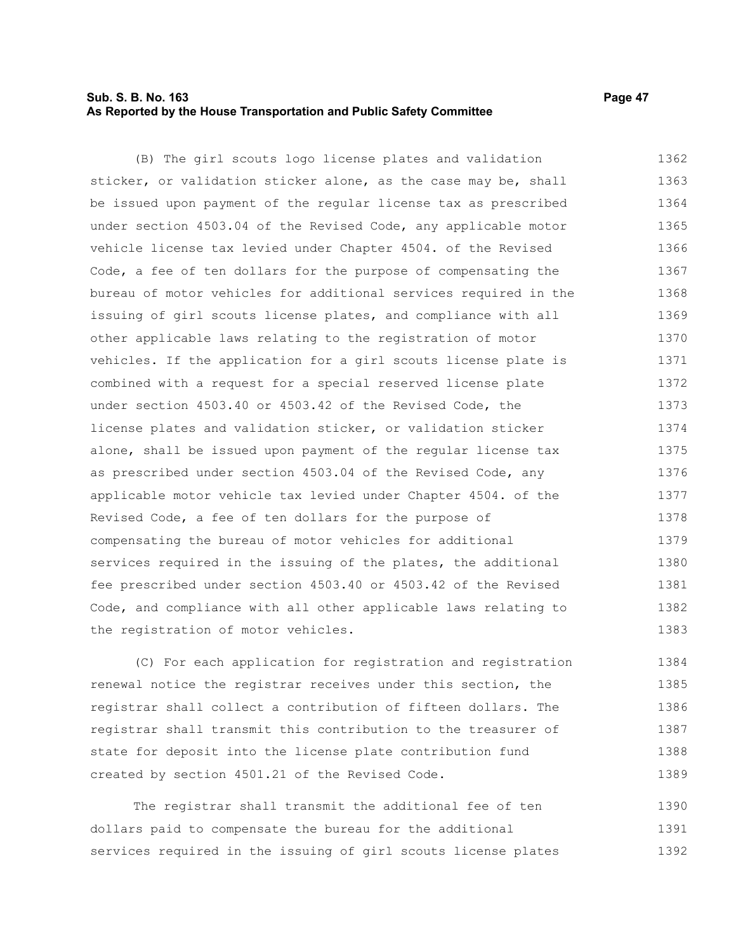### **Sub. S. B. No. 163 Page 47 As Reported by the House Transportation and Public Safety Committee**

(B) The girl scouts logo license plates and validation sticker, or validation sticker alone, as the case may be, shall be issued upon payment of the regular license tax as prescribed under section 4503.04 of the Revised Code, any applicable motor vehicle license tax levied under Chapter 4504. of the Revised Code, a fee of ten dollars for the purpose of compensating the bureau of motor vehicles for additional services required in the issuing of girl scouts license plates, and compliance with all other applicable laws relating to the registration of motor vehicles. If the application for a girl scouts license plate is combined with a request for a special reserved license plate under section 4503.40 or 4503.42 of the Revised Code, the license plates and validation sticker, or validation sticker alone, shall be issued upon payment of the regular license tax as prescribed under section 4503.04 of the Revised Code, any applicable motor vehicle tax levied under Chapter 4504. of the Revised Code, a fee of ten dollars for the purpose of compensating the bureau of motor vehicles for additional services required in the issuing of the plates, the additional fee prescribed under section 4503.40 or 4503.42 of the Revised Code, and compliance with all other applicable laws relating to the registration of motor vehicles. 1362 1363 1364 1365 1366 1367 1368 1369 1370 1371 1372 1373 1374 1375 1376 1377 1378 1379 1380 1381 1382 1383

(C) For each application for registration and registration renewal notice the registrar receives under this section, the registrar shall collect a contribution of fifteen dollars. The registrar shall transmit this contribution to the treasurer of state for deposit into the license plate contribution fund created by section 4501.21 of the Revised Code. 1384 1385 1386 1387 1388 1389

The registrar shall transmit the additional fee of ten dollars paid to compensate the bureau for the additional services required in the issuing of girl scouts license plates 1390 1391 1392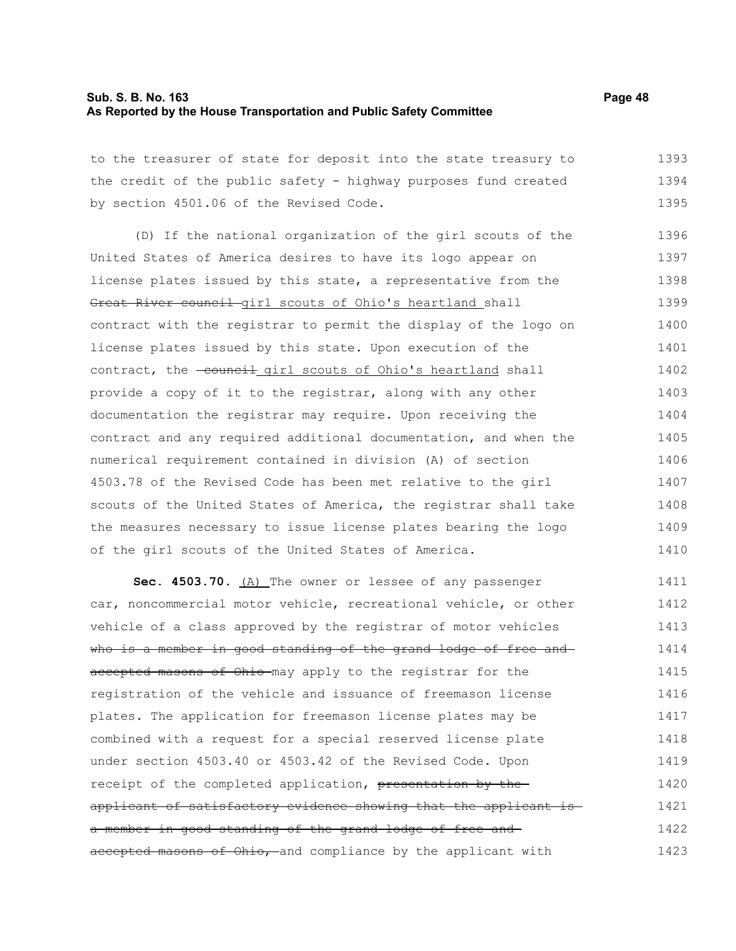#### **Sub. S. B. No. 163 Page 48 As Reported by the House Transportation and Public Safety Committee**

to the treasurer of state for deposit into the state treasury to the credit of the public safety - highway purposes fund created by section 4501.06 of the Revised Code. 1393 1394 1395

(D) If the national organization of the girl scouts of the United States of America desires to have its logo appear on license plates issued by this state, a representative from the Great River council girl scouts of Ohio's heartland shall contract with the registrar to permit the display of the logo on license plates issued by this state. Upon execution of the contract, the -council girl scouts of Ohio's heartland shall provide a copy of it to the registrar, along with any other documentation the registrar may require. Upon receiving the contract and any required additional documentation, and when the numerical requirement contained in division (A) of section 4503.78 of the Revised Code has been met relative to the girl scouts of the United States of America, the registrar shall take the measures necessary to issue license plates bearing the logo of the girl scouts of the United States of America. 1396 1397 1398 1399 1400 1401 1402 1403 1404 1405 1406 1407 1408 1409 1410

Sec. 4503.70. (A) The owner or lessee of any passenger car, noncommercial motor vehicle, recreational vehicle, or other vehicle of a class approved by the registrar of motor vehicles who is a member in good standing of the grand lodge of free and accepted masons of Ohio may apply to the registrar for the registration of the vehicle and issuance of freemason license plates. The application for freemason license plates may be combined with a request for a special reserved license plate under section 4503.40 or 4503.42 of the Revised Code. Upon receipt of the completed application, presentation by the applicant of satisfactory evidence showing that the applicant is a member in good standing of the grand lodge of free and accepted masons of Ohio, and compliance by the applicant with 1411 1412 1413 1414 1415 1416 1417 1418 1419 1420 1421 1422 1423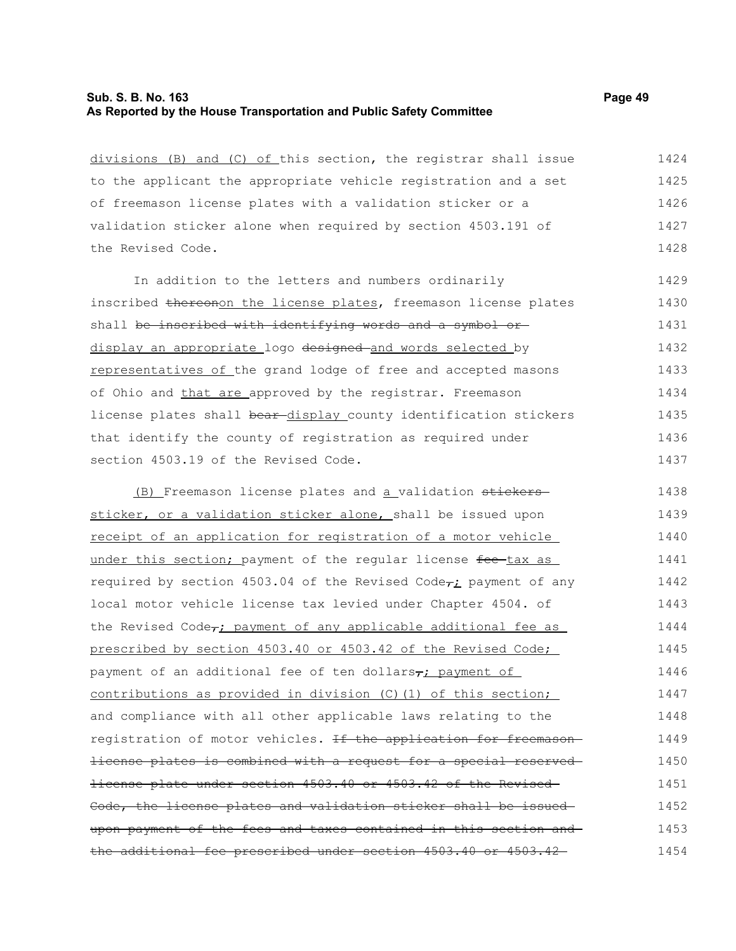### **Sub. S. B. No. 163 Page 49 As Reported by the House Transportation and Public Safety Committee**

divisions (B) and (C) of this section, the registrar shall issue to the applicant the appropriate vehicle registration and a set of freemason license plates with a validation sticker or a validation sticker alone when required by section 4503.191 of the Revised Code. 1424 1425 1426 1427 1428

In addition to the letters and numbers ordinarily inscribed thereonon the license plates, freemason license plates shall be inscribed with identifying words and a symbol ordisplay an appropriate logo designed and words selected by representatives of the grand lodge of free and accepted masons of Ohio and that are approved by the registrar. Freemason license plates shall bear-display\_county identification stickers that identify the county of registration as required under section 4503.19 of the Revised Code. 1429 1430 1431 1432 1433 1434 1435 1436 1437

(B) Freemason license plates and a validation stickerssticker, or a validation sticker alone, shall be issued upon receipt of an application for registration of a motor vehicle under this section; payment of the regular license fee-tax as required by section 4503.04 of the Revised Code $\tau_i$  payment of any local motor vehicle license tax levied under Chapter 4504. of the Revised Code<sub>r</sub>; payment of any applicable additional fee as prescribed by section 4503.40 or 4503.42 of the Revised Code; payment of an additional fee of ten dollars, payment of contributions as provided in division (C)(1) of this section; and compliance with all other applicable laws relating to the registration of motor vehicles. <del>If the application for freemason</del> license plates is combined with a request for a special reserved license plate under section 4503.40 or 4503.42 of the Revised Code, the license plates and validation sticker shall be issued upon payment of the fees and taxes contained in this section and the additional fee prescribed under section 4503.40 or 4503.42 1438 1439 1440 1441 1442 1443 1444 1445 1446 1447 1448 1449 1450 1451 1452 1453 1454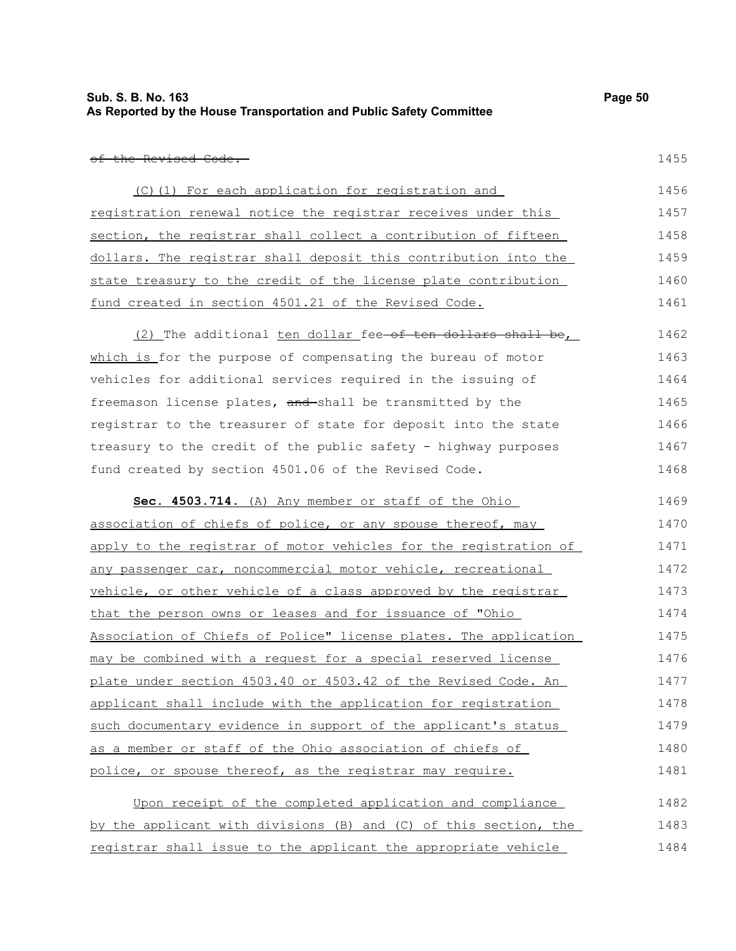of the Revised Code.

| (C)(1) For each application for registration and                | 1456 |
|-----------------------------------------------------------------|------|
| registration renewal notice the registrar receives under this   | 1457 |
| section, the registrar shall collect a contribution of fifteen  | 1458 |
| dollars. The registrar shall deposit this contribution into the | 1459 |
| state treasury to the credit of the license plate contribution  | 1460 |
| fund created in section 4501.21 of the Revised Code.            | 1461 |

(2) The additional ten dollar fee-of ten dollars shall be, which is for the purpose of compensating the bureau of motor vehicles for additional services required in the issuing of freemason license plates, and shall be transmitted by the registrar to the treasurer of state for deposit into the state treasury to the credit of the public safety - highway purposes fund created by section 4501.06 of the Revised Code. 1462 1463 1464 1465 1466 1467 1468

| Sec. 4503.714. (A) Any member or staff of the Ohio               | 1469 |
|------------------------------------------------------------------|------|
| association of chiefs of police, or any spouse thereof, may      | 1470 |
| apply to the registrar of motor vehicles for the registration of | 1471 |
| any passenger car, noncommercial motor vehicle, recreational     | 1472 |
| vehicle, or other vehicle of a class approved by the registrar   | 1473 |
| that the person owns or leases and for issuance of "Ohio         | 1474 |
| Association of Chiefs of Police" license plates. The application | 1475 |
| may be combined with a request for a special reserved license    | 1476 |
| plate under section 4503.40 or 4503.42 of the Revised Code. An   | 1477 |
| applicant shall include with the application for registration    | 1478 |
| such documentary evidence in support of the applicant's status   | 1479 |
| as a member or staff of the Ohio association of chiefs of        | 1480 |
| police, or spouse thereof, as the registrar may require.         | 1481 |
|                                                                  |      |

| Upon receipt of the completed application and compliance         | 1482 |
|------------------------------------------------------------------|------|
| by the applicant with divisions (B) and (C) of this section, the | 1483 |
| registrar shall issue to the applicant the appropriate vehicle   | 1484 |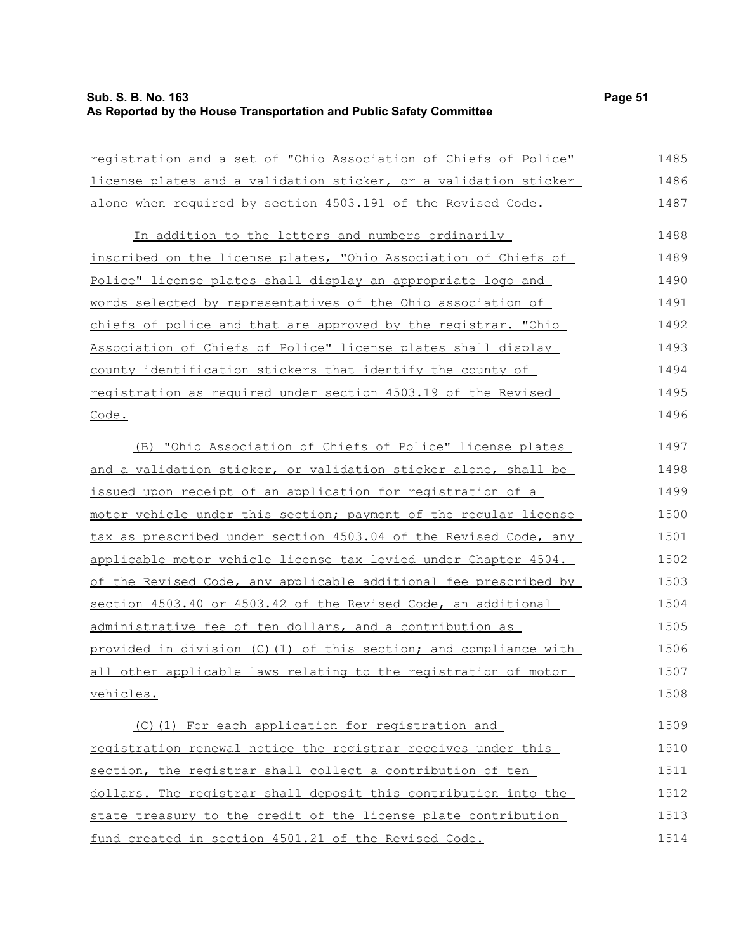# **Sub. S. B. No. 163 Page 51 As Reported by the House Transportation and Public Safety Committee**

| registration and a set of "Ohio Association of Chiefs of Police"  | 1485 |
|-------------------------------------------------------------------|------|
| license plates and a validation sticker, or a validation sticker  | 1486 |
| alone when required by section 4503.191 of the Revised Code.      | 1487 |
| In addition to the letters and numbers ordinarily                 | 1488 |
| inscribed on the license plates, "Ohio Association of Chiefs of   | 1489 |
| Police" license plates shall display an appropriate logo and      | 1490 |
| words selected by representatives of the Ohio association of      | 1491 |
| chiefs of police and that are approved by the registrar. "Ohio    | 1492 |
| Association of Chiefs of Police" license plates shall display     | 1493 |
| <u>county identification stickers that identify the county of</u> | 1494 |
| registration as required under section 4503.19 of the Revised     | 1495 |
| Code.                                                             | 1496 |
| (B) "Ohio Association of Chiefs of Police" license plates         | 1497 |
| and a validation sticker, or validation sticker alone, shall be   | 1498 |
| issued upon receipt of an application for registration of a       | 1499 |
| motor vehicle under this section; payment of the regular license  | 1500 |
| tax as prescribed under section 4503.04 of the Revised Code, any  | 1501 |
| applicable motor vehicle license tax levied under Chapter 4504.   | 1502 |
| of the Revised Code, any applicable additional fee prescribed by  | 1503 |
| section 4503.40 or 4503.42 of the Revised Code, an additional     | 1504 |
| administrative fee of ten dollars, and a contribution as          | 1505 |
| provided in division (C)(1) of this section; and compliance with  | 1506 |
| all other applicable laws relating to the registration of motor   | 1507 |
| vehicles.                                                         | 1508 |
| (C) (1) For each application for registration and                 | 1509 |
| registration renewal notice the registrar receives under this     | 1510 |
| section, the registrar shall collect a contribution of ten        | 1511 |
| dollars. The registrar shall deposit this contribution into the   | 1512 |
| state treasury to the credit of the license plate contribution    | 1513 |
| fund created in section 4501.21 of the Revised Code.              | 1514 |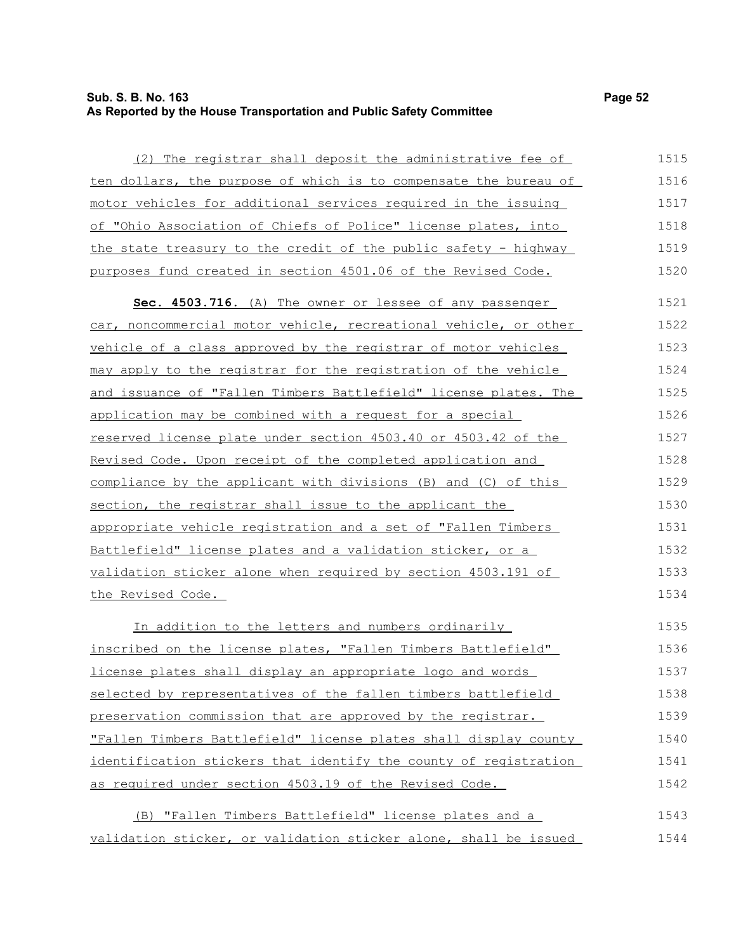## **Sub. S. B. No. 163 Page 52 As Reported by the House Transportation and Public Safety Committee**

| (2) The registrar shall deposit the administrative fee of        | 1515 |
|------------------------------------------------------------------|------|
| ten dollars, the purpose of which is to compensate the bureau of | 1516 |
| motor vehicles for additional services required in the issuing   | 1517 |
| of "Ohio Association of Chiefs of Police" license plates, into   | 1518 |
| the state treasury to the credit of the public safety - highway  | 1519 |
| purposes fund created in section 4501.06 of the Revised Code.    | 1520 |
| Sec. 4503.716. (A) The owner or lessee of any passenger          | 1521 |
| car, noncommercial motor vehicle, recreational vehicle, or other | 1522 |
| vehicle of a class approved by the registrar of motor vehicles   | 1523 |
| may apply to the registrar for the registration of the vehicle   | 1524 |
| and issuance of "Fallen Timbers Battlefield" license plates. The | 1525 |
| application may be combined with a request for a special         | 1526 |
| reserved license plate under section 4503.40 or 4503.42 of the   | 1527 |
| Revised Code. Upon receipt of the completed application and      | 1528 |
| compliance by the applicant with divisions (B) and (C) of this   | 1529 |
| section, the registrar shall issue to the applicant the          | 1530 |
| appropriate vehicle registration and a set of "Fallen Timbers    | 1531 |
| Battlefield" license plates and a validation sticker, or a       | 1532 |
| validation sticker alone when required by section 4503.191 of    | 1533 |
| the Revised Code.                                                | 1534 |
| In addition to the letters and numbers ordinarily                | 1535 |
| inscribed on the license plates, "Fallen Timbers Battlefield"    | 1536 |
| license plates shall display an appropriate logo and words       | 1537 |
| selected by representatives of the fallen timbers battlefield    | 1538 |
| preservation commission that are approved by the registrar.      | 1539 |
|                                                                  |      |

identification stickers that identify the county of registration as required under section 4503.19 of the Revised Code. (B) "Fallen Timbers Battlefield" license plates and a 1541 1542 1543

"Fallen Timbers Battlefield" license plates shall display county

validation sticker, or validation sticker alone, shall be issued 1544

1540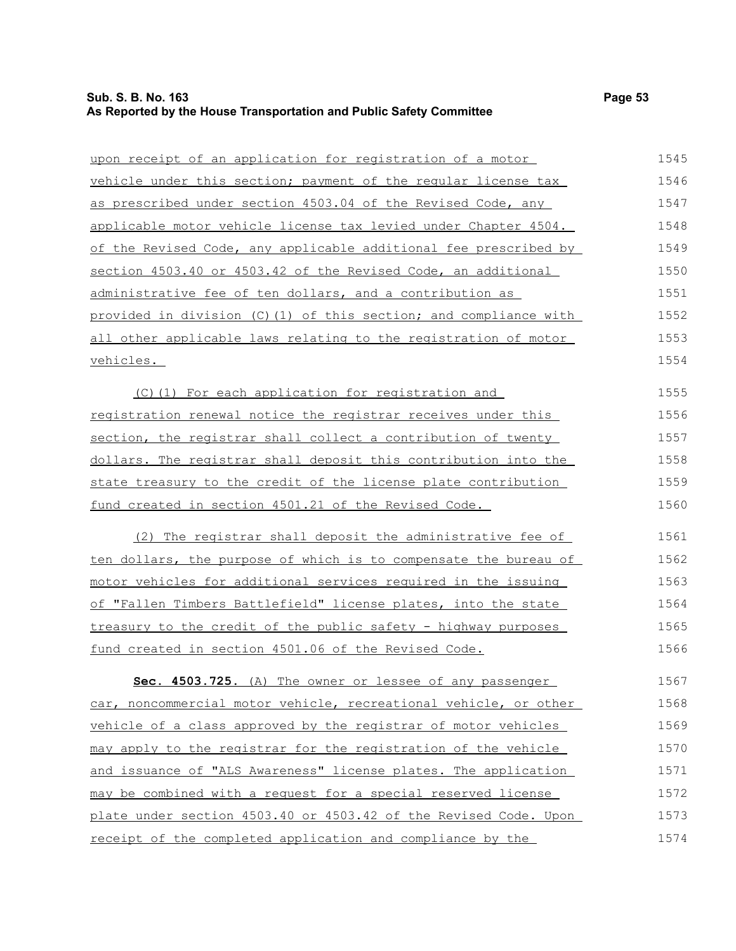# **Sub. S. B. No. 163 Page 53 As Reported by the House Transportation and Public Safety Committee**

| upon receipt of an application for registration of a motor              | 1545 |
|-------------------------------------------------------------------------|------|
| vehicle under this section; payment of the regular license tax          | 1546 |
| as prescribed under section 4503.04 of the Revised Code, any            | 1547 |
| applicable motor vehicle license tax levied under Chapter 4504.         | 1548 |
| <u>of the Revised Code, any applicable additional fee prescribed by</u> | 1549 |
| section 4503.40 or 4503.42 of the Revised Code, an additional           | 1550 |
| administrative fee of ten dollars, and a contribution as                | 1551 |
| provided in division (C)(1) of this section; and compliance with        | 1552 |
| all other applicable laws relating to the registration of motor         | 1553 |
| vehicles.                                                               | 1554 |
| (C)(1) For each application for registration and                        | 1555 |
| registration renewal notice the registrar receives under this           | 1556 |
| section, the registrar shall collect a contribution of twenty           | 1557 |
| dollars. The registrar shall deposit this contribution into the         | 1558 |
| state treasury to the credit of the license plate contribution          | 1559 |
| fund created in section 4501.21 of the Revised Code.                    | 1560 |
| (2) The registrar shall deposit the administrative fee of               | 1561 |
| ten dollars, the purpose of which is to compensate the bureau of        | 1562 |
| <u>motor vehicles for additional services required in the issuing</u>   | 1563 |
| of "Fallen Timbers Battlefield" license plates, into the state          | 1564 |
| treasury to the credit of the public safety - highway purposes          | 1565 |
| fund created in section 4501.06 of the Revised Code.                    | 1566 |
| Sec. 4503.725. (A) The owner or lessee of any passenger                 | 1567 |
| car, noncommercial motor vehicle, recreational vehicle, or other        | 1568 |
| vehicle of a class approved by the registrar of motor vehicles          | 1569 |
| may apply to the registrar for the registration of the vehicle          | 1570 |
| and issuance of "ALS Awareness" license plates. The application         | 1571 |
| may be combined with a request for a special reserved license           | 1572 |
| plate under section 4503.40 or 4503.42 of the Revised Code. Upon        | 1573 |
| receipt of the completed application and compliance by the              | 1574 |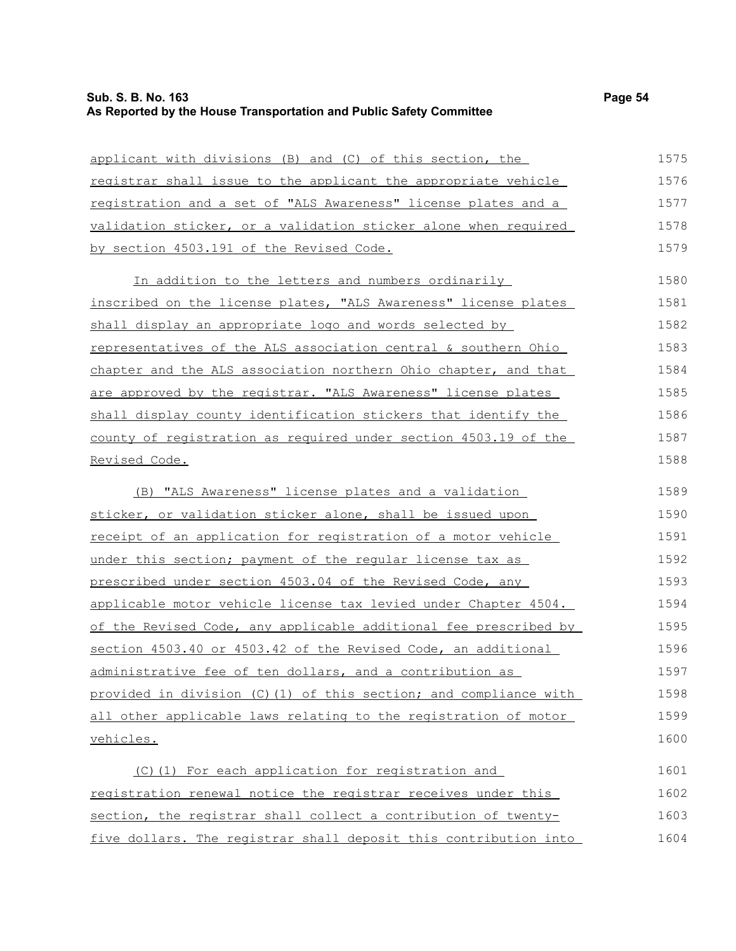# **Sub. S. B. No. 163 Page 54 As Reported by the House Transportation and Public Safety Committee**

| applicant with divisions (B) and (C) of this section, the         | 1575 |
|-------------------------------------------------------------------|------|
| registrar shall issue to the applicant the appropriate vehicle    | 1576 |
| registration and a set of "ALS Awareness" license plates and a    | 1577 |
| validation sticker, or a validation sticker alone when required   | 1578 |
| by section 4503.191 of the Revised Code.                          | 1579 |
| In addition to the letters and numbers ordinarily                 | 1580 |
| inscribed on the license plates, "ALS Awareness" license plates   | 1581 |
| shall display an appropriate logo and words selected by           | 1582 |
| representatives of the ALS association central & southern Ohio    | 1583 |
| chapter and the ALS association northern Ohio chapter, and that   | 1584 |
| are approved by the registrar. "ALS Awareness" license plates     | 1585 |
| shall display county identification stickers that identify the    | 1586 |
| county of registration as required under section 4503.19 of the   | 1587 |
| Revised Code.                                                     | 1588 |
| (B) "ALS Awareness" license plates and a validation               | 1589 |
| sticker, or validation sticker alone, shall be issued upon        | 1590 |
| receipt of an application for registration of a motor vehicle     | 1591 |
| under this section; payment of the reqular license tax as         | 1592 |
| prescribed under section 4503.04 of the Revised Code, any         | 1593 |
| applicable motor vehicle license tax levied under Chapter 4504.   | 1594 |
| of the Revised Code, any applicable additional fee prescribed by  | 1595 |
| section 4503.40 or 4503.42 of the Revised Code, an additional     | 1596 |
| administrative fee of ten dollars, and a contribution as          | 1597 |
| provided in division (C) (1) of this section; and compliance with | 1598 |
| all other applicable laws relating to the registration of motor   | 1599 |
| vehicles.                                                         | 1600 |
| (C)(1) For each application for registration and                  | 1601 |
| registration renewal notice the registrar receives under this     | 1602 |
| section, the registrar shall collect a contribution of twenty-    | 1603 |
| five dollars. The registrar shall deposit this contribution into  | 1604 |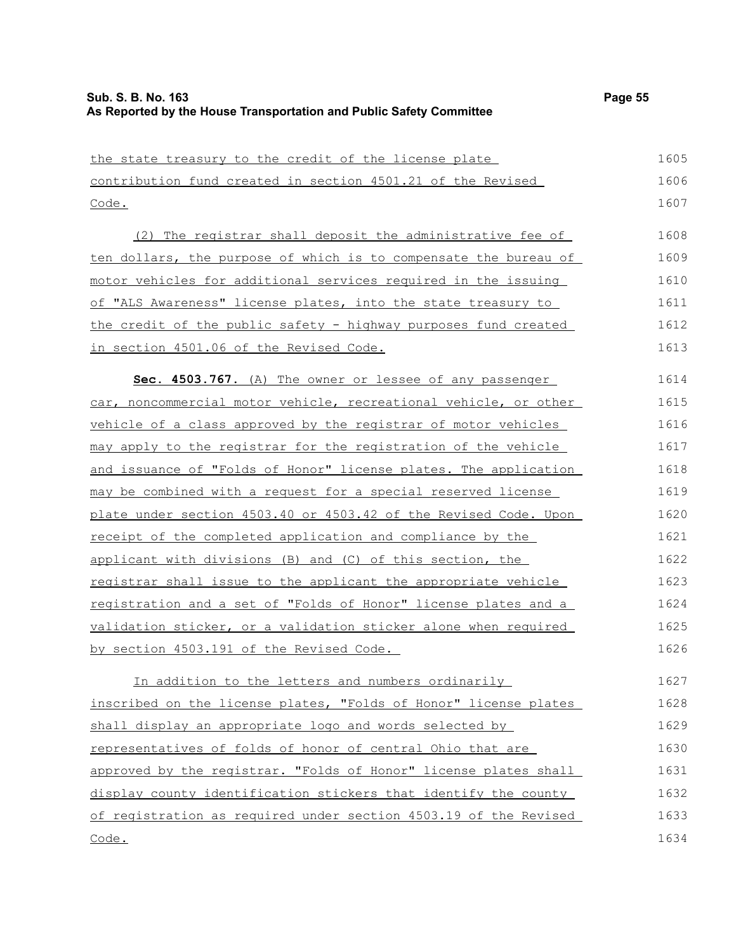| the state treasury to the credit of the license plate            | 1605 |
|------------------------------------------------------------------|------|
| contribution fund created in section 4501.21 of the Revised      | 1606 |
| Code.                                                            | 1607 |
| (2) The registrar shall deposit the administrative fee of        | 1608 |
| ten dollars, the purpose of which is to compensate the bureau of | 1609 |
| motor vehicles for additional services required in the issuing   | 1610 |
| of "ALS Awareness" license plates, into the state treasury to    | 1611 |
| the credit of the public safety - highway purposes fund created  | 1612 |
| in section 4501.06 of the Revised Code.                          | 1613 |
| Sec. 4503.767. (A) The owner or lessee of any passenger          | 1614 |
| car, noncommercial motor vehicle, recreational vehicle, or other | 1615 |
| vehicle of a class approved by the registrar of motor vehicles   | 1616 |
| may apply to the registrar for the registration of the vehicle   | 1617 |
| and issuance of "Folds of Honor" license plates. The application | 1618 |
| may be combined with a request for a special reserved license    | 1619 |
| plate under section 4503.40 or 4503.42 of the Revised Code. Upon | 1620 |
| receipt of the completed application and compliance by the       | 1621 |
| applicant with divisions (B) and (C) of this section, the        | 1622 |
| registrar shall issue to the applicant the appropriate vehicle   | 1623 |
| registration and a set of "Folds of Honor" license plates and a  | 1624 |
| validation sticker, or a validation sticker alone when required  | 1625 |
| by section 4503.191 of the Revised Code.                         | 1626 |
| In addition to the letters and numbers ordinarily                | 1627 |
| inscribed on the license plates, "Folds of Honor" license plates | 1628 |
| shall display an appropriate logo and words selected by          | 1629 |
| representatives of folds of honor of central Ohio that are       | 1630 |
| approved by the registrar. "Folds of Honor" license plates shall | 1631 |
| display county identification stickers that identify the county  | 1632 |
| of registration as required under section 4503.19 of the Revised | 1633 |
| Code.                                                            | 1634 |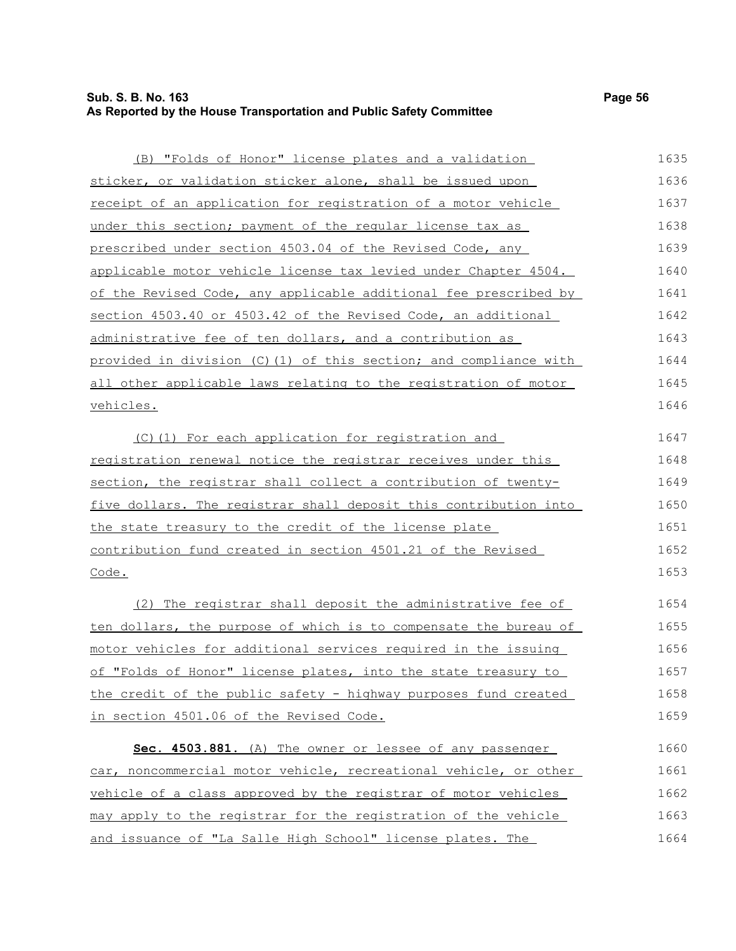# **Sub. S. B. No. 163 Page 56 As Reported by the House Transportation and Public Safety Committee**

| (B) "Folds of Honor" license plates and a validation             | 1635 |
|------------------------------------------------------------------|------|
| sticker, or validation sticker alone, shall be issued upon       | 1636 |
| receipt of an application for registration of a motor vehicle    | 1637 |
| under this section; payment of the regular license tax as        | 1638 |
| prescribed under section 4503.04 of the Revised Code, any        | 1639 |
| applicable motor vehicle license tax levied under Chapter 4504.  | 1640 |
| of the Revised Code, any applicable additional fee prescribed by | 1641 |
| section 4503.40 or 4503.42 of the Revised Code, an additional    | 1642 |
| <u>administrative fee of ten dollars, and a contribution as </u> | 1643 |
| provided in division (C)(1) of this section; and compliance with | 1644 |
| all other applicable laws relating to the registration of motor  | 1645 |
| <u>vehicles.</u>                                                 | 1646 |
| (C)(1) For each application for registration and                 | 1647 |
| registration renewal notice the registrar receives under this    | 1648 |
| section, the registrar shall collect a contribution of twenty-   | 1649 |
| five dollars. The registrar shall deposit this contribution into | 1650 |
| the state treasury to the credit of the license plate            | 1651 |
| contribution fund created in section 4501.21 of the Revised      | 1652 |
| Code.                                                            | 1653 |
| (2) The registrar shall deposit the administrative fee of        | 1654 |
| ten dollars, the purpose of which is to compensate the bureau of | 1655 |
| motor vehicles for additional services required in the issuing   | 1656 |
| of "Folds of Honor" license plates, into the state treasury to   | 1657 |
| the credit of the public safety - highway purposes fund created  | 1658 |
| in section 4501.06 of the Revised Code.                          | 1659 |
| Sec. 4503.881. (A) The owner or lessee of any passenger          | 1660 |
| car, noncommercial motor vehicle, recreational vehicle, or other | 1661 |
| vehicle of a class approved by the registrar of motor vehicles   | 1662 |
| may apply to the registrar for the registration of the vehicle   | 1663 |
| and issuance of "La Salle High School" license plates. The       | 1664 |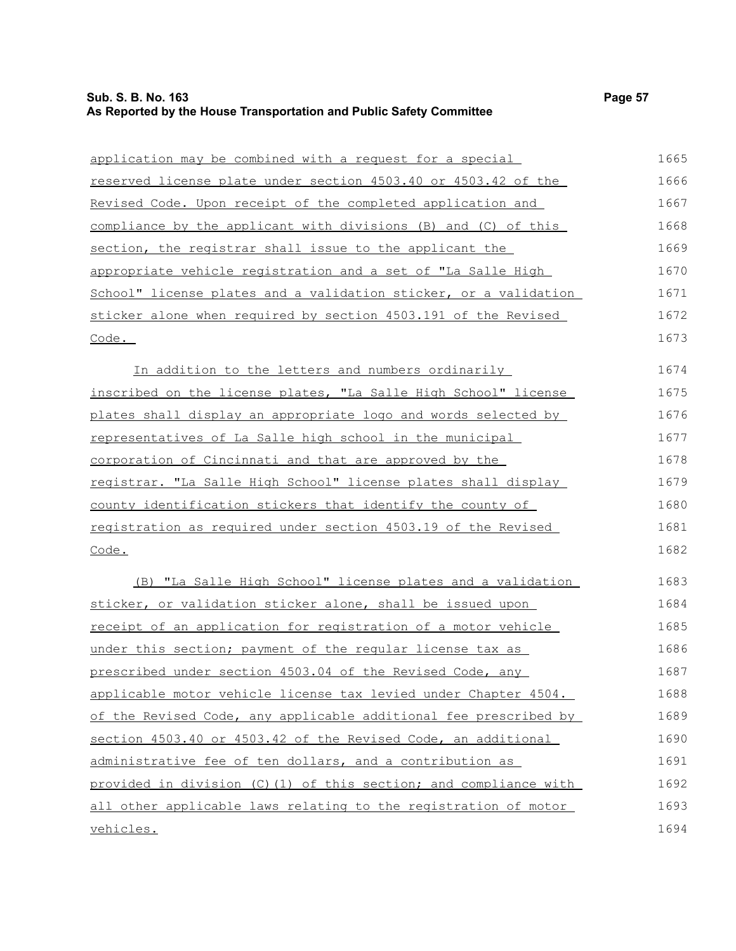| application may be combined with a request for a special          | 1665 |
|-------------------------------------------------------------------|------|
| reserved license plate under section 4503.40 or 4503.42 of the    | 1666 |
| Revised Code. Upon receipt of the completed application and       | 1667 |
| compliance by the applicant with divisions (B) and (C) of this    | 1668 |
| section, the registrar shall issue to the applicant the           | 1669 |
| appropriate vehicle registration and a set of "La Salle High      | 1670 |
| School" license plates and a validation sticker, or a validation  | 1671 |
| sticker alone when required by section 4503.191 of the Revised    | 1672 |
| Code.                                                             | 1673 |
| In addition to the letters and numbers ordinarily                 | 1674 |
| inscribed on the license plates, "La Salle High School" license   | 1675 |
| plates shall display an appropriate logo and words selected by    | 1676 |
| representatives of La Salle high school in the municipal          | 1677 |
| corporation of Cincinnati and that are approved by the            | 1678 |
| registrar. "La Salle High School" license plates shall display    | 1679 |
| county identification stickers that identify the county of        | 1680 |
| registration as required under section 4503.19 of the Revised     | 1681 |
| Code.                                                             | 1682 |
| (B) "La Salle High School" license plates and a validation        | 1683 |
| sticker, or validation sticker alone, shall be issued upon        | 1684 |
| receipt of an application for registration of a motor vehicle     | 1685 |
| under this section; payment of the regular license tax as         | 1686 |
| prescribed under section 4503.04 of the Revised Code, any         | 1687 |
| applicable motor vehicle license tax levied under Chapter 4504.   | 1688 |
| of the Revised Code, any applicable additional fee prescribed by  | 1689 |
| section 4503.40 or 4503.42 of the Revised Code, an additional     | 1690 |
| administrative fee of ten dollars, and a contribution as          | 1691 |
| provided in division (C) (1) of this section; and compliance with | 1692 |
| all other applicable laws relating to the registration of motor   | 1693 |
| vehicles.                                                         | 1694 |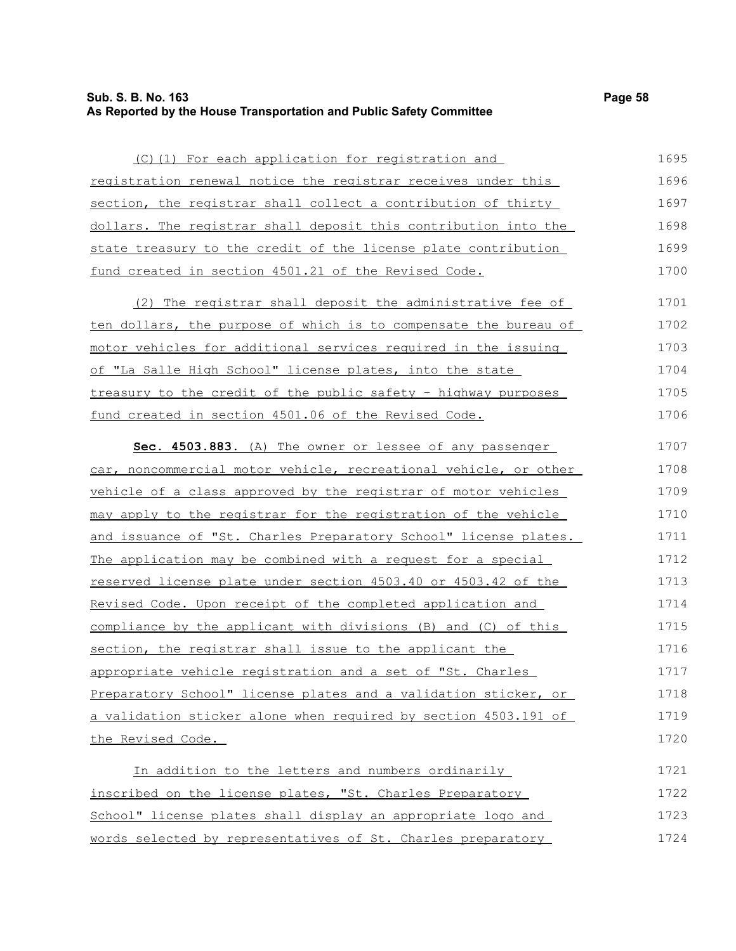### **Sub. S. B. No. 163 Page 58 As Reported by the House Transportation and Public Safety Committee**

(C)(1) For each application for registration and registration renewal notice the registrar receives under this section, the reqistrar shall collect a contribution of thirty dollars. The registrar shall deposit this contribution into the state treasury to the credit of the license plate contribution fund created in section 4501.21 of the Revised Code. 1695 1696 1697 1698 1699 1700

(2) The registrar shall deposit the administrative fee of ten dollars, the purpose of which is to compensate the bureau of motor vehicles for additional services required in the issuing of "La Salle High School" license plates, into the state treasury to the credit of the public safety - highway purposes fund created in section 4501.06 of the Revised Code. 1701 1702 1703 1704 1705 1706

 **Sec. 4503.883.** (A) The owner or lessee of any passenger car, noncommercial motor vehicle, recreational vehicle, or other vehicle of a class approved by the registrar of motor vehicles may apply to the registrar for the registration of the vehicle and issuance of "St. Charles Preparatory School" license plates. The application may be combined with a request for a special reserved license plate under section 4503.40 or 4503.42 of the Revised Code. Upon receipt of the completed application and compliance by the applicant with divisions (B) and (C) of this section, the registrar shall issue to the applicant the appropriate vehicle registration and a set of "St. Charles Preparatory School" license plates and a validation sticker, or a validation sticker alone when required by section 4503.191 of the Revised Code. 1707 1708 1709 1710 1711 1712 1713 1714 1715 1716 1717 1718 1719 1720

In addition to the letters and numbers ordinarily inscribed on the license plates, "St. Charles Preparatory School" license plates shall display an appropriate logo and words selected by representatives of St. Charles preparatory 1721 1722 1723 1724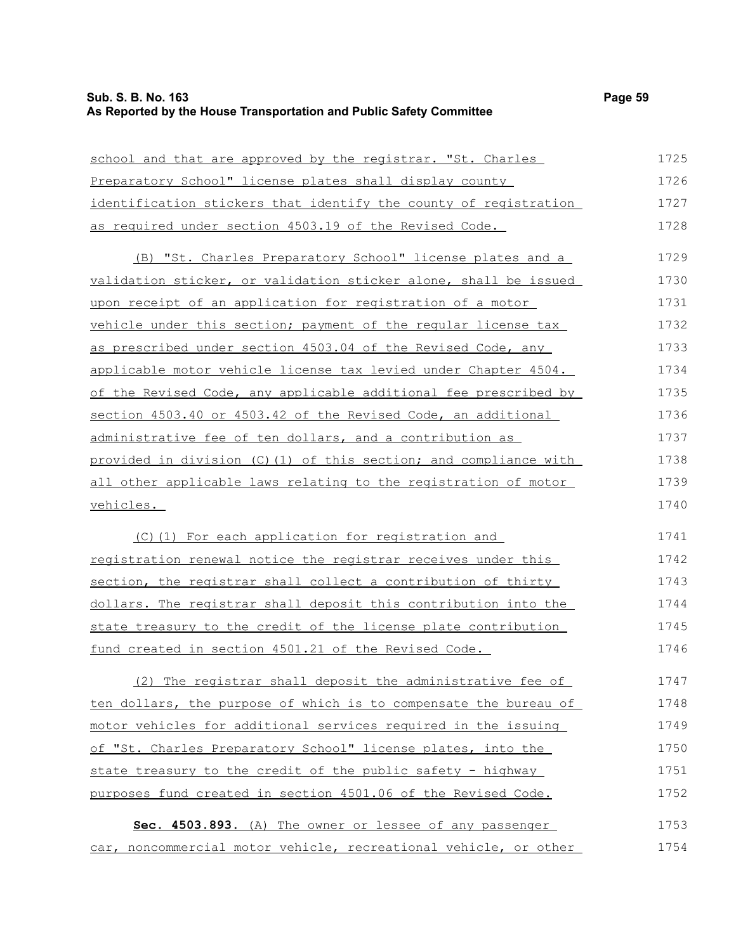# **Sub. S. B. No. 163 Page 59 As Reported by the House Transportation and Public Safety Committee**

| school and that are approved by the registrar. "St. Charles      | 1725 |
|------------------------------------------------------------------|------|
| Preparatory School" license plates shall display county          | 1726 |
| identification stickers that identify the county of registration | 1727 |
| as required under section 4503.19 of the Revised Code.           | 1728 |
| (B) "St. Charles Preparatory School" license plates and a        | 1729 |
| validation sticker, or validation sticker alone, shall be issued | 1730 |
| upon receipt of an application for registration of a motor       | 1731 |
| vehicle under this section; payment of the regular license tax   | 1732 |
| as prescribed under section 4503.04 of the Revised Code, any     | 1733 |
| applicable motor vehicle license tax levied under Chapter 4504.  | 1734 |
| of the Revised Code, any applicable additional fee prescribed by | 1735 |
| section 4503.40 or 4503.42 of the Revised Code, an additional    | 1736 |
| administrative fee of ten dollars, and a contribution as         | 1737 |
| provided in division (C)(1) of this section; and compliance with | 1738 |
| all other applicable laws relating to the registration of motor  | 1739 |
| vehicles.                                                        | 1740 |
| (C)(1) For each application for registration and                 | 1741 |
| registration renewal notice the registrar receives under this    | 1742 |
| section, the registrar shall collect a contribution of thirty    | 1743 |
| dollars. The registrar shall deposit this contribution into the  | 1744 |
| state treasury to the credit of the license plate contribution   | 1745 |
| fund created in section 4501.21 of the Revised Code.             | 1746 |
| (2) The registrar shall deposit the administrative fee of        | 1747 |
| ten dollars, the purpose of which is to compensate the bureau of | 1748 |
| motor vehicles for additional services required in the issuing   | 1749 |
| of "St. Charles Preparatory School" license plates, into the     | 1750 |
| state treasury to the credit of the public safety - highway      | 1751 |
| purposes fund created in section 4501.06 of the Revised Code.    | 1752 |
| Sec. 4503.893. (A) The owner or lessee of any passenger          | 1753 |
| car, noncommercial motor vehicle, recreational vehicle, or other | 1754 |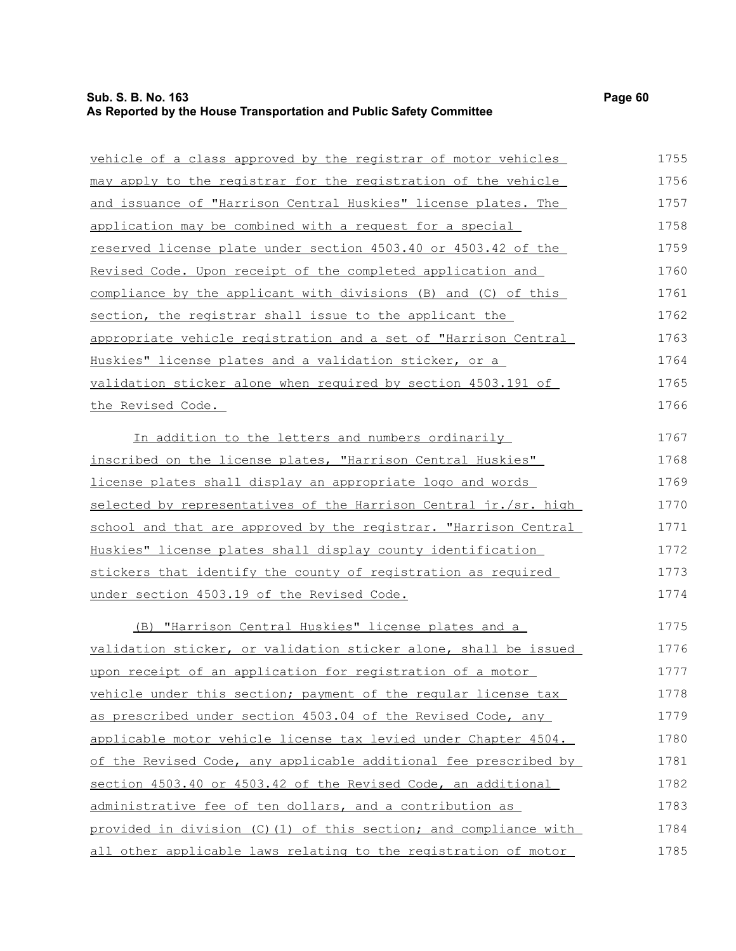# **Sub. S. B. No. 163 Page 60 As Reported by the House Transportation and Public Safety Committee**

| vehicle of a class approved by the registrar of motor vehicles    | 1755 |
|-------------------------------------------------------------------|------|
| may apply to the registrar for the registration of the vehicle    | 1756 |
| and issuance of "Harrison Central Huskies" license plates. The    | 1757 |
| application may be combined with a request for a special          | 1758 |
| reserved license plate under section 4503.40 or 4503.42 of the    | 1759 |
| Revised Code. Upon receipt of the completed application and       | 1760 |
| compliance by the applicant with divisions (B) and (C) of this    | 1761 |
| section, the registrar shall issue to the applicant the           | 1762 |
| appropriate vehicle registration and a set of "Harrison Central   | 1763 |
| Huskies" license plates and a validation sticker, or a            | 1764 |
| validation sticker alone when required by section 4503.191 of     | 1765 |
| <u>the Revised Code.</u>                                          | 1766 |
| In addition to the letters and numbers ordinarily                 | 1767 |
| inscribed on the license plates, "Harrison Central Huskies"       | 1768 |
| license plates shall display an appropriate logo and words        | 1769 |
| selected by representatives of the Harrison Central jr./sr. high  | 1770 |
| school and that are approved by the registrar. "Harrison Central  | 1771 |
| Huskies" license plates shall display county identification       | 1772 |
| stickers that identify the county of registration as required     | 1773 |
| under section 4503.19 of the Revised Code.                        | 1774 |
| (B) "Harrison Central Huskies" license plates and a               | 1775 |
| validation sticker, or validation sticker alone, shall be issued  | 1776 |
| upon receipt of an application for registration of a motor        | 1777 |
| vehicle under this section; payment of the regular license tax    | 1778 |
| as prescribed under section 4503.04 of the Revised Code, any      | 1779 |
| applicable motor vehicle license tax levied under Chapter 4504.   | 1780 |
| of the Revised Code, any applicable additional fee prescribed by  | 1781 |
| section 4503.40 or 4503.42 of the Revised Code, an additional     | 1782 |
| administrative fee of ten dollars, and a contribution as          | 1783 |
| provided in division (C) (1) of this section; and compliance with | 1784 |
| all other applicable laws relating to the registration of motor   | 1785 |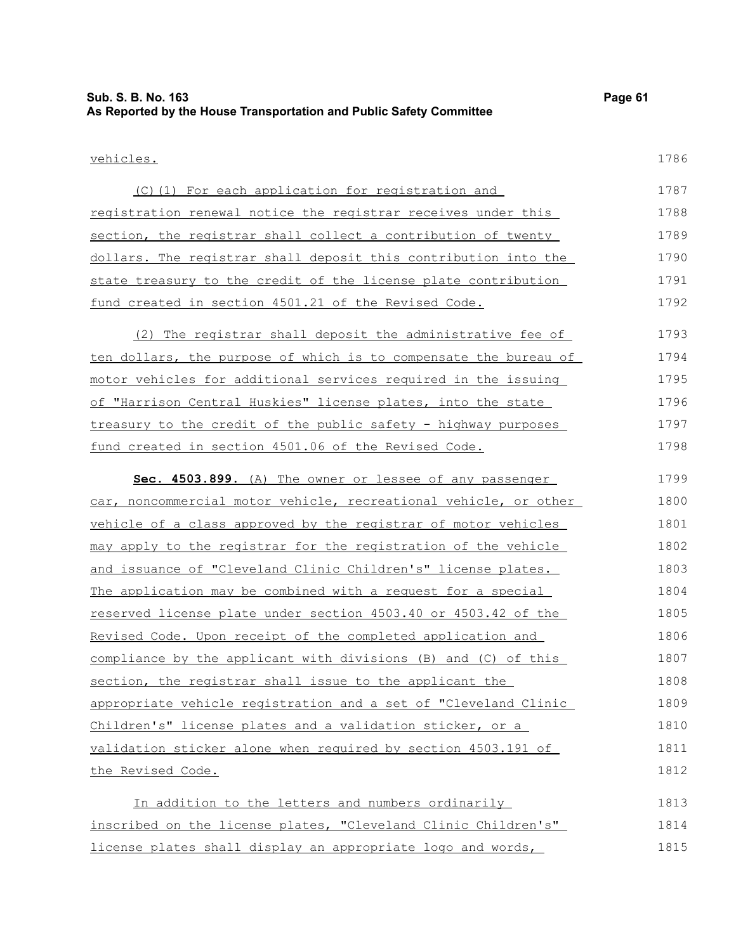### vehicles.

| (C)(1) For each application for registration and                 | 1787 |
|------------------------------------------------------------------|------|
| registration renewal notice the registrar receives under this    | 1788 |
| section, the registrar shall collect a contribution of twenty    | 1789 |
| dollars. The registrar shall deposit this contribution into the  | 1790 |
| state treasury to the credit of the license plate contribution   | 1791 |
| fund created in section 4501.21 of the Revised Code.             | 1792 |
|                                                                  |      |
| (2) The registrar shall deposit the administrative fee of        | 1793 |
| ten dollars, the purpose of which is to compensate the bureau of | 1794 |

motor vehicles for additional services required in the issuing of "Harrison Central Huskies" license plates, into the state treasury to the credit of the public safety - highway purposes fund created in section 4501.06 of the Revised Code. 1795 1796 1797 1798

| Sec. 4503.899. (A) The owner or lessee of any passenger          | 1799 |
|------------------------------------------------------------------|------|
| car, noncommercial motor vehicle, recreational vehicle, or other | 1800 |
| vehicle of a class approved by the registrar of motor vehicles   | 1801 |
| may apply to the registrar for the registration of the vehicle   | 1802 |
| and issuance of "Cleveland Clinic Children's" license plates.    | 1803 |
| The application may be combined with a request for a special     | 1804 |
| reserved license plate under section 4503.40 or 4503.42 of the   | 1805 |
| Revised Code. Upon receipt of the completed application and      | 1806 |
| compliance by the applicant with divisions (B) and (C) of this   | 1807 |
| section, the registrar shall issue to the applicant the          | 1808 |
| appropriate vehicle registration and a set of "Cleveland Clinic  | 1809 |
| Children's" license plates and a validation sticker, or a        | 1810 |
| validation sticker alone when required by section 4503.191 of    | 1811 |
| the Revised Code.                                                | 1812 |
|                                                                  |      |

In addition to the letters and numbers ordinarily inscribed on the license plates, "Cleveland Clinic Children's" license plates shall display an appropriate logo and words, 1813 1814 1815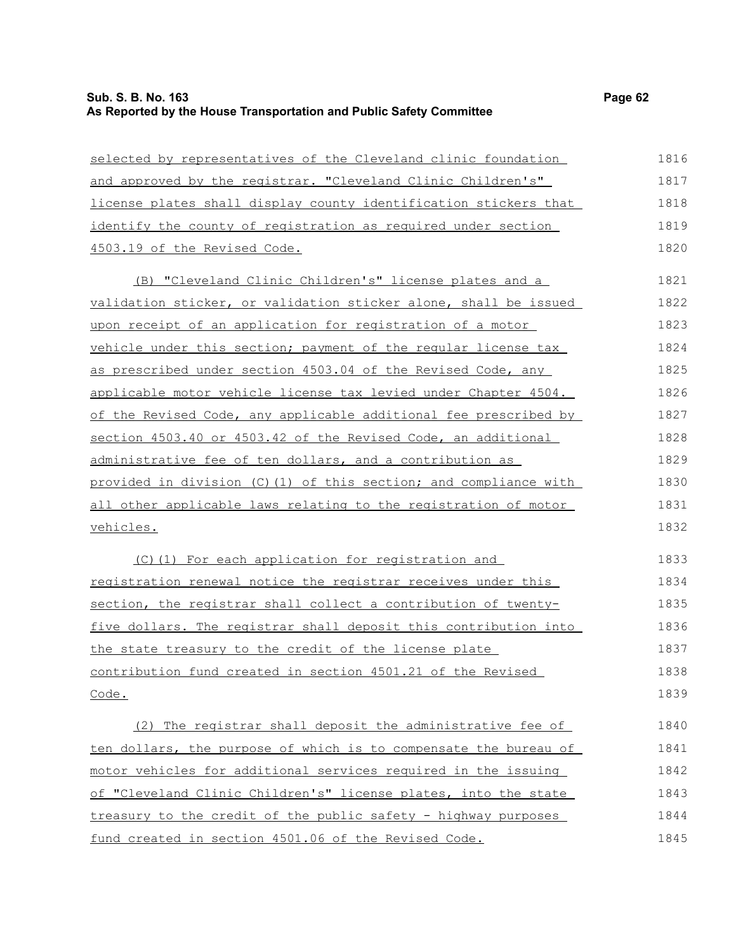# **Sub. S. B. No. 163 Page 62 As Reported by the House Transportation and Public Safety Committee**

| selected by representatives of the Cleveland clinic foundation   | 1816 |
|------------------------------------------------------------------|------|
| and approved by the registrar. "Cleveland Clinic Children's"     | 1817 |
| license plates shall display county identification stickers that | 1818 |
| identify the county of registration as required under section    | 1819 |
| 4503.19 of the Revised Code.                                     | 1820 |
| (B) "Cleveland Clinic Children's" license plates and a           | 1821 |
| validation sticker, or validation sticker alone, shall be issued | 1822 |
| upon receipt of an application for registration of a motor       | 1823 |
| vehicle under this section; payment of the regular license tax   | 1824 |
| as prescribed under section 4503.04 of the Revised Code, any     | 1825 |
| applicable motor vehicle license tax levied under Chapter 4504.  | 1826 |
| of the Revised Code, any applicable additional fee prescribed by | 1827 |
| section 4503.40 or 4503.42 of the Revised Code, an additional    | 1828 |
| administrative fee of ten dollars, and a contribution as         | 1829 |
| provided in division (C)(1) of this section; and compliance with | 1830 |
| all other applicable laws relating to the registration of motor  | 1831 |
| vehicles.                                                        | 1832 |
| (C)(1) For each application for registration and                 | 1833 |
| registration renewal notice the registrar receives under this    | 1834 |
| section, the registrar shall collect a contribution of twenty-   | 1835 |
| five dollars. The registrar shall deposit this contribution into | 1836 |
| the state treasury to the credit of the license plate            | 1837 |
| contribution fund created in section 4501.21 of the Revised      | 1838 |
| Code.                                                            | 1839 |
| (2) The registrar shall deposit the administrative fee of        | 1840 |
| ten dollars, the purpose of which is to compensate the bureau of | 1841 |
| motor vehicles for additional services required in the issuing   | 1842 |
| of "Cleveland Clinic Children's" license plates, into the state  | 1843 |
| treasury to the credit of the public safety - highway purposes   | 1844 |
| fund created in section 4501.06 of the Revised Code.             | 1845 |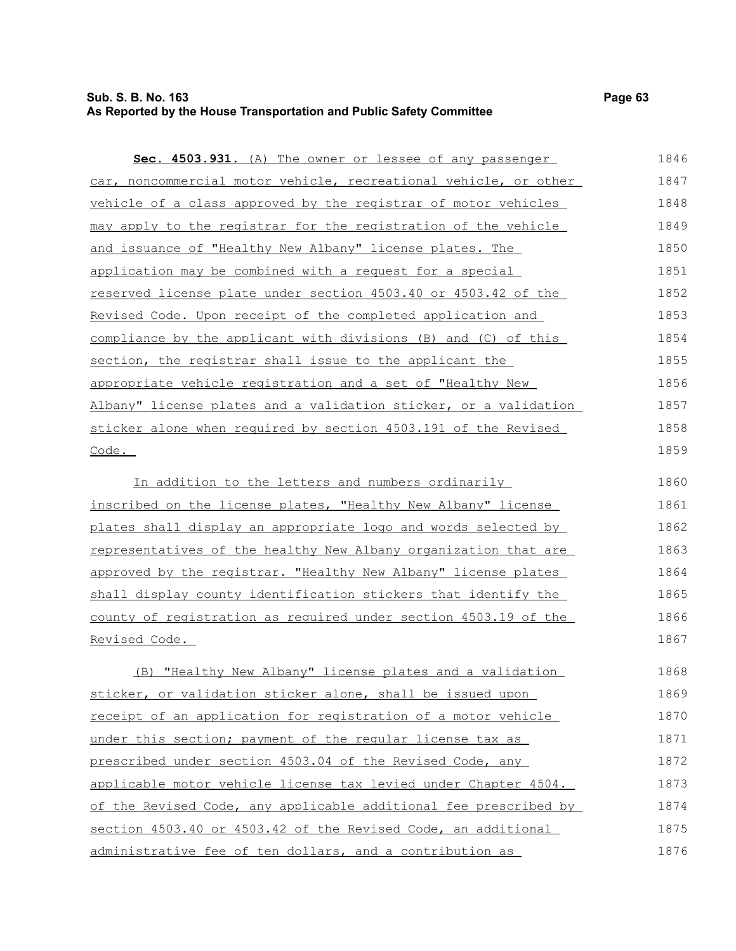### **Sub. S. B. No. 163 Page 63 As Reported by the House Transportation and Public Safety Committee**

 **Sec. 4503.931.** (A) The owner or lessee of any passenger car, noncommercial motor vehicle, recreational vehicle, or other vehicle of a class approved by the registrar of motor vehicles

| may apply to the registrar for the registration of the vehicle   | 1849 |
|------------------------------------------------------------------|------|
| and issuance of "Healthy New Albany" license plates. The         | 1850 |
| application may be combined with a request for a special         | 1851 |
| reserved license plate under section 4503.40 or 4503.42 of the   | 1852 |
| Revised Code. Upon receipt of the completed application and      | 1853 |
| compliance by the applicant with divisions (B) and (C) of this   | 1854 |
| section, the registrar shall issue to the applicant the          | 1855 |
| appropriate vehicle registration and a set of "Healthy New       | 1856 |
| Albany" license plates and a validation sticker, or a validation | 1857 |
| sticker alone when required by section 4503.191 of the Revised   | 1858 |
| Code.                                                            | 1859 |
|                                                                  |      |

In addition to the letters and numbers ordinarily inscribed on the license plates, "Healthy New Albany" license plates shall display an appropriate logo and words selected by representatives of the healthy New Albany organization that are approved by the registrar. "Healthy New Albany" license plates shall display county identification stickers that identify the county of registration as required under section 4503.19 of the Revised Code. 1860 1861 1862 1863 1864 1865 1866 1867

(B) "Healthy New Albany" license plates and a validation sticker, or validation sticker alone, shall be issued upon receipt of an application for registration of a motor vehicle under this section; payment of the regular license tax as prescribed under section 4503.04 of the Revised Code, any applicable motor vehicle license tax levied under Chapter 4504. of the Revised Code, any applicable additional fee prescribed by section 4503.40 or 4503.42 of the Revised Code, an additional administrative fee of ten dollars, and a contribution as 1868 1869 1870 1871 1872 1873 1874 1875 1876

1846 1847 1848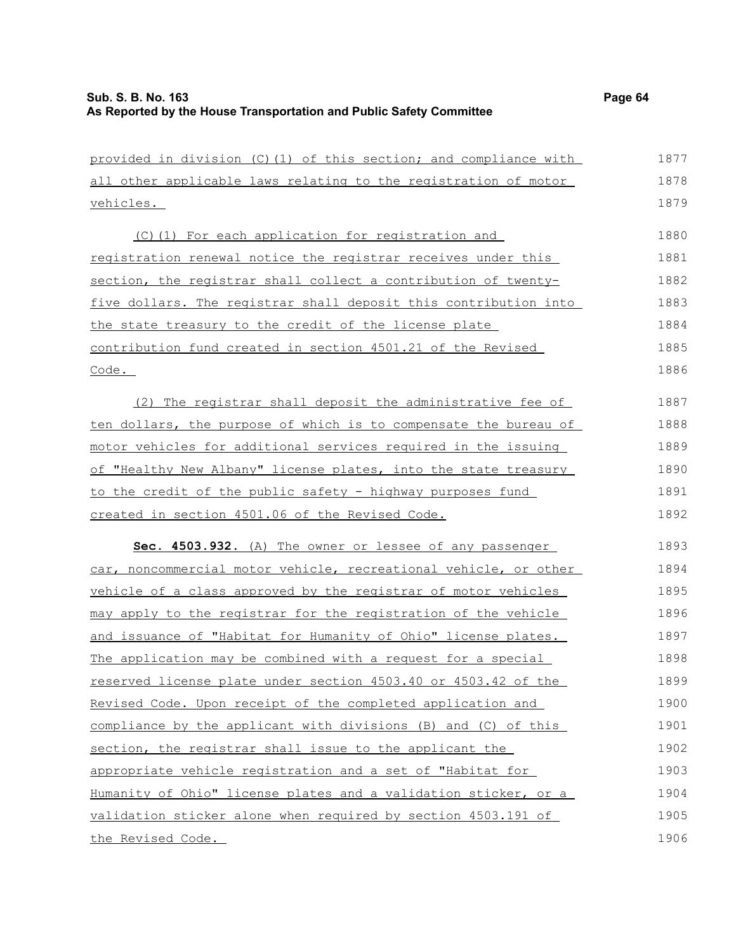| provided in division (C)(1) of this section; and compliance with | 1877 |
|------------------------------------------------------------------|------|
| all other applicable laws relating to the registration of motor  | 1878 |
| vehicles.                                                        | 1879 |
| (C)(1) For each application for registration and                 | 1880 |
| registration renewal notice the registrar receives under this    | 1881 |
| section, the registrar shall collect a contribution of twenty-   | 1882 |
| five dollars. The registrar shall deposit this contribution into | 1883 |
| the state treasury to the credit of the license plate            | 1884 |
| contribution fund created in section 4501.21 of the Revised      | 1885 |
| $\frac{\text{Code}}{\text{.}}$                                   | 1886 |
| (2) The registrar shall deposit the administrative fee of        | 1887 |
| ten dollars, the purpose of which is to compensate the bureau of | 1888 |
| motor vehicles for additional services required in the issuing   | 1889 |
| of "Healthy New Albany" license plates, into the state treasury  | 1890 |
| to the credit of the public safety - highway purposes fund       | 1891 |
| created in section 4501.06 of the Revised Code.                  | 1892 |
| Sec. 4503.932. (A) The owner or lessee of any passenger          | 1893 |
| car, noncommercial motor vehicle, recreational vehicle, or other | 1894 |
| vehicle of a class approved by the registrar of motor vehicles   | 1895 |
| may apply to the registrar for the registration of the vehicle   | 1896 |
| and issuance of "Habitat for Humanity of Ohio" license plates.   | 1897 |
| The application may be combined with a request for a special     | 1898 |
| reserved license plate under section 4503.40 or 4503.42 of the   | 1899 |
| Revised Code. Upon receipt of the completed application and      | 1900 |
| compliance by the applicant with divisions (B) and (C) of this   | 1901 |
| section, the registrar shall issue to the applicant the          | 1902 |
| appropriate vehicle registration and a set of "Habitat for       | 1903 |
| Humanity of Ohio" license plates and a validation sticker, or a  | 1904 |
| validation sticker alone when required by section 4503.191 of    | 1905 |
| the Revised Code.                                                | 1906 |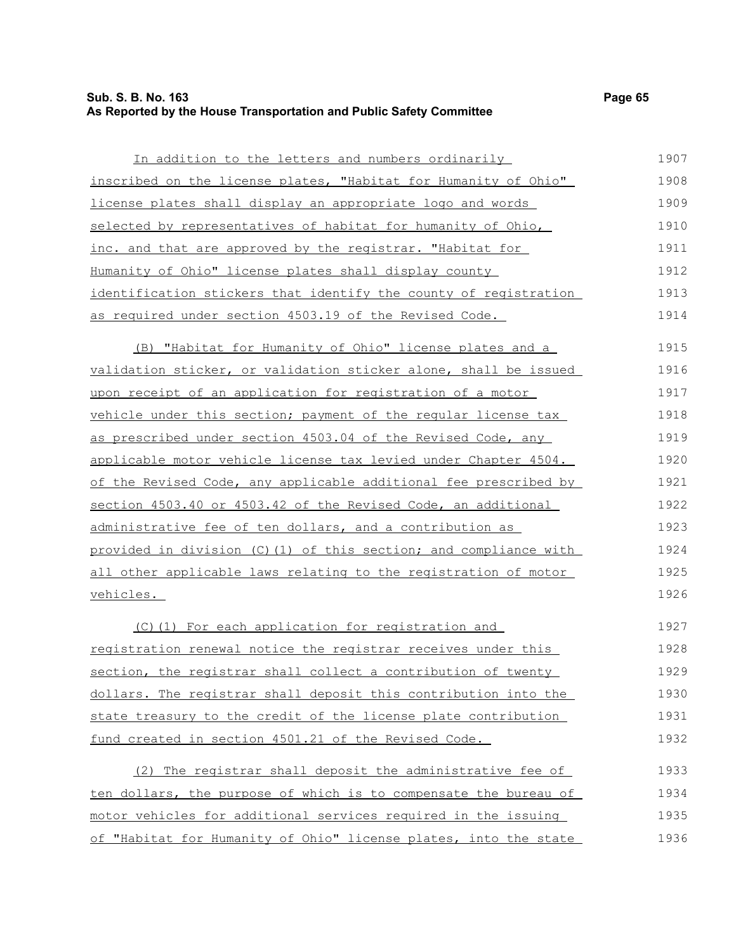### **Sub. S. B. No. 163 Page 65 As Reported by the House Transportation and Public Safety Committee**

In addition to the letters and numbers ordinarily inscribed on the license plates, "Habitat for Humanity of Ohio" license plates shall display an appropriate logo and words selected by representatives of habitat for humanity of Ohio, inc. and that are approved by the registrar. "Habitat for Humanity of Ohio" license plates shall display county identification stickers that identify the county of registration as required under section 4503.19 of the Revised Code. (B) "Habitat for Humanity of Ohio" license plates and a validation sticker, or validation sticker alone, shall be issued upon receipt of an application for registration of a motor vehicle under this section; payment of the regular license tax as prescribed under section 4503.04 of the Revised Code, any applicable motor vehicle license tax levied under Chapter 4504. of the Revised Code, any applicable additional fee prescribed by section 4503.40 or 4503.42 of the Revised Code, an additional administrative fee of ten dollars, and a contribution as provided in division (C)(1) of this section; and compliance with all other applicable laws relating to the registration of motor vehicles. (C)(1) For each application for registration and registration renewal notice the registrar receives under this 1907 1908 1909 1910 1911 1912 1913 1914 1915 1916 1917 1918 1919 1920 1921 1922 1923 1924 1925 1926 1927 1928

section, the registrar shall collect a contribution of twenty dollars. The registrar shall deposit this contribution into the state treasury to the credit of the license plate contribution fund created in section 4501.21 of the Revised Code. 1929 1930 1931 1932

| (2) The registrar shall deposit the administrative fee of        | 1933 |
|------------------------------------------------------------------|------|
| ten dollars, the purpose of which is to compensate the bureau of | 1934 |
| motor vehicles for additional services required in the issuing   | 1935 |
| of "Habitat for Humanity of Ohio" license plates, into the state | 1936 |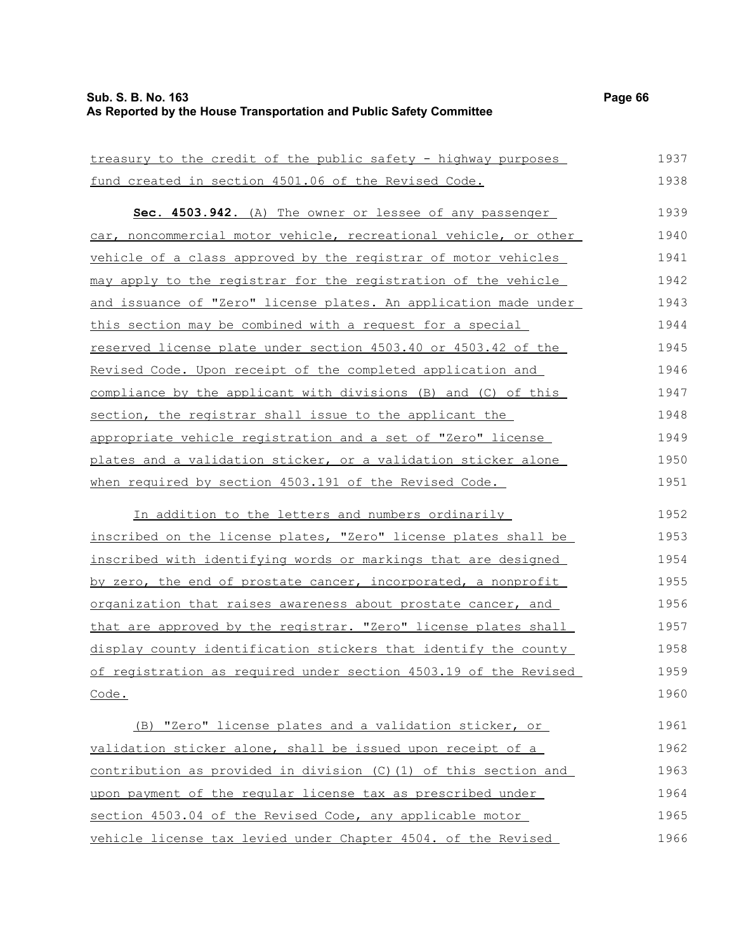# **Sub. S. B. No. 163 Page 66 As Reported by the House Transportation and Public Safety Committee**

| treasury to the credit of the public safety - highway purposes       | 1937 |
|----------------------------------------------------------------------|------|
| fund created in section 4501.06 of the Revised Code.                 | 1938 |
| Sec. 4503.942. (A) The owner or lessee of any passenger              | 1939 |
|                                                                      |      |
| car, noncommercial motor vehicle, recreational vehicle, or other     | 1940 |
| vehicle of a class approved by the registrar of motor vehicles       | 1941 |
| may apply to the registrar for the registration of the vehicle       | 1942 |
| and issuance of "Zero" license plates. An application made under     | 1943 |
| this section may be combined with a request for a special            | 1944 |
| reserved license plate under section 4503.40 or 4503.42 of the       | 1945 |
| Revised Code. Upon receipt of the completed application and          | 1946 |
| compliance by the applicant with divisions (B) and (C) of this       | 1947 |
| section, the registrar shall issue to the applicant the              | 1948 |
| appropriate vehicle registration and a set of "Zero" license         | 1949 |
| plates and a validation sticker, or a validation sticker alone       | 1950 |
| when required by section 4503.191 of the Revised Code.               | 1951 |
| In addition to the letters and numbers ordinarily                    | 1952 |
| inscribed on the license plates, "Zero" license plates shall be      | 1953 |
| inscribed with identifying words or markings that are designed       | 1954 |
| by zero, the end of prostate cancer, incorporated, a nonprofit       | 1955 |
| <u>organization that raises awareness about prostate cancer, and</u> | 1956 |
| that are approved by the registrar. "Zero" license plates shall      | 1957 |
| display county identification stickers that identify the county      | 1958 |
| of registration as required under section 4503.19 of the Revised     | 1959 |
| Code.                                                                | 1960 |
| (B) "Zero" license plates and a validation sticker, or               | 1961 |
| validation sticker alone, shall be issued upon receipt of a          | 1962 |
| contribution as provided in division (C) (1) of this section and     | 1963 |
| upon payment of the regular license tax as prescribed under          | 1964 |
| section 4503.04 of the Revised Code, any applicable motor            | 1965 |
| vehicle license tax levied under Chapter 4504. of the Revised        | 1966 |
|                                                                      |      |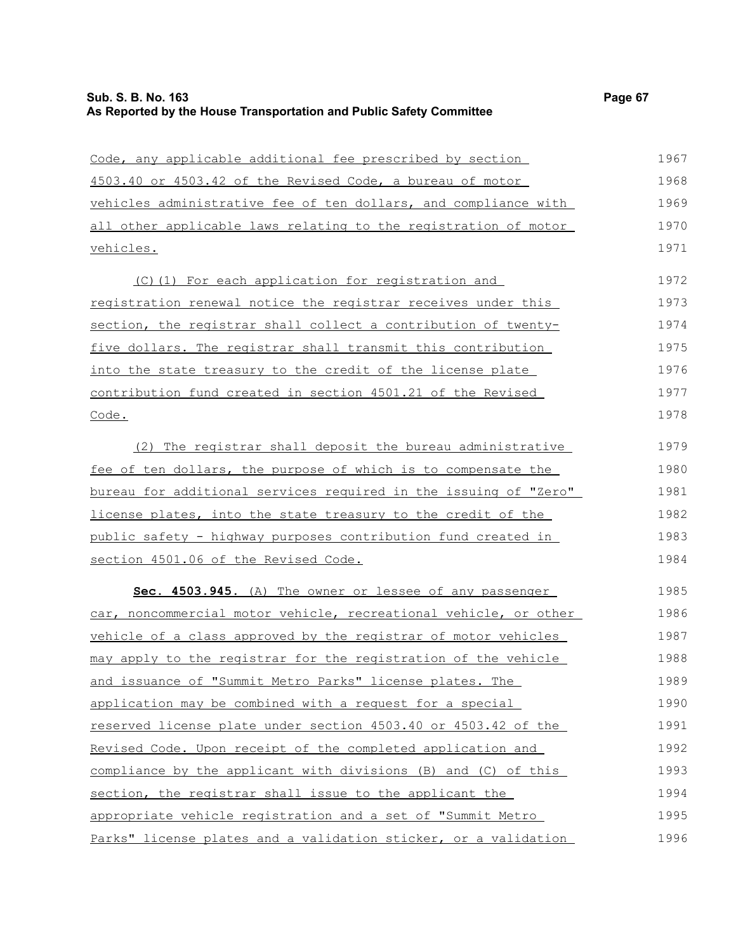| Code, any applicable additional fee prescribed by section            | 1967 |
|----------------------------------------------------------------------|------|
| 4503.40 or 4503.42 of the Revised Code, a bureau of motor            | 1968 |
| vehicles administrative fee of ten dollars, and compliance with      | 1969 |
| all other applicable laws relating to the registration of motor      | 1970 |
| <u>vehicles.</u>                                                     | 1971 |
| (C)(1) For each application for registration and                     | 1972 |
| registration renewal notice the registrar receives under this        | 1973 |
| section, the registrar shall collect a contribution of twenty-       | 1974 |
| five dollars. The registrar shall transmit this contribution         | 1975 |
| into the state treasury to the credit of the license plate           | 1976 |
| contribution fund created in section 4501.21 of the Revised          | 1977 |
| Code.                                                                | 1978 |
| (2) The registrar shall deposit the bureau administrative            | 1979 |
| <u>fee of ten dollars, the purpose of which is to compensate the</u> | 1980 |
| bureau for additional services required in the issuing of "Zero"     | 1981 |
| license plates, into the state treasury to the credit of the         | 1982 |
| public safety - highway purposes contribution fund created in        | 1983 |
| section 4501.06 of the Revised Code.                                 | 1984 |
| Sec. 4503.945. (A) The owner or lessee of any passenger              | 1985 |
| car, noncommercial motor vehicle, recreational vehicle, or other     | 1986 |
| vehicle of a class approved by the registrar of motor vehicles       | 1987 |
| may apply to the registrar for the registration of the vehicle       | 1988 |
| and issuance of "Summit Metro Parks" license plates. The             | 1989 |
| application may be combined with a request for a special             | 1990 |
| reserved license plate under section 4503.40 or 4503.42 of the       | 1991 |
| Revised Code. Upon receipt of the completed application and          | 1992 |
| compliance by the applicant with divisions (B) and (C) of this       | 1993 |
| section, the registrar shall issue to the applicant the              | 1994 |
| appropriate vehicle registration and a set of "Summit Metro          | 1995 |
| Parks" license plates and a validation sticker, or a validation      | 1996 |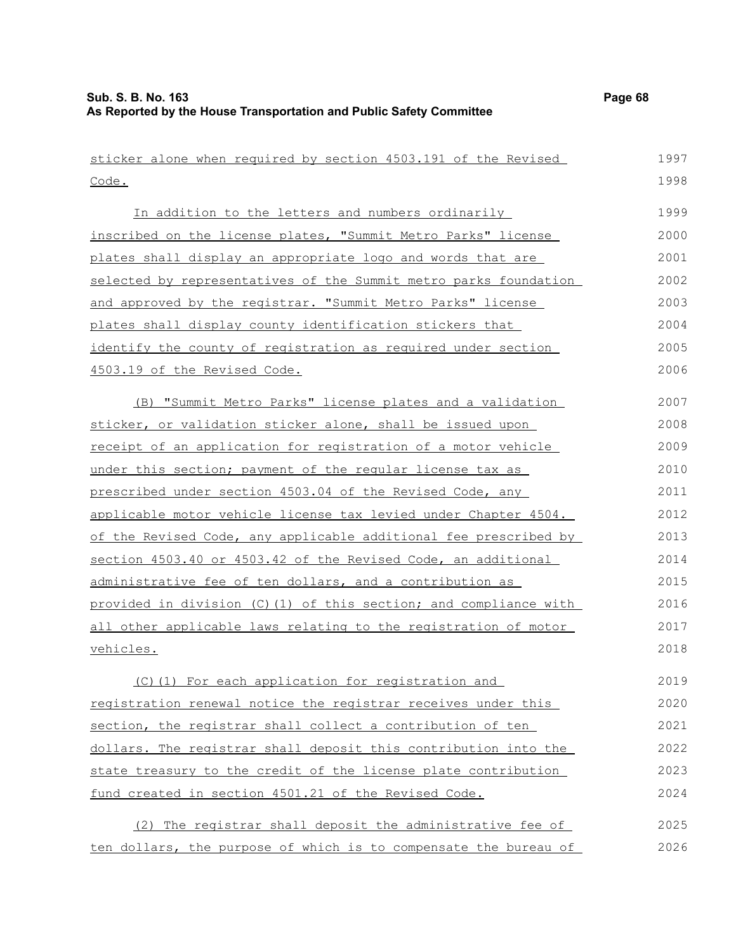| sticker alone when required by section 4503.191 of the Revised   | 1997 |
|------------------------------------------------------------------|------|
| Code.                                                            | 1998 |
| In addition to the letters and numbers ordinarily                | 1999 |
| inscribed on the license plates, "Summit Metro Parks" license    | 2000 |
| plates shall display an appropriate logo and words that are      | 2001 |
| selected by representatives of the Summit metro parks foundation | 2002 |
| and approved by the registrar. "Summit Metro Parks" license      | 2003 |
| plates shall display county identification stickers that         | 2004 |
| identify the county of registration as required under section    | 2005 |
| 4503.19 of the Revised Code.                                     | 2006 |
| (B) "Summit Metro Parks" license plates and a validation         | 2007 |
| sticker, or validation sticker alone, shall be issued upon       | 2008 |
| receipt of an application for registration of a motor vehicle    | 2009 |
| under this section; payment of the reqular license tax as        | 2010 |
| prescribed under section 4503.04 of the Revised Code, any        | 2011 |
| applicable motor vehicle license tax levied under Chapter 4504.  | 2012 |
| of the Revised Code, any applicable additional fee prescribed by | 2013 |
| section 4503.40 or 4503.42 of the Revised Code, an additional    | 2014 |
| administrative fee of ten dollars, and a contribution as         | 2015 |
| provided in division (C)(1) of this section; and compliance with | 2016 |
| all other applicable laws relating to the registration of motor  | 2017 |
| vehicles.                                                        | 2018 |
| (C) (1) For each application for registration and                | 2019 |
| registration renewal notice the registrar receives under this    | 2020 |
| section, the registrar shall collect a contribution of ten       | 2021 |
| dollars. The registrar shall deposit this contribution into the  | 2022 |
| state treasury to the credit of the license plate contribution   | 2023 |
| fund created in section 4501.21 of the Revised Code.             | 2024 |
| (2) The registrar shall deposit the administrative fee of        | 2025 |
| ten dollars, the purpose of which is to compensate the bureau of | 2026 |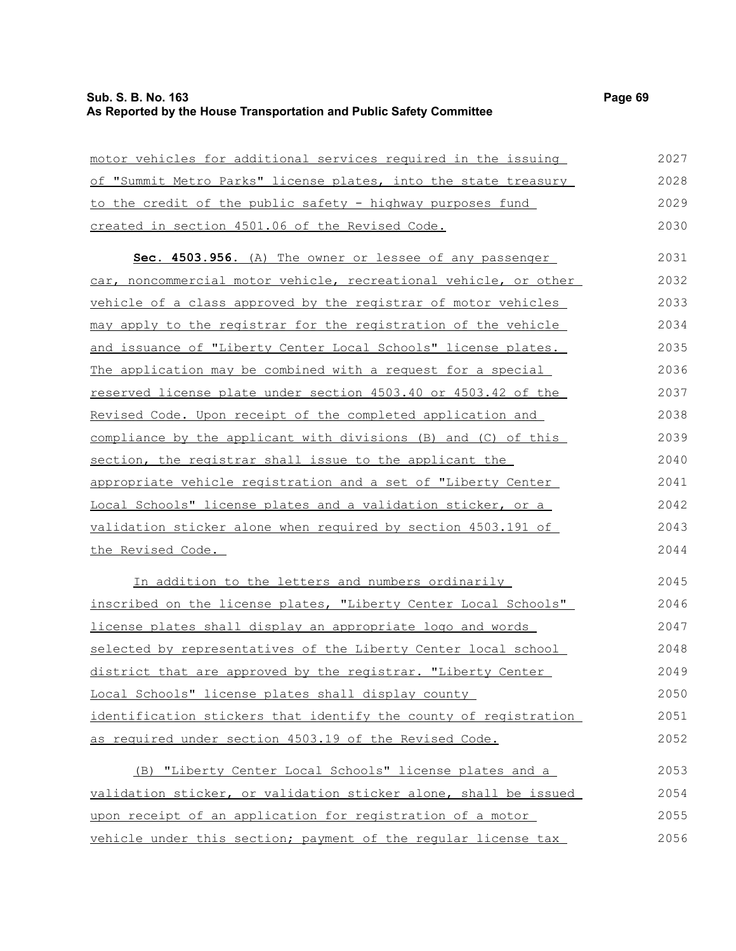## **Sub. S. B. No. 163 Page 69 As Reported by the House Transportation and Public Safety Committee**

motor vehicles for additional services required in the issuing of "Summit Metro Parks" license plates, into the state treasury to the credit of the public safety - highway purposes fund created in section 4501.06 of the Revised Code. **Sec. 4503.956.** (A) The owner or lessee of any passenger car, noncommercial motor vehicle, recreational vehicle, or other vehicle of a class approved by the registrar of motor vehicles may apply to the registrar for the registration of the vehicle and issuance of "Liberty Center Local Schools" license plates. The application may be combined with a request for a special reserved license plate under section 4503.40 or 4503.42 of the Revised Code. Upon receipt of the completed application and compliance by the applicant with divisions (B) and (C) of this section, the registrar shall issue to the applicant the appropriate vehicle registration and a set of "Liberty Center Local Schools" license plates and a validation sticker, or a validation sticker alone when required by section 4503.191 of the Revised Code. 2027 2028 2029 2030 2031 2032 2033 2034 2035 2036 2037 2038 2039 2040 2041 2042 2043 2044

In addition to the letters and numbers ordinarily inscribed on the license plates, "Liberty Center Local Schools" license plates shall display an appropriate logo and words selected by representatives of the Liberty Center local school district that are approved by the registrar. "Liberty Center Local Schools" license plates shall display county identification stickers that identify the county of registration as required under section 4503.19 of the Revised Code. 2045 2046 2047 2048 2049 2050 2051 2052

(B) "Liberty Center Local Schools" license plates and a validation sticker, or validation sticker alone, shall be issued upon receipt of an application for registration of a motor vehicle under this section; payment of the regular license tax 2053 2054 2055 2056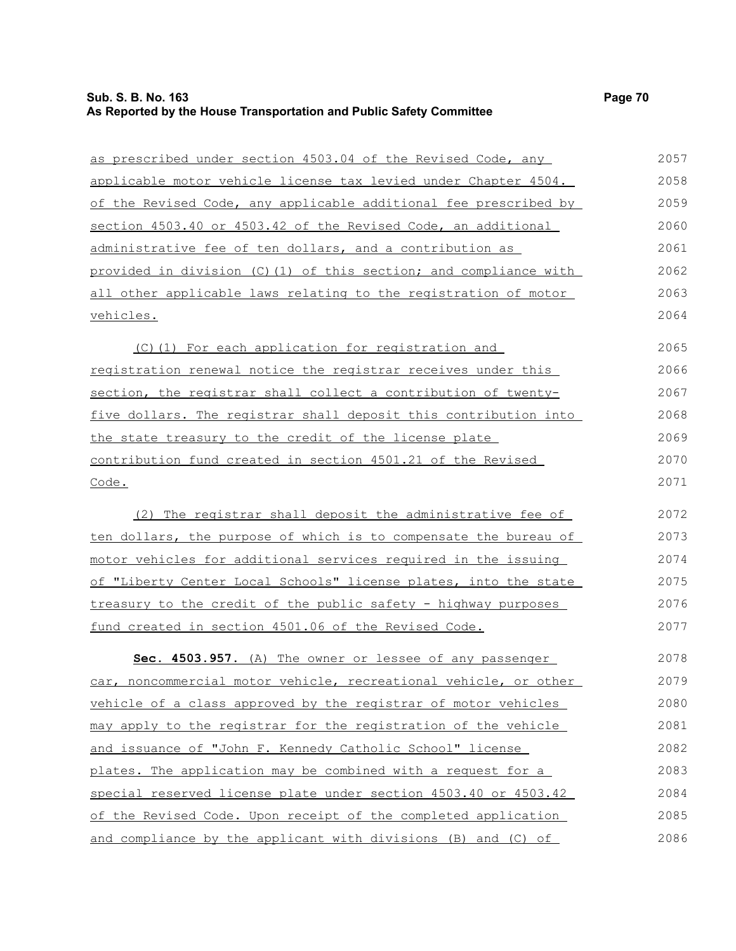# **Sub. S. B. No. 163 Page 70 As Reported by the House Transportation and Public Safety Committee**

| as prescribed under section 4503.04 of the Revised Code, any     | 2057 |
|------------------------------------------------------------------|------|
| applicable motor vehicle license tax levied under Chapter 4504.  | 2058 |
| of the Revised Code, any applicable additional fee prescribed by | 2059 |
| section 4503.40 or 4503.42 of the Revised Code, an additional    | 2060 |
| administrative fee of ten dollars, and a contribution as         | 2061 |
| provided in division (C)(1) of this section; and compliance with | 2062 |
| all other applicable laws relating to the registration of motor  | 2063 |
| vehicles.                                                        | 2064 |
| (C) (1) For each application for registration and                | 2065 |
| registration renewal notice the registrar receives under this    | 2066 |
| section, the registrar shall collect a contribution of twenty-   | 2067 |
| five dollars. The registrar shall deposit this contribution into | 2068 |
| the state treasury to the credit of the license plate            | 2069 |
| contribution fund created in section 4501.21 of the Revised      | 2070 |
| Code.                                                            | 2071 |
| (2) The registrar shall deposit the administrative fee of        | 2072 |
| ten dollars, the purpose of which is to compensate the bureau of | 2073 |
| motor vehicles for additional services required in the issuing   | 2074 |
| of "Liberty Center Local Schools" license plates, into the state | 2075 |
| treasury to the credit of the public safety - highway purposes   | 2076 |
| fund created in section 4501.06 of the Revised Code.             | 2077 |
| Sec. 4503.957. (A) The owner or lessee of any passenger          | 2078 |
| car, noncommercial motor vehicle, recreational vehicle, or other | 2079 |
| vehicle of a class approved by the registrar of motor vehicles   | 2080 |
| may apply to the registrar for the registration of the vehicle   | 2081 |
| and issuance of "John F. Kennedy Catholic School" license        | 2082 |
| plates. The application may be combined with a request for a     | 2083 |
| special reserved license plate under section 4503.40 or 4503.42  | 2084 |
| of the Revised Code. Upon receipt of the completed application   | 2085 |
| and compliance by the applicant with divisions (B) and (C) of    | 2086 |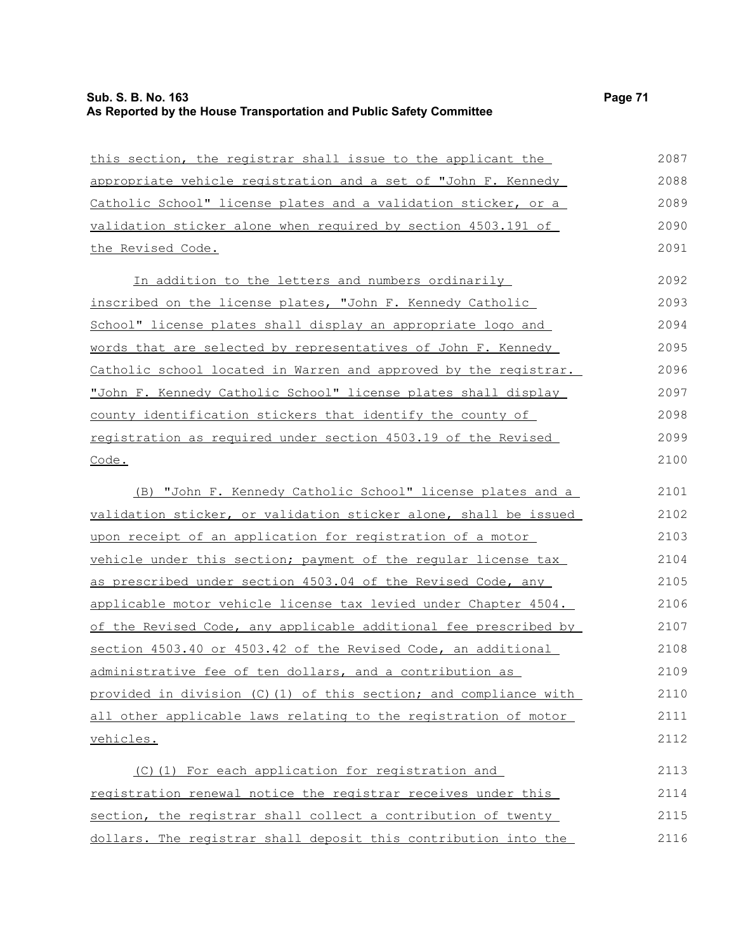# **Sub. S. B. No. 163 Page 71 As Reported by the House Transportation and Public Safety Committee**

| this section, the registrar shall issue to the applicant the      | 2087 |
|-------------------------------------------------------------------|------|
| appropriate vehicle registration and a set of "John F. Kennedy    | 2088 |
| Catholic School" license plates and a validation sticker, or a    | 2089 |
| validation sticker alone when required by section 4503.191 of     | 2090 |
| the Revised Code.                                                 | 2091 |
| In addition to the letters and numbers ordinarily                 | 2092 |
| inscribed on the license plates, "John F. Kennedy Catholic        | 2093 |
| School" license plates shall display an appropriate logo and      | 2094 |
| words that are selected by representatives of John F. Kennedy     | 2095 |
| Catholic school located in Warren and approved by the registrar.  | 2096 |
| "John F. Kennedy Catholic School" license plates shall display    | 2097 |
| county identification stickers that identify the county of        | 2098 |
| registration as required under section 4503.19 of the Revised     | 2099 |
| Code.                                                             | 2100 |
| (B) "John F. Kennedy Catholic School" license plates and a        | 2101 |
| validation sticker, or validation sticker alone, shall be issued  | 2102 |
| upon receipt of an application for registration of a motor        | 2103 |
| vehicle under this section; payment of the reqular license tax    | 2104 |
| as prescribed under section 4503.04 of the Revised Code, any      | 2105 |
| applicable motor vehicle license tax levied under Chapter 4504.   | 2106 |
| of the Revised Code, any applicable additional fee prescribed by  | 2107 |
| section 4503.40 or 4503.42 of the Revised Code, an additional     | 2108 |
| administrative fee of ten dollars, and a contribution as          | 2109 |
| provided in division (C) (1) of this section; and compliance with | 2110 |
| all other applicable laws relating to the registration of motor   | 2111 |
| vehicles.                                                         | 2112 |
| (C)(1) For each application for registration and                  | 2113 |
| registration renewal notice the registrar receives under this     | 2114 |
| section, the registrar shall collect a contribution of twenty     | 2115 |
| dollars. The registrar shall deposit this contribution into the   | 2116 |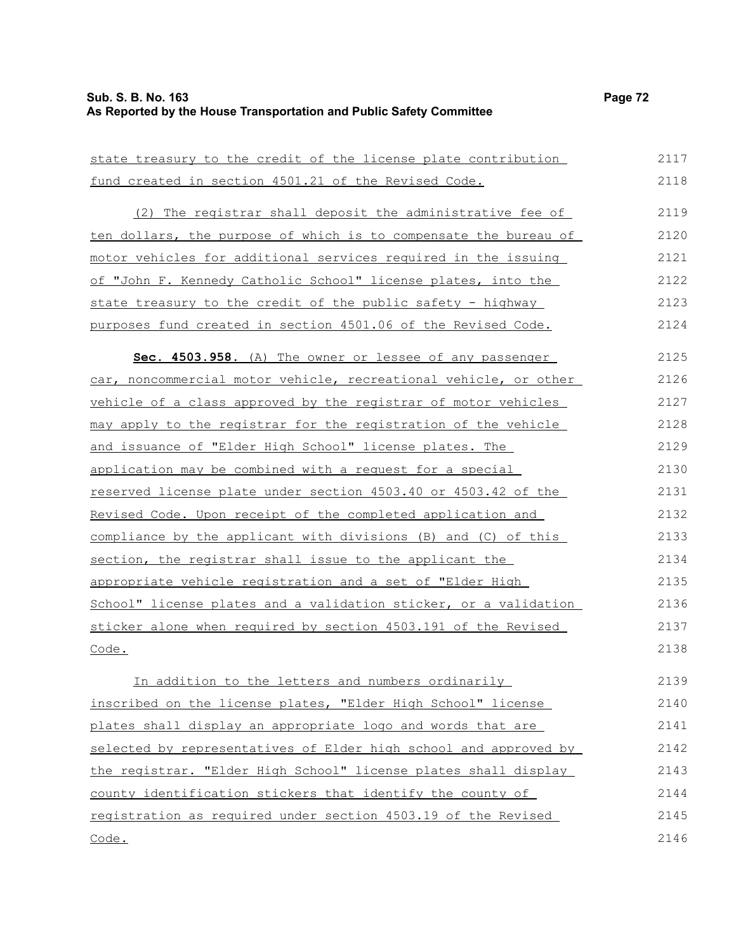| state treasury to the credit of the license plate contribution        | 2117 |
|-----------------------------------------------------------------------|------|
| fund created in section 4501.21 of the Revised Code.                  | 2118 |
| (2) The registrar shall deposit the administrative fee of             | 2119 |
| ten dollars, the purpose of which is to compensate the bureau of      | 2120 |
| motor vehicles for additional services required in the issuing        | 2121 |
| of "John F. Kennedy Catholic School" license plates, into the         | 2122 |
| state treasury to the credit of the public safety - highway           | 2123 |
| purposes fund created in section 4501.06 of the Revised Code.         | 2124 |
| Sec. 4503.958. (A) The owner or lessee of any passenger               | 2125 |
| car, noncommercial motor vehicle, recreational vehicle, or other      | 2126 |
| vehicle of a class approved by the registrar of motor vehicles        | 2127 |
| may apply to the registrar for the registration of the vehicle        | 2128 |
| and issuance of "Elder High School" license plates. The               | 2129 |
| application may be combined with a request for a special              | 2130 |
| <u>reserved license plate under section 4503.40 or 4503.42 of the</u> | 2131 |
| Revised Code. Upon receipt of the completed application and           | 2132 |
| compliance by the applicant with divisions (B) and (C) of this        | 2133 |
| section, the registrar shall issue to the applicant the               | 2134 |
| appropriate vehicle registration and a set of "Elder High             | 2135 |
| School" license plates and a validation sticker, or a validation      | 2136 |
| sticker alone when required by section 4503.191 of the Revised        | 2137 |
| Code.                                                                 | 2138 |
| In addition to the letters and numbers ordinarily                     | 2139 |
| inscribed on the license plates, "Elder High School" license          | 2140 |
| plates shall display an appropriate logo and words that are           | 2141 |
| selected by representatives of Elder high school and approved by      | 2142 |
| the registrar. "Elder High School" license plates shall display       | 2143 |
| county identification stickers that identify the county of            | 2144 |
| registration as required under section 4503.19 of the Revised         | 2145 |
| Code.                                                                 | 2146 |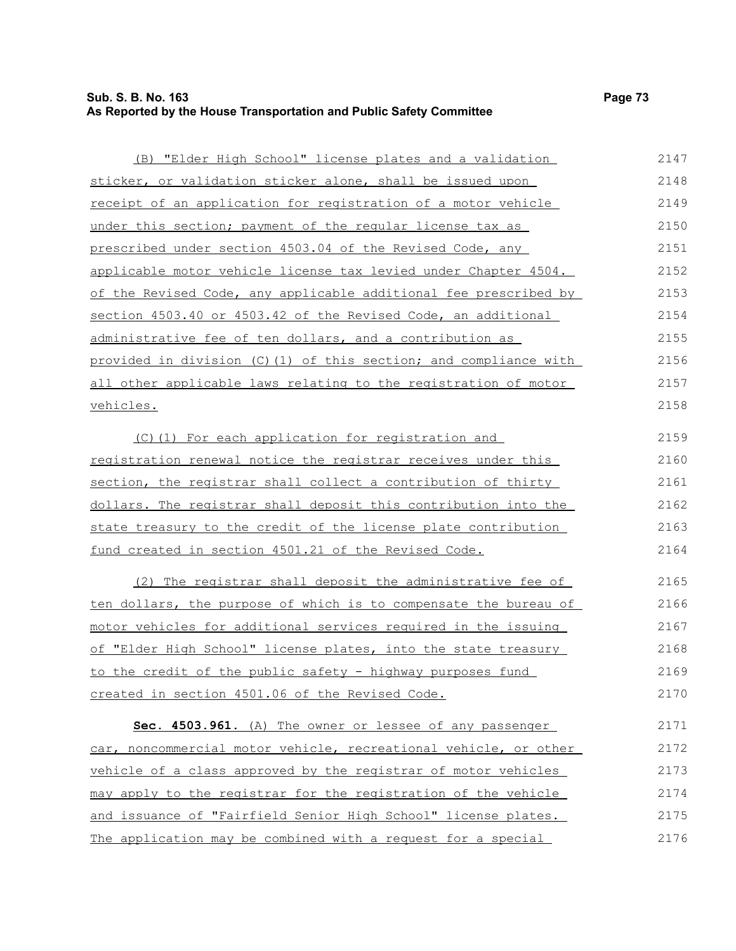## **Sub. S. B. No. 163 Page 73 As Reported by the House Transportation and Public Safety Committee**

| (B) "Elder High School" license plates and a validation               | 2147 |
|-----------------------------------------------------------------------|------|
| sticker, or validation sticker alone, shall be issued upon            | 2148 |
| receipt of an application for registration of a motor vehicle         | 2149 |
| under this section; payment of the regular license tax as             | 2150 |
| prescribed under section 4503.04 of the Revised Code, any             | 2151 |
| applicable motor vehicle license tax levied under Chapter 4504.       | 2152 |
| of the Revised Code, any applicable additional fee prescribed by      | 2153 |
| section 4503.40 or 4503.42 of the Revised Code, an additional         | 2154 |
| <u>administrative fee of ten dollars, and a contribution as </u>      | 2155 |
| provided in division (C)(1) of this section; and compliance with      | 2156 |
| all other applicable laws relating to the registration of motor       | 2157 |
| <u>vehicles.</u>                                                      | 2158 |
| (C)(1) For each application for registration and                      | 2159 |
| registration renewal notice the registrar receives under this         | 2160 |
| section, the registrar shall collect a contribution of thirty         | 2161 |
| dollars. The registrar shall deposit this contribution into the       | 2162 |
| state treasury to the credit of the license plate contribution        | 2163 |
| fund created in section 4501.21 of the Revised Code.                  | 2164 |
| (2) The registrar shall deposit the administrative fee of             | 2165 |
| ten dollars, the purpose of which is to compensate the bureau of      | 2166 |
| motor vehicles for additional services required in the issuing        | 2167 |
| of "Elder High School" license plates, into the state treasury        | 2168 |
| to the credit of the public safety - highway purposes fund            | 2169 |
| created in section 4501.06 of the Revised Code.                       | 2170 |
| Sec. 4503.961. (A) The owner or lessee of any passenger               | 2171 |
| car, noncommercial motor vehicle, recreational vehicle, or other      | 2172 |
| vehicle of a class approved by the registrar of motor vehicles        | 2173 |
| may apply to the registrar for the registration of the vehicle        | 2174 |
| <u>and issuance of "Fairfield Senior High School" license plates.</u> | 2175 |
| The application may be combined with a request for a special          | 2176 |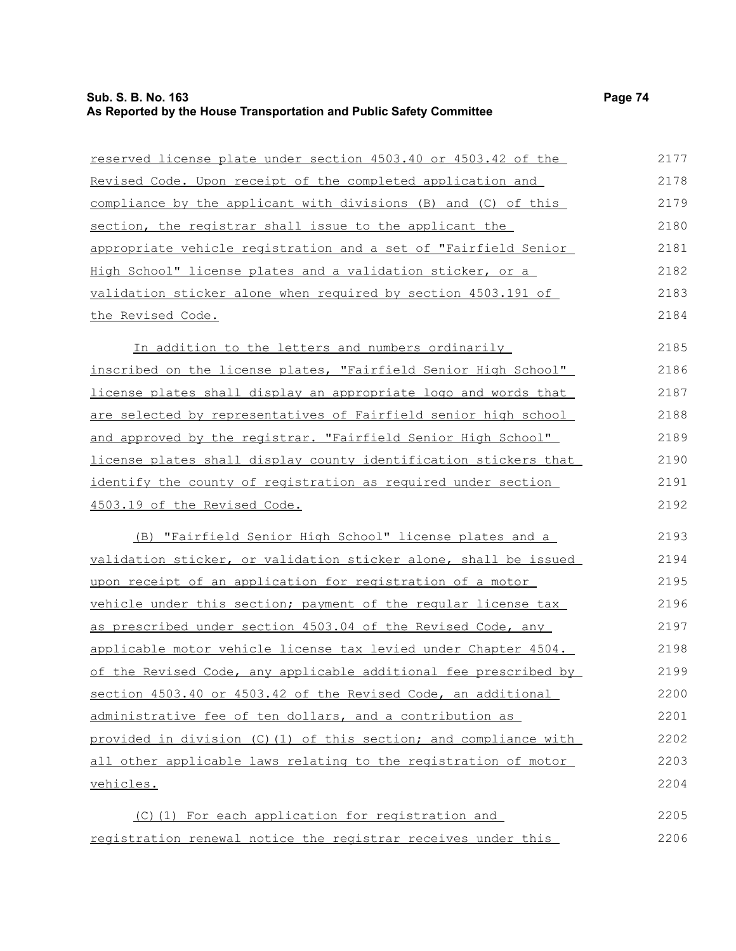## **Sub. S. B. No. 163 Page 74 As Reported by the House Transportation and Public Safety Committee**

| reserved license plate under section 4503.40 or 4503.42 of the   | 2177 |
|------------------------------------------------------------------|------|
| Revised Code. Upon receipt of the completed application and      | 2178 |
| compliance by the applicant with divisions (B) and (C) of this   | 2179 |
| section, the registrar shall issue to the applicant the          | 2180 |
| appropriate vehicle registration and a set of "Fairfield Senior  | 2181 |
| High School" license plates and a validation sticker, or a       | 2182 |
| validation sticker alone when required by section 4503.191 of    | 2183 |
| the Revised Code.                                                | 2184 |
| In addition to the letters and numbers ordinarily                | 2185 |
| inscribed on the license plates, "Fairfield Senior High School"  | 2186 |
| license plates shall display an appropriate logo and words that  | 2187 |
| are selected by representatives of Fairfield senior high school  | 2188 |
| and approved by the registrar. "Fairfield Senior High School"    | 2189 |
| license plates shall display county identification stickers that | 2190 |
| identify the county of registration as required under section    | 2191 |
| 4503.19 of the Revised Code.                                     | 2192 |
| (B) "Fairfield Senior High School" license plates and a          | 2193 |
| validation sticker, or validation sticker alone, shall be issued | 2194 |
| upon receipt of an application for registration of a motor       | 2195 |
| vehicle under this section; payment of the regular license tax   | 2196 |
| as prescribed under section 4503.04 of the Revised Code, any     | 2197 |
| applicable motor vehicle license tax levied under Chapter 4504.  | 2198 |
| of the Revised Code, any applicable additional fee prescribed by | 2199 |
| section 4503.40 or 4503.42 of the Revised Code, an additional    | 2200 |
| administrative fee of ten dollars, and a contribution as         | 2201 |
| provided in division (C)(1) of this section; and compliance with | 2202 |
| all other applicable laws relating to the registration of motor  | 2203 |
| vehicles.                                                        | 2204 |
| (C)(1) For each application for registration and                 | 2205 |
| registration renewal notice the registrar receives under this    | 2206 |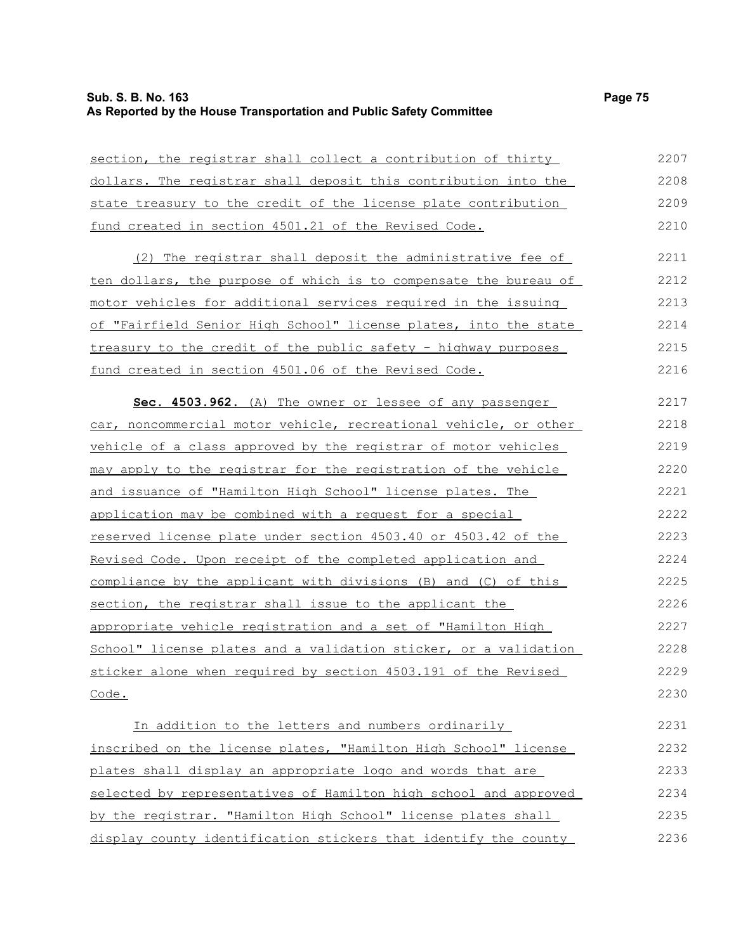## **Sub. S. B. No. 163 Page 75 As Reported by the House Transportation and Public Safety Committee**

| section, the registrar shall collect a contribution of thirty            | 2207 |
|--------------------------------------------------------------------------|------|
| dollars. The registrar shall deposit this contribution into the          | 2208 |
| state treasury to the credit of the license plate contribution           | 2209 |
| fund created in section 4501.21 of the Revised Code.                     | 2210 |
| (2) The registrar shall deposit the administrative fee of                | 2211 |
| <u>ten dollars, the purpose of which is to compensate the bureau of </u> | 2212 |
| motor vehicles for additional services required in the issuing           | 2213 |
| of "Fairfield Senior High School" license plates, into the state         | 2214 |
| treasury to the credit of the public safety - highway purposes           | 2215 |
| fund created in section 4501.06 of the Revised Code.                     | 2216 |
| Sec. 4503.962. (A) The owner or lessee of any passenger                  | 2217 |
| car, noncommercial motor vehicle, recreational vehicle, or other         | 2218 |
| vehicle of a class approved by the registrar of motor vehicles           | 2219 |
| may apply to the registrar for the registration of the vehicle           | 2220 |
| and issuance of "Hamilton High School" license plates. The               | 2221 |
| application may be combined with a request for a special                 | 2222 |
| reserved license plate under section 4503.40 or 4503.42 of the           | 2223 |
| Revised Code. Upon receipt of the completed application and              | 2224 |
| compliance by the applicant with divisions (B) and (C) of this           | 2225 |
| section, the registrar shall issue to the applicant the                  | 2226 |
| appropriate vehicle registration and a set of "Hamilton High             | 2227 |
| School" license plates and a validation sticker, or a validation         | 2228 |
| sticker alone when required by section 4503.191 of the Revised           | 2229 |
| Code.                                                                    | 2230 |
| In addition to the letters and numbers ordinarily                        | 2231 |
| inscribed on the license plates, "Hamilton High School" license          | 2232 |
| plates shall display an appropriate logo and words that are              | 2233 |
| selected by representatives of Hamilton high school and approved         | 2234 |

by the registrar. "Hamilton High School" license plates shall display county identification stickers that identify the county 2235 2236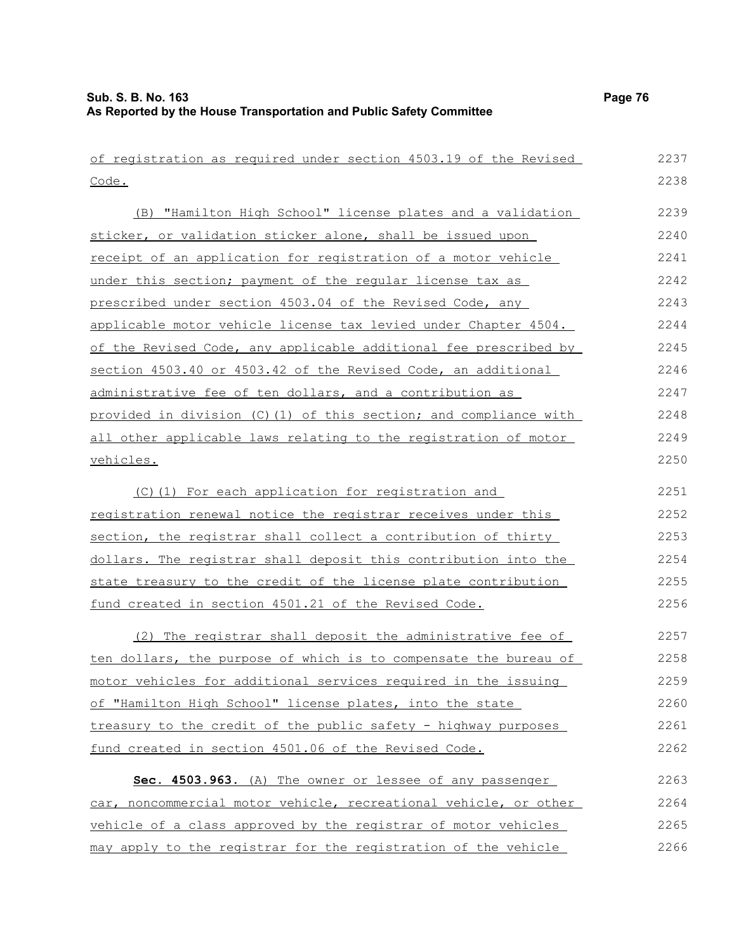| of registration as required under section 4503.19 of the Revised  | 2237         |
|-------------------------------------------------------------------|--------------|
| Code.                                                             | 2238         |
| (B) "Hamilton High School" license plates and a validation        | 2239         |
| sticker, or validation sticker alone, shall be issued upon        | 2240         |
| receipt of an application for registration of a motor vehicle     | 2241         |
| under this section; payment of the reqular license tax as         | 2242         |
| prescribed under section 4503.04 of the Revised Code, any         | 2243         |
| applicable motor vehicle license tax levied under Chapter 4504.   | 2244         |
| of the Revised Code, any applicable additional fee prescribed by  | 2245         |
| section 4503.40 or 4503.42 of the Revised Code, an additional     | 2246         |
| administrative fee of ten dollars, and a contribution as          | 2247         |
| provided in division (C) (1) of this section; and compliance with | 2248         |
| all other applicable laws relating to the registration of motor   | 2249         |
| vehicles.                                                         | 2250         |
| (C)(1) For each application for registration and                  | 2251         |
|                                                                   | 2252         |
| registration renewal notice the registrar receives under this     |              |
| section, the registrar shall collect a contribution of thirty     | 2253         |
| dollars. The registrar shall deposit this contribution into the   | 2254<br>2255 |
| state treasury to the credit of the license plate contribution    | 2256         |
| fund created in section 4501.21 of the Revised Code.              |              |
| (2) The registrar shall deposit the administrative fee of         | 2257         |
| ten dollars, the purpose of which is to compensate the bureau of  | 2258         |
| motor vehicles for additional services required in the issuing    | 2259         |
| of "Hamilton High School" license plates, into the state          | 2260         |
| treasury to the credit of the public safety - highway purposes    | 2261         |
| fund created in section 4501.06 of the Revised Code.              | 2262         |
| Sec. 4503.963. (A) The owner or lessee of any passenger           | 2263         |
| car, noncommercial motor vehicle, recreational vehicle, or other  | 2264         |
| vehicle of a class approved by the registrar of motor vehicles    | 2265         |
| may apply to the registrar for the registration of the vehicle    | 2266         |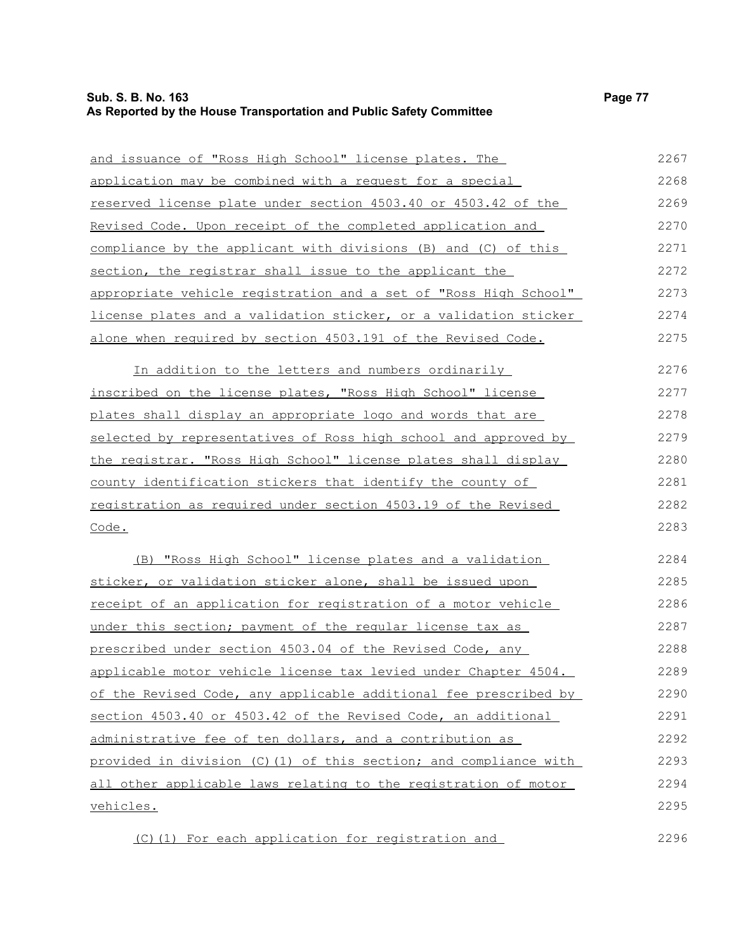| Page 77 |  |
|---------|--|
|---------|--|

| and issuance of "Ross High School" license plates. The                | 2267 |
|-----------------------------------------------------------------------|------|
| application may be combined with a request for a special              | 2268 |
| <u>reserved license plate under section 4503.40 or 4503.42 of the</u> | 2269 |
| Revised Code. Upon receipt of the completed application and           | 2270 |
| compliance by the applicant with divisions (B) and (C) of this        | 2271 |
| section, the registrar shall issue to the applicant the               | 2272 |
| appropriate vehicle registration and a set of "Ross High School"      | 2273 |
| license plates and a validation sticker, or a validation sticker      | 2274 |
| alone when required by section 4503.191 of the Revised Code.          | 2275 |
| In addition to the letters and numbers ordinarily                     | 2276 |
| inscribed on the license plates, "Ross High School" license           | 2277 |
| plates shall display an appropriate logo and words that are           | 2278 |
| selected by representatives of Ross high school and approved by       | 2279 |
| the registrar. "Ross High School" license plates shall display        | 2280 |
| county identification stickers that identify the county of            | 2281 |
| registration as required under section 4503.19 of the Revised         | 2282 |
| Code.                                                                 | 2283 |
| (B) "Ross High School" license plates and a validation                | 2284 |
| sticker, or validation sticker alone, shall be issued upon            | 2285 |
| receipt of an application for registration of a motor vehicle         | 2286 |
| under this section; payment of the regular license tax as             | 2287 |
| prescribed under section 4503.04 of the Revised Code, any             | 2288 |
| applicable motor vehicle license tax levied under Chapter 4504.       | 2289 |
| of the Revised Code, any applicable additional fee prescribed by      | 2290 |
| section 4503.40 or 4503.42 of the Revised Code, an additional         | 2291 |
| administrative fee of ten dollars, and a contribution as              | 2292 |
| provided in division (C)(1) of this section; and compliance with      | 2293 |
| all other applicable laws relating to the registration of motor       | 2294 |
| vehicles.                                                             | 2295 |
| (C) (1) For each application for registration and                     | 2296 |